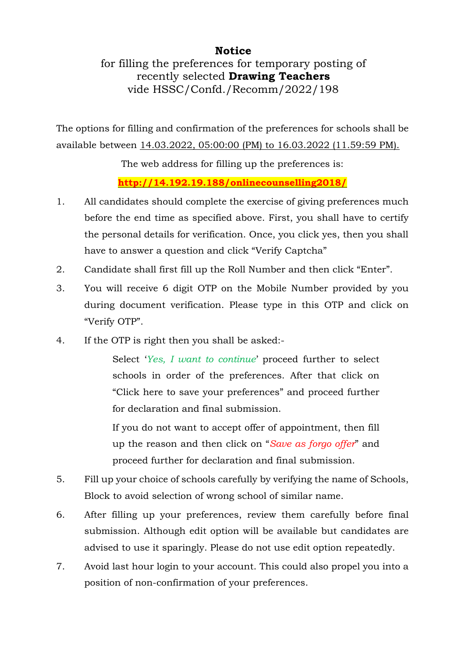#### **Notice**

for filling the preferences for temporary posting of recently selected **Drawing Teachers** vide HSSC/Confd./Recomm/2022/198

The options for filling and confirmation of the preferences for schools shall be available between 14.03.2022, 05:00:00 (PM) to 16.03.2022 (11.59:59 PM).

The web address for filling up the preferences is:

**http://14.192.19.188/onlinecounselling2018/** 

- 1. All candidates should complete the exercise of giving preferences much before the end time as specified above. First, you shall have to certify the personal details for verification. Once, you click yes, then you shall have to answer a question and click "Verify Captcha"
- 2. Candidate shall first fill up the Roll Number and then click "Enter".
- 3. You will receive 6 digit OTP on the Mobile Number provided by you during document verification. Please type in this OTP and click on "Verify OTP".
- 4. If the OTP is right then you shall be asked:-

Select '*Yes, I want to continue*' proceed further to select schools in order of the preferences. After that click on "Click here to save your preferences" and proceed further for declaration and final submission.

If you do not want to accept offer of appointment, then fill up the reason and then click on "*Save as forgo offer*" and proceed further for declaration and final submission.

- 5. Fill up your choice of schools carefully by verifying the name of Schools, Block to avoid selection of wrong school of similar name.
- 6. After filling up your preferences, review them carefully before final submission. Although edit option will be available but candidates are advised to use it sparingly. Please do not use edit option repeatedly.
- 7. Avoid last hour login to your account. This could also propel you into a position of non-confirmation of your preferences.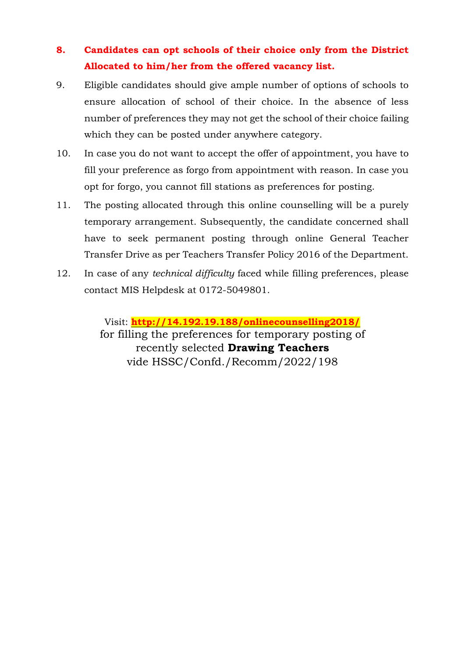#### **8. Candidates can opt schools of their choice only from the District Allocated to him/her from the offered vacancy list.**

- 9. Eligible candidates should give ample number of options of schools to ensure allocation of school of their choice. In the absence of less number of preferences they may not get the school of their choice failing which they can be posted under anywhere category.
- 10. In case you do not want to accept the offer of appointment, you have to fill your preference as forgo from appointment with reason. In case you opt for forgo, you cannot fill stations as preferences for posting.
- 11. The posting allocated through this online counselling will be a purely temporary arrangement. Subsequently, the candidate concerned shall have to seek permanent posting through online General Teacher Transfer Drive as per Teachers Transfer Policy 2016 of the Department.
- 12. In case of any *technical difficulty* faced while filling preferences, please contact MIS Helpdesk at 0172-5049801.

Visit: **http://14.192.19.188/onlinecounselling2018/**  for filling the preferences for temporary posting of recently selected **Drawing Teachers** vide HSSC/Confd./Recomm/2022/198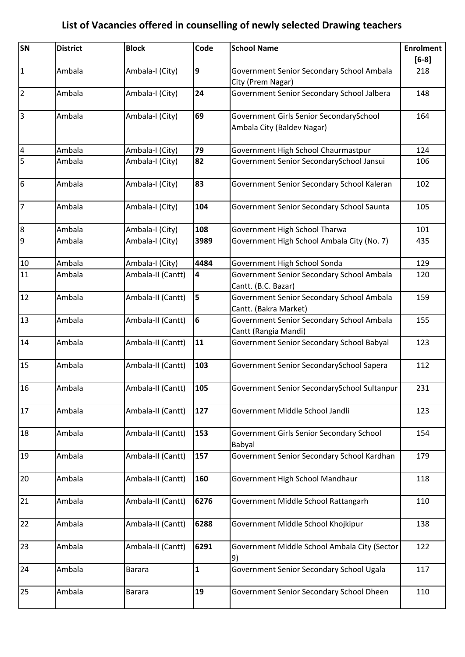| SN                      | <b>District</b> | <b>Block</b>      | Code                    | <b>School Name</b>                                                    | <b>Enrolment</b><br>$[6-8]$ |
|-------------------------|-----------------|-------------------|-------------------------|-----------------------------------------------------------------------|-----------------------------|
| $\vert$ 1               | Ambala          | Ambala-I (City)   | 9                       | Government Senior Secondary School Ambala<br>City (Prem Nagar)        | 218                         |
| $\overline{2}$          | Ambala          | Ambala-I (City)   | 24                      | Government Senior Secondary School Jalbera                            | 148                         |
| 3                       | Ambala          | Ambala-I (City)   | 69                      | Government Girls Senior SecondarySchool<br>Ambala City (Baldev Nagar) | 164                         |
| $\overline{\mathbf{4}}$ | Ambala          | Ambala-I (City)   | 79                      | Government High School Chaurmastpur                                   | 124                         |
| 5                       | Ambala          | Ambala-I (City)   | 82                      | Government Senior SecondarySchool Jansui                              | 106                         |
| $6\phantom{.}6$         | Ambala          | Ambala-I (City)   | 83                      | Government Senior Secondary School Kaleran                            | 102                         |
| 7                       | Ambala          | Ambala-I (City)   | 104                     | Government Senior Secondary School Saunta                             | 105                         |
| $\overline{8}$          | Ambala          | Ambala-I (City)   | 108                     | Government High School Tharwa                                         | 101                         |
| 9                       | Ambala          | Ambala-I (City)   | 3989                    | Government High School Ambala City (No. 7)                            | 435                         |
| 10                      | Ambala          | Ambala-I (City)   | 4484                    | Government High School Sonda                                          | 129                         |
| 11                      | Ambala          | Ambala-II (Cantt) | $\overline{\mathbf{4}}$ | Government Senior Secondary School Ambala<br>Cantt. (B.C. Bazar)      | 120                         |
| 12                      | Ambala          | Ambala-II (Cantt) | 5                       | Government Senior Secondary School Ambala<br>Cantt. (Bakra Market)    | 159                         |
| 13                      | Ambala          | Ambala-II (Cantt) | 6                       | Government Senior Secondary School Ambala<br>Cantt (Rangia Mandi)     | 155                         |
| 14                      | Ambala          | Ambala-II (Cantt) | 11                      | Government Senior Secondary School Babyal                             | 123                         |
| 15                      | Ambala          | Ambala-II (Cantt) | 103                     | Government Senior SecondarySchool Sapera                              | 112                         |
| 16                      | Ambala          | Ambala-II (Cantt) | 105                     | Government Senior SecondarySchool Sultanpur                           | 231                         |
| 17                      | Ambala          | Ambala-II (Cantt) | 127                     | Government Middle School Jandli                                       | 123                         |
| 18                      | Ambala          | Ambala-II (Cantt) | 153                     | Government Girls Senior Secondary School<br>Babyal                    | 154                         |
| 19                      | Ambala          | Ambala-II (Cantt) | 157                     | Government Senior Secondary School Kardhan                            | 179                         |
| 20                      | Ambala          | Ambala-II (Cantt) | 160                     | Government High School Mandhaur                                       | 118                         |
| 21                      | Ambala          | Ambala-II (Cantt) | 6276                    | Government Middle School Rattangarh                                   | 110                         |
| 22                      | Ambala          | Ambala-II (Cantt) | 6288                    | Government Middle School Khojkipur                                    | 138                         |
| 23                      | Ambala          | Ambala-II (Cantt) | 6291                    | Government Middle School Ambala City (Sector<br>9)                    | 122                         |
| 24                      | Ambala          | <b>Barara</b>     | $\mathbf{1}$            | Government Senior Secondary School Ugala                              | 117                         |
| 25                      | Ambala          | <b>Barara</b>     | 19                      | Government Senior Secondary School Dheen                              | 110                         |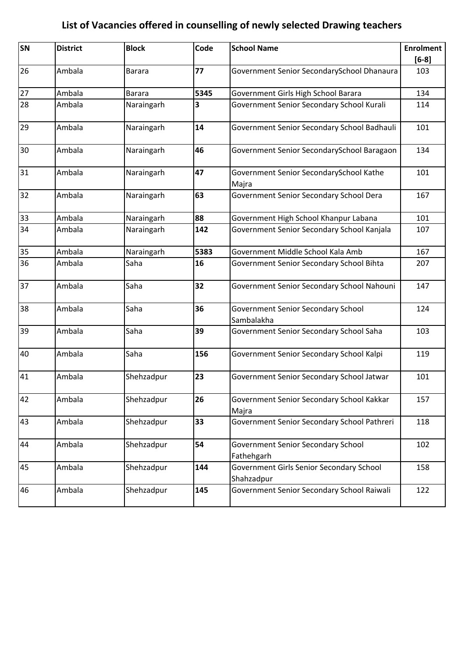| <b>SN</b> | <b>District</b> | <b>Block</b>  | Code | <b>School Name</b>                                      | <b>Enrolment</b> |
|-----------|-----------------|---------------|------|---------------------------------------------------------|------------------|
|           |                 |               |      |                                                         | $[6-8]$          |
| 26        | Ambala          | <b>Barara</b> | 77   | Government Senior SecondarySchool Dhanaura              | 103              |
| 27        | Ambala          | <b>Barara</b> | 5345 | Government Girls High School Barara                     | 134              |
| 28        | Ambala          | Naraingarh    | 3    | Government Senior Secondary School Kurali               | 114              |
| 29        | Ambala          | Naraingarh    | 14   | Government Senior Secondary School Badhauli             | 101              |
| 30        | Ambala          | Naraingarh    | 46   | Government Senior SecondarySchool Baragaon              | 134              |
| 31        | Ambala          | Naraingarh    | 47   | Government Senior SecondarySchool Kathe<br>Majra        | 101              |
| 32        | Ambala          | Naraingarh    | 63   | Government Senior Secondary School Dera                 | 167              |
| 33        | Ambala          | Naraingarh    | 88   | Government High School Khanpur Labana                   | 101              |
| 34        | Ambala          | Naraingarh    | 142  | Government Senior Secondary School Kanjala              | 107              |
| 35        | Ambala          | Naraingarh    | 5383 | Government Middle School Kala Amb                       | 167              |
| 36        | Ambala          | Saha          | 16   | Government Senior Secondary School Bihta                | 207              |
| 37        | Ambala          | Saha          | 32   | Government Senior Secondary School Nahouni              | 147              |
| 38        | Ambala          | Saha          | 36   | Government Senior Secondary School<br>Sambalakha        | 124              |
| 39        | Ambala          | Saha          | 39   | Government Senior Secondary School Saha                 | 103              |
| 40        | Ambala          | Saha          | 156  | Government Senior Secondary School Kalpi                | 119              |
| 41        | Ambala          | Shehzadpur    | 23   | Government Senior Secondary School Jatwar               | 101              |
| 42        | Ambala          | Shehzadpur    | 26   | Government Senior Secondary School Kakkar<br>Majra      | 157              |
| 43        | Ambala          | Shehzadpur    | 33   | Government Senior Secondary School Pathreri             | 118              |
| 44        | Ambala          | Shehzadpur    | 54   | <b>Government Senior Secondary School</b><br>Fathehgarh | 102              |
| 45        | Ambala          | Shehzadpur    | 144  | Government Girls Senior Secondary School<br>Shahzadpur  | 158              |
| 46        | Ambala          | Shehzadpur    | 145  | Government Senior Secondary School Raiwali              | 122              |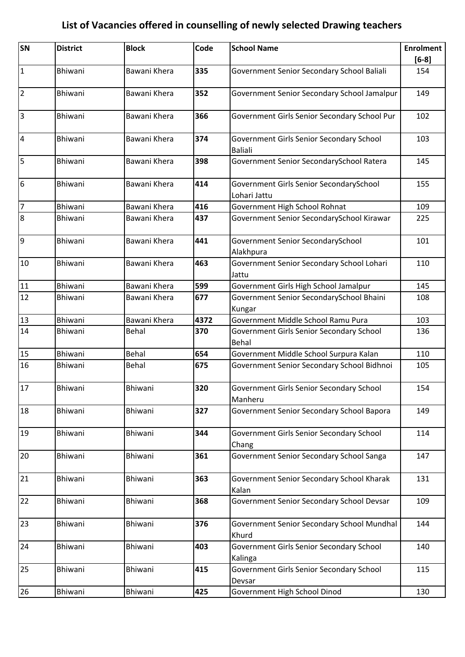| SN                      | <b>District</b> | <b>Block</b> | Code | <b>School Name</b>                                         | <b>Enrolment</b> |
|-------------------------|-----------------|--------------|------|------------------------------------------------------------|------------------|
| $\mathbf{1}$            | Bhiwani         | Bawani Khera | 335  | Government Senior Secondary School Baliali                 | $[6-8]$<br>154   |
|                         |                 |              |      |                                                            |                  |
| $\overline{2}$          | Bhiwani         | Bawani Khera | 352  | Government Senior Secondary School Jamalpur                | 149              |
| $\overline{3}$          | Bhiwani         | Bawani Khera | 366  | Government Girls Senior Secondary School Pur               | 102              |
| $\overline{\mathbf{4}}$ | <b>Bhiwani</b>  | Bawani Khera | 374  | Government Girls Senior Secondary School<br><b>Baliali</b> | 103              |
| 5                       | Bhiwani         | Bawani Khera | 398  | Government Senior SecondarySchool Ratera                   | 145              |
| 6                       | Bhiwani         | Bawani Khera | 414  | Government Girls Senior SecondarySchool<br>Lohari Jattu    | 155              |
| $\overline{7}$          | Bhiwani         | Bawani Khera | 416  | Government High School Rohnat                              | 109              |
| 8                       | Bhiwani         | Bawani Khera | 437  | Government Senior SecondarySchool Kirawar                  | 225              |
| 9                       | Bhiwani         | Bawani Khera | 441  | Government Senior SecondarySchool<br>Alakhpura             | 101              |
| 10                      | Bhiwani         | Bawani Khera | 463  | Government Senior Secondary School Lohari<br>Jattu         | 110              |
| 11                      | <b>Bhiwani</b>  | Bawani Khera | 599  | Government Girls High School Jamalpur                      | 145              |
| 12                      | Bhiwani         | Bawani Khera | 677  | Government Senior SecondarySchool Bhaini<br>Kungar         | 108              |
| 13                      | <b>Bhiwani</b>  | Bawani Khera | 4372 | Government Middle School Ramu Pura                         | 103              |
| 14                      | <b>Bhiwani</b>  | Behal        | 370  | Government Girls Senior Secondary School<br>Behal          | 136              |
| 15                      | Bhiwani         | Behal        | 654  | Government Middle School Surpura Kalan                     | 110              |
| 16                      | Bhiwani         | Behal        | 675  | Government Senior Secondary School Bidhnoi                 | 105              |
| 17                      | Bhiwani         | Bhiwani      | 320  | Government Girls Senior Secondary School<br>Manheru        | 154              |
| 18                      | Bhiwani         | Bhiwani      | 327  | Government Senior Secondary School Bapora                  | 149              |
| 19                      | Bhiwani         | Bhiwani      | 344  | Government Girls Senior Secondary School<br>Chang          | 114              |
| 20                      | Bhiwani         | Bhiwani      | 361  | Government Senior Secondary School Sanga                   | 147              |
| 21                      | Bhiwani         | Bhiwani      | 363  | Government Senior Secondary School Kharak<br>Kalan         | 131              |
| 22                      | Bhiwani         | Bhiwani      | 368  | Government Senior Secondary School Devsar                  | 109              |
| 23                      | Bhiwani         | Bhiwani      | 376  | Government Senior Secondary School Mundhal<br>Khurd        | 144              |
| 24                      | Bhiwani         | Bhiwani      | 403  | Government Girls Senior Secondary School<br>Kalinga        | 140              |
| 25                      | Bhiwani         | Bhiwani      | 415  | Government Girls Senior Secondary School<br>Devsar         | 115              |
| 26                      | Bhiwani         | Bhiwani      | 425  | Government High School Dinod                               | 130              |
|                         |                 |              |      |                                                            |                  |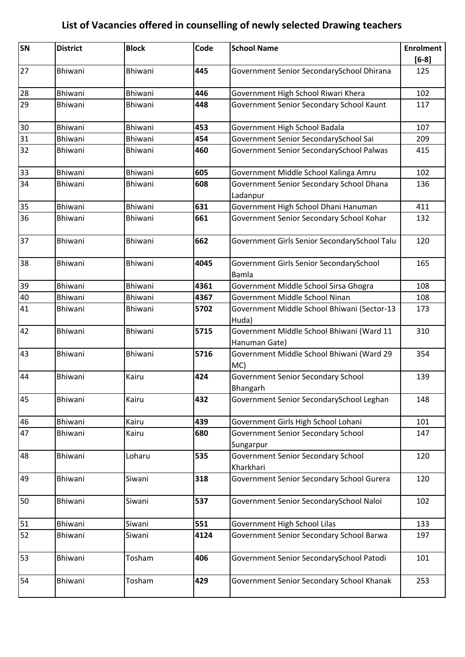| SN | <b>District</b> | <b>Block</b> | Code | <b>School Name</b>                                         | <b>Enrolment</b><br>$[6-8]$ |
|----|-----------------|--------------|------|------------------------------------------------------------|-----------------------------|
| 27 | Bhiwani         | Bhiwani      | 445  | Government Senior SecondarySchool Dhirana                  | 125                         |
| 28 | Bhiwani         | Bhiwani      | 446  | Government High School Riwari Khera                        | 102                         |
| 29 | Bhiwani         | Bhiwani      | 448  | Government Senior Secondary School Kaunt                   | 117                         |
| 30 | Bhiwani         | Bhiwani      | 453  | Government High School Badala                              | 107                         |
| 31 | Bhiwani         | Bhiwani      | 454  | Government Senior SecondarySchool Sai                      | 209                         |
| 32 | Bhiwani         | Bhiwani      | 460  | Government Senior SecondarySchool Palwas                   | 415                         |
| 33 | Bhiwani         | Bhiwani      | 605  | Government Middle School Kalinga Amru                      | 102                         |
| 34 | Bhiwani         | Bhiwani      | 608  | Government Senior Secondary School Dhana<br>Ladanpur       | 136                         |
| 35 | Bhiwani         | Bhiwani      | 631  | Government High School Dhani Hanuman                       | 411                         |
| 36 | Bhiwani         | Bhiwani      | 661  | Government Senior Secondary School Kohar                   | 132                         |
| 37 | Bhiwani         | Bhiwani      | 662  | Government Girls Senior SecondarySchool Talu               | 120                         |
| 38 | Bhiwani         | Bhiwani      | 4045 | Government Girls Senior SecondarySchool<br>Bamla           | 165                         |
| 39 | Bhiwani         | Bhiwani      | 4361 | Government Middle School Sirsa Ghogra                      | 108                         |
| 40 | Bhiwani         | Bhiwani      | 4367 | Government Middle School Ninan                             | 108                         |
| 41 | Bhiwani         | Bhiwani      | 5702 | Government Middle School Bhiwani (Sector-13<br>Huda)       | 173                         |
| 42 | <b>Bhiwani</b>  | Bhiwani      | 5715 | Government Middle School Bhiwani (Ward 11<br>Hanuman Gate) | 310                         |
| 43 | Bhiwani         | Bhiwani      | 5716 | Government Middle School Bhiwani (Ward 29<br>MC)           | 354                         |
| 44 | Bhiwani         | Kairu        | 424  | <b>Government Senior Secondary School</b><br>Bhangarh      | 139                         |
| 45 | Bhiwani         | Kairu        | 432  | Government Senior SecondarySchool Leghan                   | 148                         |
| 46 | Bhiwani         | Kairu        | 439  | Government Girls High School Lohani                        | 101                         |
| 47 | Bhiwani         | Kairu        | 680  | <b>Government Senior Secondary School</b><br>Sungarpur     | 147                         |
| 48 | Bhiwani         | Loharu       | 535  | Government Senior Secondary School<br>Kharkhari            | 120                         |
| 49 | Bhiwani         | Siwani       | 318  | Government Senior Secondary School Gurera                  | 120                         |
| 50 | Bhiwani         | Siwani       | 537  | Government Senior SecondarySchool Naloi                    | 102                         |
| 51 | Bhiwani         | Siwani       | 551  | Government High School Lilas                               | 133                         |
| 52 | Bhiwani         | Siwani       | 4124 | Government Senior Secondary School Barwa                   | 197                         |
| 53 | Bhiwani         | Tosham       | 406  | Government Senior SecondarySchool Patodi                   | 101                         |
| 54 | Bhiwani         | Tosham       | 429  | Government Senior Secondary School Khanak                  | 253                         |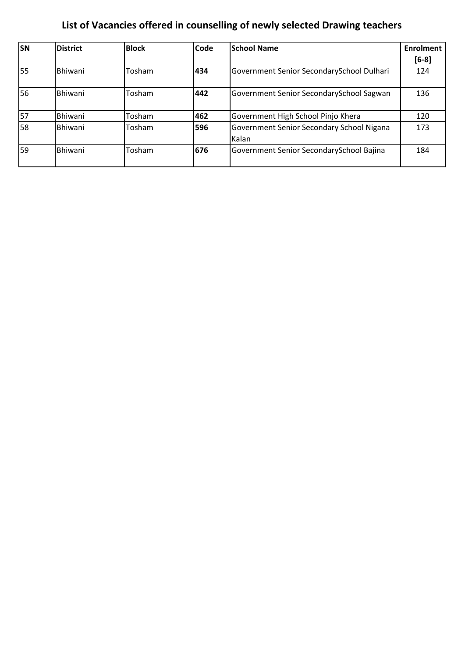| <b>SN</b>       | <b>District</b> | <b>Block</b> | Code | <b>School Name</b>                                 | <b>Enrolment</b> |
|-----------------|-----------------|--------------|------|----------------------------------------------------|------------------|
|                 |                 |              |      |                                                    | $[6-8]$          |
| $\overline{55}$ | Bhiwani         | Tosham       | 434  | Government Senior SecondarySchool Dulhari          | 124              |
| 56              | <b>Bhiwani</b>  | Tosham       | 442  | Government Senior SecondarySchool Sagwan           | 136              |
| 57              | Bhiwani         | Tosham       | 462  | Government High School Pinjo Khera                 | 120              |
| 58              | Bhiwani         | Tosham       | 596  | Government Senior Secondary School Nigana<br>Kalan | 173              |
| 59              | Bhiwani         | Tosham       | 676  | Government Senior SecondarySchool Bajina           | 184              |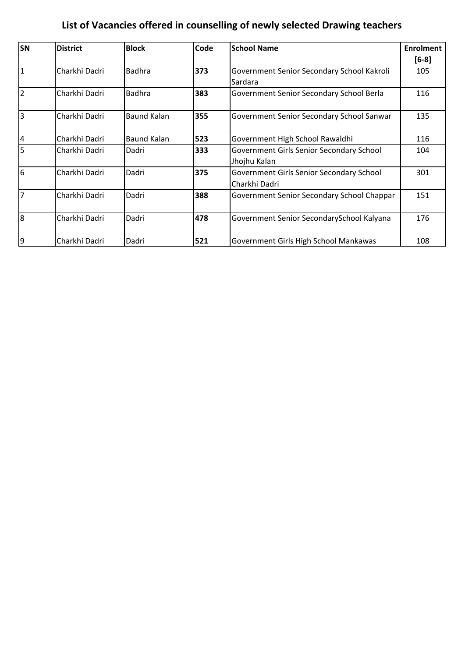| <b>SN</b>      | <b>District</b> | <b>Block</b>       | Code | <b>School Name</b>                         | <b>Enrolment</b> |
|----------------|-----------------|--------------------|------|--------------------------------------------|------------------|
|                |                 |                    |      |                                            | $[6-8]$          |
| $\overline{1}$ | Charkhi Dadri   | <b>Badhra</b>      | 373  | Government Senior Secondary School Kakroli | 105              |
|                |                 |                    |      | Sardara                                    |                  |
| $\overline{2}$ | Charkhi Dadri   | <b>Badhra</b>      | 383  | Government Senior Secondary School Berla   | 116              |
| 3              | Charkhi Dadri   | <b>Baund Kalan</b> | 355  | Government Senior Secondary School Sanwar  | 135              |
| $\overline{4}$ | Charkhi Dadri   | <b>Baund Kalan</b> | 523  | Government High School Rawaldhi            | 116              |
| 5              | Charkhi Dadri   | Dadri              | 333  | Government Girls Senior Secondary School   | 104              |
|                |                 |                    |      | Jhojhu Kalan                               |                  |
| $\overline{6}$ | Charkhi Dadri   | Dadri              | 375  | Government Girls Senior Secondary School   | 301              |
|                |                 |                    |      | Charkhi Dadri                              |                  |
| 17             | Charkhi Dadri   | Dadri              | 388  | Government Senior Secondary School Chappar | 151              |
| l8             | Charkhi Dadri   | Dadri              | 478  | Government Senior SecondarySchool Kalyana  | 176              |
| 9              | Charkhi Dadri   | Dadri              | 521  | Government Girls High School Mankawas      | 108              |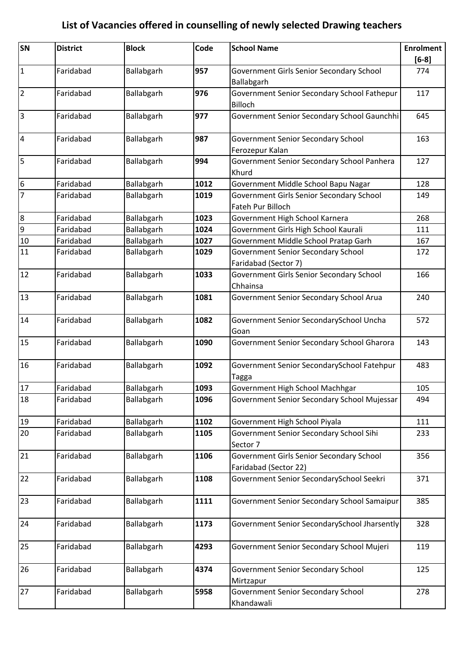| SN              | <b>District</b> | <b>Block</b> | Code | <b>School Name</b>                                                | <b>Enrolment</b> |
|-----------------|-----------------|--------------|------|-------------------------------------------------------------------|------------------|
|                 |                 |              |      |                                                                   | $[6-8]$          |
| $\mathbf{1}$    | Faridabad       | Ballabgarh   | 957  | Government Girls Senior Secondary School<br>Ballabgarh            | 774              |
| $\overline{2}$  | Faridabad       | Ballabgarh   | 976  | Government Senior Secondary School Fathepur<br>Billoch            | 117              |
| $\overline{3}$  | Faridabad       | Ballabgarh   | 977  | Government Senior Secondary School Gaunchhi                       | 645              |
| $\overline{4}$  | Faridabad       | Ballabgarh   | 987  | <b>Government Senior Secondary School</b><br>Ferozepur Kalan      | 163              |
| 5               | Faridabad       | Ballabgarh   | 994  | Government Senior Secondary School Panhera<br>Khurd               | 127              |
| $6\phantom{.}6$ | Faridabad       | Ballabgarh   | 1012 | Government Middle School Bapu Nagar                               | 128              |
| $\overline{7}$  | Faridabad       | Ballabgarh   | 1019 | Government Girls Senior Secondary School<br>Fateh Pur Billoch     | 149              |
| 8               | Faridabad       | Ballabgarh   | 1023 | Government High School Karnera                                    | 268              |
| $\overline{9}$  | Faridabad       | Ballabgarh   | 1024 | Government Girls High School Kaurali                              | 111              |
| 10              | Faridabad       | Ballabgarh   | 1027 | Government Middle School Pratap Garh                              | 167              |
| 11              | Faridabad       | Ballabgarh   | 1029 | Government Senior Secondary School<br>Faridabad (Sector 7)        | 172              |
| 12              | Faridabad       | Ballabgarh   | 1033 | Government Girls Senior Secondary School<br>Chhainsa              | 166              |
| 13              | Faridabad       | Ballabgarh   | 1081 | Government Senior Secondary School Arua                           | 240              |
| 14              | Faridabad       | Ballabgarh   | 1082 | Government Senior SecondarySchool Uncha<br>Goan                   | 572              |
| 15              | Faridabad       | Ballabgarh   | 1090 | Government Senior Secondary School Gharora                        | 143              |
| 16              | Faridabad       | Ballabgarh   | 1092 | Government Senior SecondarySchool Fatehpur<br>Tagga               | 483              |
| 17              | Faridabad       | Ballabgarh   | 1093 | Government High School Machhgar                                   | 105              |
| 18              | Faridabad       | Ballabgarh   | 1096 | Government Senior Secondary School Mujessar                       | 494              |
| 19              | Faridabad       | Ballabgarh   | 1102 | Government High School Piyala                                     | 111              |
| 20              | Faridabad       | Ballabgarh   | 1105 | Government Senior Secondary School Sihi<br>Sector 7               | 233              |
| 21              | Faridabad       | Ballabgarh   | 1106 | Government Girls Senior Secondary School<br>Faridabad (Sector 22) | 356              |
| 22              | Faridabad       | Ballabgarh   | 1108 | Government Senior SecondarySchool Seekri                          | 371              |
| 23              | Faridabad       | Ballabgarh   | 1111 | Government Senior Secondary School Samaipur                       | 385              |
| 24              | Faridabad       | Ballabgarh   | 1173 | Government Senior SecondarySchool Jharsently                      | 328              |
| 25              | Faridabad       | Ballabgarh   | 4293 | Government Senior Secondary School Mujeri                         | 119              |
| 26              | Faridabad       | Ballabgarh   | 4374 | <b>Government Senior Secondary School</b><br>Mirtzapur            | 125              |
| 27              | Faridabad       | Ballabgarh   | 5958 | Government Senior Secondary School<br>Khandawali                  | 278              |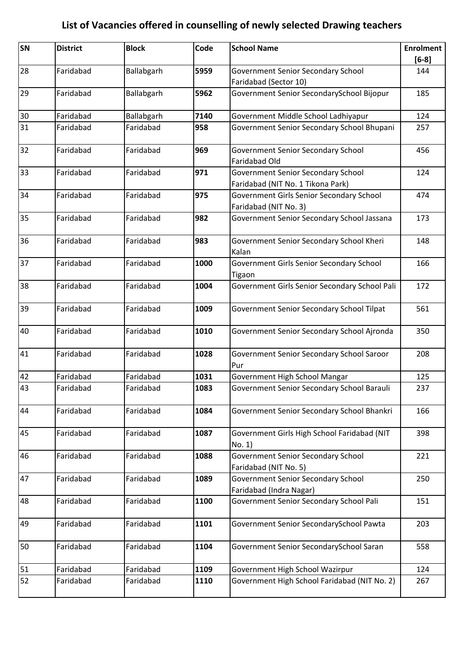| SN | <b>District</b> | <b>Block</b> | Code | <b>School Name</b>                                 | <b>Enrolment</b> |
|----|-----------------|--------------|------|----------------------------------------------------|------------------|
| 28 | Faridabad       | Ballabgarh   | 5959 | Government Senior Secondary School                 | $[6-8]$<br>144   |
|    |                 |              |      | Faridabad (Sector 10)                              |                  |
| 29 | Faridabad       | Ballabgarh   | 5962 | Government Senior SecondarySchool Bijopur          | 185              |
|    |                 |              |      |                                                    |                  |
| 30 | Faridabad       | Ballabgarh   | 7140 | Government Middle School Ladhiyapur                | 124              |
| 31 | Faridabad       | Faridabad    | 958  | Government Senior Secondary School Bhupani         | 257              |
| 32 | Faridabad       | Faridabad    | 969  | <b>Government Senior Secondary School</b>          | 456              |
|    |                 |              |      | Faridabad Old                                      |                  |
| 33 | Faridabad       | Faridabad    | 971  | <b>Government Senior Secondary School</b>          | 124              |
|    |                 |              |      | Faridabad (NIT No. 1 Tikona Park)                  |                  |
| 34 | Faridabad       | Faridabad    | 975  | Government Girls Senior Secondary School           | 474              |
|    | Faridabad       | Faridabad    |      | Faridabad (NIT No. 3)                              |                  |
| 35 |                 |              | 982  | Government Senior Secondary School Jassana         | 173              |
| 36 | Faridabad       | Faridabad    | 983  | Government Senior Secondary School Kheri           | 148              |
|    |                 |              |      | Kalan                                              |                  |
| 37 | Faridabad       | Faridabad    | 1000 | Government Girls Senior Secondary School<br>Tigaon | 166              |
| 38 | Faridabad       | Faridabad    | 1004 | Government Girls Senior Secondary School Pali      | 172              |
| 39 | Faridabad       | Faridabad    | 1009 | Government Senior Secondary School Tilpat          | 561              |
|    |                 |              |      |                                                    |                  |
| 40 | Faridabad       | Faridabad    | 1010 | Government Senior Secondary School Ajronda         | 350              |
| 41 | Faridabad       | Faridabad    | 1028 | Government Senior Secondary School Saroor          | 208              |
|    |                 |              |      | Pur                                                |                  |
| 42 | Faridabad       | Faridabad    | 1031 | Government High School Mangar                      | 125              |
| 43 | Faridabad       | Faridabad    | 1083 | Government Senior Secondary School Barauli         | 237              |
| 44 | Faridabad       | Faridabad    | 1084 | Government Senior Secondary School Bhankri         | 166              |
| 45 | Faridabad       | Faridabad    | 1087 | Government Girls High School Faridabad (NIT        | 398              |
|    |                 |              |      | No. 1)                                             |                  |
| 46 | Faridabad       | Faridabad    | 1088 | Government Senior Secondary School                 | 221              |
|    |                 |              |      | Faridabad (NIT No. 5)                              |                  |
| 47 | Faridabad       | Faridabad    | 1089 | <b>Government Senior Secondary School</b>          | 250              |
|    |                 |              |      | Faridabad (Indra Nagar)                            |                  |
| 48 | Faridabad       | Faridabad    | 1100 | Government Senior Secondary School Pali            | 151              |
| 49 | Faridabad       | Faridabad    | 1101 | Government Senior SecondarySchool Pawta            | 203              |
|    |                 |              |      |                                                    |                  |
| 50 | Faridabad       | Faridabad    | 1104 | Government Senior SecondarySchool Saran            | 558              |
| 51 | Faridabad       | Faridabad    | 1109 | Government High School Wazirpur                    | 124              |
| 52 | Faridabad       | Faridabad    | 1110 | Government High School Faridabad (NIT No. 2)       | 267              |
|    |                 |              |      |                                                    |                  |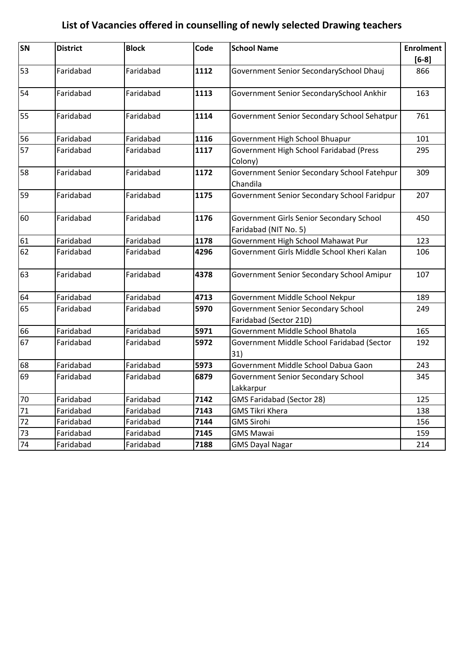| SN | <b>District</b> | <b>Block</b> | Code | <b>School Name</b>                          | <b>Enrolment</b> |
|----|-----------------|--------------|------|---------------------------------------------|------------------|
|    |                 |              |      |                                             | $[6-8]$          |
| 53 | Faridabad       | Faridabad    | 1112 | Government Senior SecondarySchool Dhauj     | 866              |
|    |                 |              |      |                                             |                  |
| 54 | Faridabad       | Faridabad    | 1113 | Government Senior SecondarySchool Ankhir    | 163              |
| 55 | Faridabad       | Faridabad    | 1114 | Government Senior Secondary School Sehatpur | 761              |
| 56 | Faridabad       | Faridabad    | 1116 | Government High School Bhuapur              | 101              |
| 57 | Faridabad       | Faridabad    | 1117 | Government High School Faridabad (Press     | 295              |
|    |                 |              |      | Colony)                                     |                  |
| 58 | Faridabad       | Faridabad    | 1172 | Government Senior Secondary School Fatehpur | 309              |
|    |                 |              |      | Chandila                                    |                  |
| 59 | Faridabad       | Faridabad    | 1175 | Government Senior Secondary School Faridpur | 207              |
| 60 | Faridabad       | Faridabad    | 1176 | Government Girls Senior Secondary School    | 450              |
|    |                 |              |      | Faridabad (NIT No. 5)                       |                  |
| 61 | Faridabad       | Faridabad    | 1178 | Government High School Mahawat Pur          | 123              |
| 62 | Faridabad       | Faridabad    | 4296 | Government Girls Middle School Kheri Kalan  | 106              |
| 63 | Faridabad       | Faridabad    | 4378 | Government Senior Secondary School Amipur   | 107              |
| 64 | Faridabad       | Faridabad    | 4713 | Government Middle School Nekpur             | 189              |
| 65 | Faridabad       | Faridabad    | 5970 | Government Senior Secondary School          | 249              |
|    |                 |              |      | Faridabad (Sector 21D)                      |                  |
| 66 | Faridabad       | Faridabad    | 5971 | Government Middle School Bhatola            | 165              |
| 67 | Faridabad       | Faridabad    | 5972 | Government Middle School Faridabad (Sector  | 192              |
|    |                 |              |      | 31)                                         |                  |
| 68 | Faridabad       | Faridabad    | 5973 | Government Middle School Dabua Gaon         | 243              |
| 69 | Faridabad       | Faridabad    | 6879 | Government Senior Secondary School          | 345              |
|    |                 |              |      | Lakkarpur                                   |                  |
| 70 | Faridabad       | Faridabad    | 7142 | <b>GMS Faridabad (Sector 28)</b>            | 125              |
| 71 | Faridabad       | Faridabad    | 7143 | <b>GMS Tikri Khera</b>                      | 138              |
| 72 | Faridabad       | Faridabad    | 7144 | <b>GMS Sirohi</b>                           | 156              |
| 73 | Faridabad       | Faridabad    | 7145 | <b>GMS Mawai</b>                            | 159              |
| 74 | Faridabad       | Faridabad    | 7188 | <b>GMS Dayal Nagar</b>                      | 214              |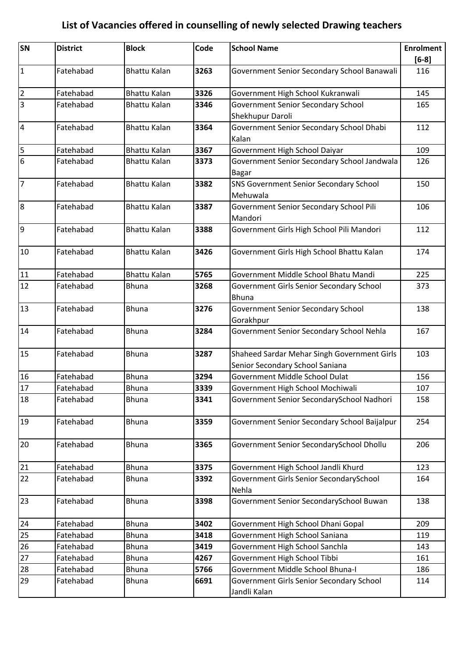| SN              | <b>District</b> | <b>Block</b>        | Code | <b>School Name</b>                                     | <b>Enrolment</b> |
|-----------------|-----------------|---------------------|------|--------------------------------------------------------|------------------|
|                 |                 |                     |      |                                                        | $[6-8]$          |
| $\vert$ 1       | Fatehabad       | <b>Bhattu Kalan</b> | 3263 | Government Senior Secondary School Banawali            | 116              |
| $\overline{2}$  | Fatehabad       | <b>Bhattu Kalan</b> | 3326 | Government High School Kukranwali                      | 145              |
| $\overline{3}$  | Fatehabad       | <b>Bhattu Kalan</b> | 3346 | Government Senior Secondary School                     | 165              |
|                 |                 |                     |      | Shekhupur Daroli                                       |                  |
| $\overline{4}$  | Fatehabad       | <b>Bhattu Kalan</b> | 3364 | Government Senior Secondary School Dhabi               | 112              |
|                 |                 |                     |      | Kalan                                                  |                  |
| 5               | Fatehabad       | <b>Bhattu Kalan</b> | 3367 | Government High School Daiyar                          | 109              |
| $6\overline{6}$ | Fatehabad       | <b>Bhattu Kalan</b> | 3373 | Government Senior Secondary School Jandwala            | 126              |
|                 |                 |                     |      | <b>Bagar</b>                                           |                  |
| 7               | Fatehabad       | <b>Bhattu Kalan</b> | 3382 | SNS Government Senior Secondary School                 | 150              |
|                 |                 |                     |      | Mehuwala                                               |                  |
| 8               | Fatehabad       | <b>Bhattu Kalan</b> | 3387 | Government Senior Secondary School Pili                | 106              |
|                 |                 |                     |      | Mandori                                                |                  |
| 9               | Fatehabad       | <b>Bhattu Kalan</b> | 3388 | Government Girls High School Pili Mandori              | 112              |
|                 |                 |                     |      |                                                        |                  |
| 10              | Fatehabad       | <b>Bhattu Kalan</b> | 3426 | Government Girls High School Bhattu Kalan              | 174              |
|                 |                 |                     |      |                                                        |                  |
| 11              | Fatehabad       | <b>Bhattu Kalan</b> | 5765 | Government Middle School Bhatu Mandi                   | 225              |
| 12              | Fatehabad       | <b>Bhuna</b>        | 3268 | Government Girls Senior Secondary School               | 373              |
|                 | Fatehabad       |                     | 3276 | <b>Bhuna</b>                                           |                  |
| 13              |                 | <b>Bhuna</b>        |      | <b>Government Senior Secondary School</b><br>Gorakhpur | 138              |
| 14              | Fatehabad       | <b>Bhuna</b>        | 3284 | Government Senior Secondary School Nehla               | 167              |
|                 |                 |                     |      |                                                        |                  |
| 15              | Fatehabad       | <b>Bhuna</b>        | 3287 | Shaheed Sardar Mehar Singh Government Girls            | 103              |
|                 |                 |                     |      | Senior Secondary School Saniana                        |                  |
| 16              | Fatehabad       | <b>Bhuna</b>        | 3294 | Government Middle School Dulat                         | 156              |
| 17              | Fatehabad       | <b>Bhuna</b>        | 3339 | Government High School Mochiwali                       | 107              |
| 18              | Fatehabad       | <b>Bhuna</b>        | 3341 | Government Senior SecondarySchool Nadhori              | 158              |
|                 |                 |                     |      |                                                        |                  |
| 19              | Fatehabad       | <b>Bhuna</b>        | 3359 | Government Senior Secondary School Baijalpur           | 254              |
|                 |                 |                     |      |                                                        |                  |
| 20              | Fatehabad       | <b>Bhuna</b>        | 3365 | Government Senior SecondarySchool Dhollu               | 206              |
|                 |                 |                     |      |                                                        |                  |
| 21              | Fatehabad       | <b>Bhuna</b>        | 3375 | Government High School Jandli Khurd                    | 123              |
| 22              | Fatehabad       | <b>Bhuna</b>        | 3392 | Government Girls Senior SecondarySchool                | 164              |
|                 |                 |                     |      | Nehla                                                  |                  |
| 23              | Fatehabad       | <b>Bhuna</b>        | 3398 | Government Senior SecondarySchool Buwan                | 138              |
|                 |                 |                     |      |                                                        |                  |
| 24              | Fatehabad       | <b>Bhuna</b>        | 3402 | Government High School Dhani Gopal                     | 209              |
| 25              | Fatehabad       | <b>Bhuna</b>        | 3418 | Government High School Saniana                         | 119              |
| 26              | Fatehabad       | <b>Bhuna</b>        | 3419 | Government High School Sanchla                         | 143              |
| 27              | Fatehabad       | <b>Bhuna</b>        | 4267 | Government High School Tibbi                           | 161              |
| 28              | Fatehabad       | <b>Bhuna</b>        | 5766 | Government Middle School Bhuna-I                       | 186              |
| 29              | Fatehabad       | <b>Bhuna</b>        | 6691 | Government Girls Senior Secondary School               | 114              |
|                 |                 |                     |      | Jandli Kalan                                           |                  |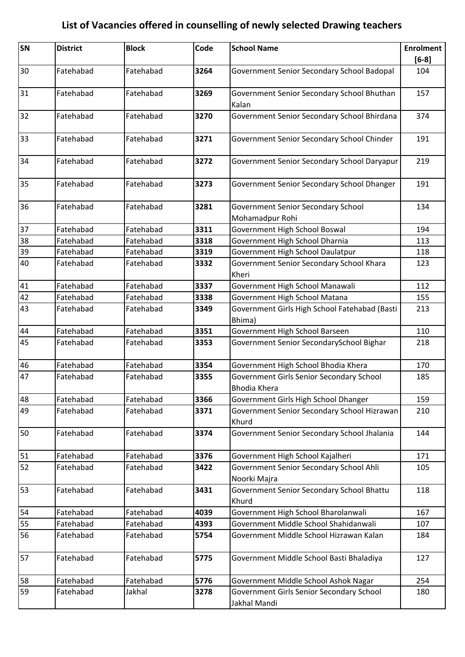| SN | <b>District</b> | <b>Block</b> | Code | <b>School Name</b>                                              | <b>Enrolment</b><br>$[6-8]$ |
|----|-----------------|--------------|------|-----------------------------------------------------------------|-----------------------------|
| 30 | Fatehabad       | Fatehabad    | 3264 | Government Senior Secondary School Badopal                      | 104                         |
| 31 | Fatehabad       | Fatehabad    | 3269 | Government Senior Secondary School Bhuthan<br>Kalan             | 157                         |
| 32 | Fatehabad       | Fatehabad    | 3270 | Government Senior Secondary School Bhirdana                     | 374                         |
| 33 | Fatehabad       | Fatehabad    | 3271 | Government Senior Secondary School Chinder                      | 191                         |
| 34 | Fatehabad       | Fatehabad    | 3272 | Government Senior Secondary School Daryapur                     | 219                         |
| 35 | Fatehabad       | Fatehabad    | 3273 | Government Senior Secondary School Dhanger                      | 191                         |
| 36 | Fatehabad       | Fatehabad    | 3281 | <b>Government Senior Secondary School</b><br>Mohamadpur Rohi    | 134                         |
| 37 | Fatehabad       | Fatehabad    | 3311 | Government High School Boswal                                   | 194                         |
| 38 | Fatehabad       | Fatehabad    | 3318 | Government High School Dharnia                                  | 113                         |
| 39 | Fatehabad       | Fatehabad    | 3319 | Government High School Daulatpur                                | 118                         |
| 40 | Fatehabad       | Fatehabad    | 3332 | Government Senior Secondary School Khara<br>Kheri               | 123                         |
| 41 | Fatehabad       | Fatehabad    | 3337 | Government High School Manawali                                 | 112                         |
| 42 | Fatehabad       | Fatehabad    | 3338 | Government High School Matana                                   | 155                         |
| 43 | Fatehabad       | Fatehabad    | 3349 | Government Girls High School Fatehabad (Basti<br>Bhima)         | 213                         |
| 44 | Fatehabad       | Fatehabad    | 3351 | Government High School Barseen                                  | 110                         |
| 45 | Fatehabad       | Fatehabad    | 3353 | Government Senior SecondarySchool Bighar                        | 218                         |
| 46 | Fatehabad       | Fatehabad    | 3354 | Government High School Bhodia Khera                             | 170                         |
| 47 | Fatehabad       | Fatehabad    | 3355 | Government Girls Senior Secondary School<br><b>Bhodia Khera</b> | 185                         |
| 48 | Fatehabad       | Fatehabad    | 3366 | Government Girls High School Dhanger                            | 159                         |
| 49 | Fatehabad       | Fatehabad    | 3371 | Government Senior Secondary School Hizrawan<br>Khurd            | 210                         |
| 50 | Fatehabad       | Fatehabad    | 3374 | Government Senior Secondary School Jhalania                     | 144                         |
| 51 | Fatehabad       | Fatehabad    | 3376 | Government High School Kajalheri                                | 171                         |
| 52 | Fatehabad       | Fatehabad    | 3422 | Government Senior Secondary School Ahli<br>Noorki Majra         | 105                         |
| 53 | Fatehabad       | Fatehabad    | 3431 | Government Senior Secondary School Bhattu<br>Khurd              | 118                         |
| 54 | Fatehabad       | Fatehabad    | 4039 | Government High School Bharolanwali                             | 167                         |
| 55 | Fatehabad       | Fatehabad    | 4393 | Government Middle School Shahidanwali                           | 107                         |
| 56 | Fatehabad       | Fatehabad    | 5754 | Government Middle School Hizrawan Kalan                         | 184                         |
| 57 | Fatehabad       | Fatehabad    | 5775 | Government Middle School Basti Bhaladiya                        | 127                         |
| 58 | Fatehabad       | Fatehabad    | 5776 | Government Middle School Ashok Nagar                            | 254                         |
| 59 | Fatehabad       | Jakhal       | 3278 | Government Girls Senior Secondary School                        | 180                         |
|    |                 |              |      | Jakhal Mandi                                                    |                             |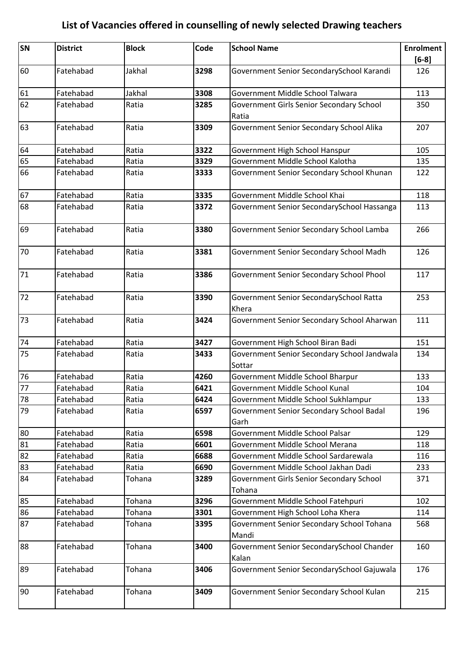| SN | <b>District</b> | <b>Block</b> | Code | <b>School Name</b>                                    | <b>Enrolment</b> |
|----|-----------------|--------------|------|-------------------------------------------------------|------------------|
| 60 | Fatehabad       | Jakhal       | 3298 | Government Senior SecondarySchool Karandi             | $[6-8]$<br>126   |
|    |                 |              |      |                                                       |                  |
| 61 | Fatehabad       | Jakhal       | 3308 | Government Middle School Talwara                      | 113              |
| 62 | Fatehabad       | Ratia        | 3285 | Government Girls Senior Secondary School              | 350              |
|    |                 |              |      | Ratia                                                 |                  |
| 63 | Fatehabad       | Ratia        | 3309 | Government Senior Secondary School Alika              | 207              |
| 64 | Fatehabad       | Ratia        | 3322 | Government High School Hanspur                        | 105              |
| 65 | Fatehabad       | Ratia        | 3329 | Government Middle School Kalotha                      | 135              |
| 66 | Fatehabad       | Ratia        | 3333 | Government Senior Secondary School Khunan             | 122              |
| 67 | Fatehabad       | Ratia        | 3335 | Government Middle School Khai                         | 118              |
| 68 | Fatehabad       | Ratia        | 3372 | Government Senior SecondarySchool Hassanga            | 113              |
| 69 | Fatehabad       | Ratia        | 3380 | Government Senior Secondary School Lamba              | 266              |
| 70 | Fatehabad       | Ratia        | 3381 | Government Senior Secondary School Madh               | 126              |
| 71 | Fatehabad       | Ratia        | 3386 | Government Senior Secondary School Phool              | 117              |
| 72 | Fatehabad       | Ratia        | 3390 | Government Senior SecondarySchool Ratta<br>Khera      | 253              |
| 73 | Fatehabad       | Ratia        | 3424 | Government Senior Secondary School Aharwan            | 111              |
| 74 | Fatehabad       | Ratia        | 3427 | Government High School Biran Badi                     | 151              |
| 75 | Fatehabad       | Ratia        | 3433 | Government Senior Secondary School Jandwala<br>Sottar | 134              |
| 76 | Fatehabad       | Ratia        | 4260 | Government Middle School Bharpur                      | 133              |
| 77 | Fatehabad       | Ratia        | 6421 | Government Middle School Kunal                        | 104              |
| 78 | Fatehabad       | Ratia        | 6424 | Government Middle School Sukhlampur                   | 133              |
| 79 | Fatehabad       | Ratia        | 6597 | Government Senior Secondary School Badal<br>Garh      | 196              |
| 80 | Fatehabad       | Ratia        | 6598 | Government Middle School Palsar                       | 129              |
| 81 | Fatehabad       | Ratia        | 6601 | Government Middle School Merana                       | 118              |
| 82 | Fatehabad       | Ratia        | 6688 | Government Middle School Sardarewala                  | 116              |
| 83 | Fatehabad       | Ratia        | 6690 | Government Middle School Jakhan Dadi                  | 233              |
| 84 | Fatehabad       | Tohana       | 3289 | Government Girls Senior Secondary School<br>Tohana    | 371              |
| 85 | Fatehabad       | Tohana       | 3296 | Government Middle School Fatehpuri                    | 102              |
| 86 | Fatehabad       | Tohana       | 3301 | Government High School Loha Khera                     | 114              |
| 87 | Fatehabad       | Tohana       | 3395 | Government Senior Secondary School Tohana<br>Mandi    | 568              |
| 88 | Fatehabad       | Tohana       | 3400 | Government Senior SecondarySchool Chander<br>Kalan    | 160              |
| 89 | Fatehabad       | Tohana       | 3406 | Government Senior SecondarySchool Gajuwala            | 176              |
| 90 | Fatehabad       | Tohana       | 3409 | Government Senior Secondary School Kulan              | 215              |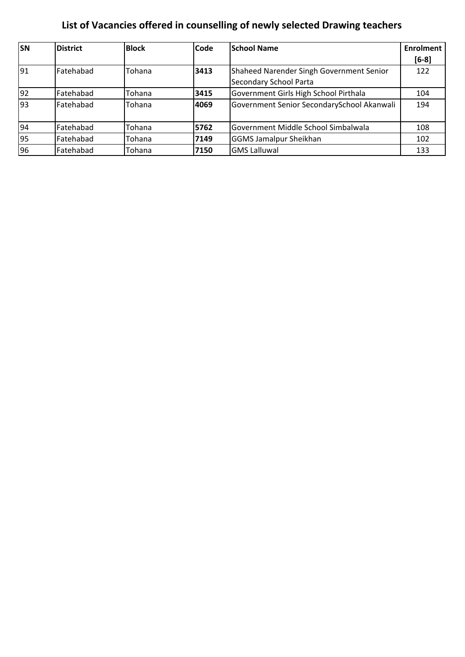| <b>SN</b> | <b>District</b> | <b>Block</b> | <b>Code</b> | <b>School Name</b>                         | <b>Enrolment</b> |
|-----------|-----------------|--------------|-------------|--------------------------------------------|------------------|
|           |                 |              |             |                                            | $[6-8]$          |
| 91        | Fatehabad       | Tohana       | 3413        | Shaheed Narender Singh Government Senior   | 122              |
|           |                 |              |             | Secondary School Parta                     |                  |
| 92        | Fatehabad       | Tohana       | 3415        | Government Girls High School Pirthala      | 104              |
| 93        | Fatehabad       | Tohana       | 4069        | Government Senior SecondarySchool Akanwali | 194              |
|           |                 |              |             |                                            |                  |
| 94        | Fatehabad       | Tohana       | 5762        | Government Middle School Simbalwala        | 108              |
| 95        | Fatehabad       | Tohana       | 7149        | <b>GGMS Jamalpur Sheikhan</b>              | 102              |
| 96        | Fatehabad       | Tohana       | 7150        | <b>GMS Lalluwal</b>                        | 133              |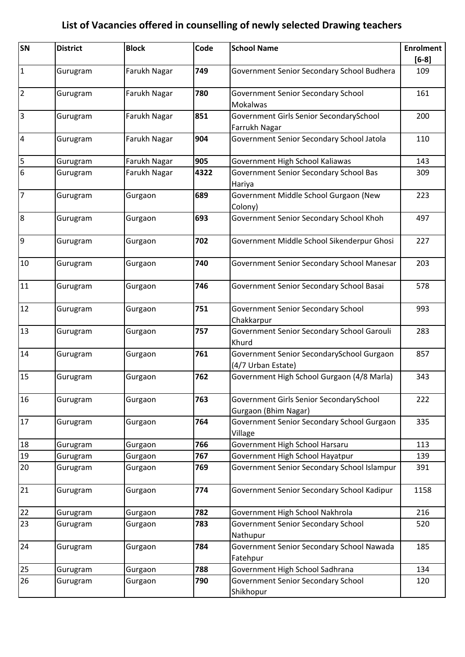| SN                      | <b>District</b> | <b>Block</b> | Code | <b>School Name</b>                                              | <b>Enrolment</b> |
|-------------------------|-----------------|--------------|------|-----------------------------------------------------------------|------------------|
|                         |                 |              |      |                                                                 | $[6-8]$          |
| $\mathbf 1$             | Gurugram        | Farukh Nagar | 749  | Government Senior Secondary School Budhera                      | 109              |
| $\overline{2}$          | Gurugram        | Farukh Nagar | 780  | Government Senior Secondary School<br><b>Mokalwas</b>           | 161              |
| $\overline{3}$          | Gurugram        | Farukh Nagar | 851  | Government Girls Senior SecondarySchool<br>Farrukh Nagar        | 200              |
| $\overline{\mathbf{4}}$ | Gurugram        | Farukh Nagar | 904  | Government Senior Secondary School Jatola                       | 110              |
| 5                       | Gurugram        | Farukh Nagar | 905  | Government High School Kaliawas                                 | 143              |
| 6                       | Gurugram        | Farukh Nagar | 4322 | Government Senior Secondary School Bas<br>Hariya                | 309              |
| $\overline{7}$          | Gurugram        | Gurgaon      | 689  | Government Middle School Gurgaon (New<br>Colony)                | 223              |
| 8                       | Gurugram        | Gurgaon      | 693  | Government Senior Secondary School Khoh                         | 497              |
| $\overline{9}$          | Gurugram        | Gurgaon      | 702  | Government Middle School Sikenderpur Ghosi                      | 227              |
| 10                      | Gurugram        | Gurgaon      | 740  | Government Senior Secondary School Manesar                      | 203              |
| 11                      | Gurugram        | Gurgaon      | 746  | Government Senior Secondary School Basai                        | 578              |
| 12                      | Gurugram        | Gurgaon      | 751  | Government Senior Secondary School<br>Chakkarpur                | 993              |
| 13                      | Gurugram        | Gurgaon      | 757  | Government Senior Secondary School Garouli<br>Khurd             | 283              |
| 14                      | Gurugram        | Gurgaon      | 761  | Government Senior SecondarySchool Gurgaon<br>(4/7 Urban Estate) | 857              |
| 15                      | Gurugram        | Gurgaon      | 762  | Government High School Gurgaon (4/8 Marla)                      | 343              |
| 16                      | Gurugram        | Gurgaon      | 763  | Government Girls Senior SecondarySchool<br>Gurgaon (Bhim Nagar) | 222              |
| 17                      | Gurugram        | Gurgaon      | 764  | Government Senior Secondary School Gurgaon<br>Village           | 335              |
| 18                      | Gurugram        | Gurgaon      | 766  | Government High School Harsaru                                  | 113              |
| 19                      | Gurugram        | Gurgaon      | 767  | Government High School Hayatpur                                 | 139              |
| 20                      | Gurugram        | Gurgaon      | 769  | Government Senior Secondary School Islampur                     | 391              |
| 21                      | Gurugram        | Gurgaon      | 774  | Government Senior Secondary School Kadipur                      | 1158             |
| 22                      | Gurugram        | Gurgaon      | 782  | Government High School Nakhrola                                 | 216              |
| 23                      | Gurugram        | Gurgaon      | 783  | Government Senior Secondary School<br>Nathupur                  | 520              |
| 24                      | Gurugram        | Gurgaon      | 784  | Government Senior Secondary School Nawada                       | 185              |
|                         |                 |              |      | Fatehpur                                                        |                  |
| 25                      | Gurugram        | Gurgaon      | 788  | Government High School Sadhrana                                 | 134              |
| 26                      | Gurugram        | Gurgaon      | 790  | Government Senior Secondary School<br>Shikhopur                 | 120              |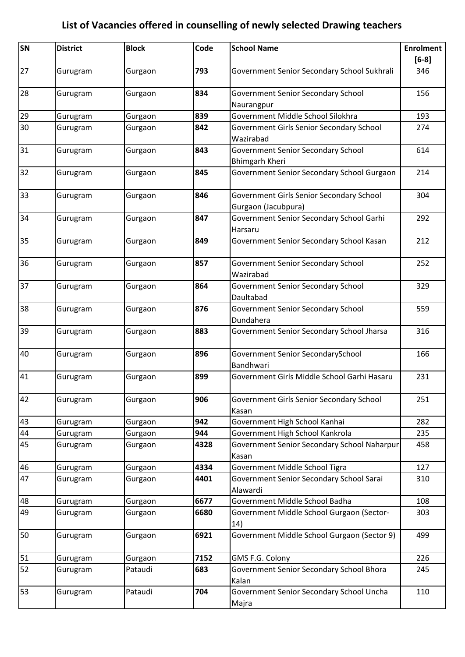| <b>SN</b> | <b>District</b> | <b>Block</b> | Code | <b>School Name</b>                                          | <b>Enrolment</b><br>$[6-8]$ |
|-----------|-----------------|--------------|------|-------------------------------------------------------------|-----------------------------|
| 27        | Gurugram        | Gurgaon      | 793  | Government Senior Secondary School Sukhrali                 | 346                         |
| 28        | Gurugram        | Gurgaon      | 834  | <b>Government Senior Secondary School</b><br>Naurangpur     | 156                         |
| 29        | Gurugram        | Gurgaon      | 839  | Government Middle School Silokhra                           | 193                         |
| 30        | Gurugram        | Gurgaon      | 842  | Government Girls Senior Secondary School                    | 274                         |
|           |                 |              |      | Wazirabad                                                   |                             |
| 31        | Gurugram        | Gurgaon      | 843  | Government Senior Secondary School<br><b>Bhimgarh Kheri</b> | 614                         |
| 32        | Gurugram        | Gurgaon      | 845  | Government Senior Secondary School Gurgaon                  | 214                         |
| 33        | Gurugram        | Gurgaon      | 846  | Government Girls Senior Secondary School                    | 304                         |
| 34        |                 |              | 847  | Gurgaon (Jacubpura)                                         | 292                         |
|           | Gurugram        | Gurgaon      |      | Government Senior Secondary School Garhi                    |                             |
| 35        |                 |              | 849  | Harsaru                                                     | 212                         |
|           | Gurugram        | Gurgaon      |      | Government Senior Secondary School Kasan                    |                             |
| 36        | Gurugram        | Gurgaon      | 857  | Government Senior Secondary School                          | 252                         |
|           |                 |              |      | Wazirabad                                                   |                             |
| 37        | Gurugram        | Gurgaon      | 864  | Government Senior Secondary School                          | 329                         |
|           |                 |              |      | Daultabad                                                   |                             |
| 38        | Gurugram        | Gurgaon      | 876  | Government Senior Secondary School                          | 559                         |
|           |                 |              |      | Dundahera                                                   |                             |
| 39        | Gurugram        | Gurgaon      | 883  | Government Senior Secondary School Jharsa                   | 316                         |
| 40        | Gurugram        | Gurgaon      | 896  | Government Senior SecondarySchool                           | 166                         |
|           |                 |              |      | Bandhwari                                                   |                             |
| 41        | Gurugram        | Gurgaon      | 899  | Government Girls Middle School Garhi Hasaru                 | 231                         |
| 42        | Gurugram        | Gurgaon      | 906  | Government Girls Senior Secondary School                    | 251                         |
|           |                 |              |      | Kasan                                                       |                             |
| 43        | Gurugram        | Gurgaon      | 942  | Government High School Kanhai                               | 282                         |
| 44        | Gurugram        | Gurgaon      | 944  | Government High School Kankrola                             | 235                         |
| 45        | Gurugram        | Gurgaon      | 4328 | Government Senior Secondary School Naharpur                 | 458                         |
|           |                 |              |      | Kasan                                                       |                             |
| 46        | Gurugram        | Gurgaon      | 4334 | Government Middle School Tigra                              | 127                         |
| 47        | Gurugram        | Gurgaon      | 4401 | Government Senior Secondary School Sarai                    | 310                         |
| 48        | Gurugram        | Gurgaon      | 6677 | Alawardi<br>Government Middle School Badha                  | 108                         |
| 49        |                 |              | 6680 |                                                             |                             |
|           | Gurugram        | Gurgaon      |      | Government Middle School Gurgaon (Sector-<br>14)            | 303                         |
| 50        | Gurugram        | Gurgaon      | 6921 | Government Middle School Gurgaon (Sector 9)                 | 499                         |
| 51        | Gurugram        | Gurgaon      | 7152 | GMS F.G. Colony                                             | 226                         |
| 52        | Gurugram        | Pataudi      | 683  | Government Senior Secondary School Bhora                    | 245                         |
|           |                 |              |      | Kalan                                                       |                             |
| 53        | Gurugram        | Pataudi      | 704  | Government Senior Secondary School Uncha                    | 110                         |
|           |                 |              |      | Majra                                                       |                             |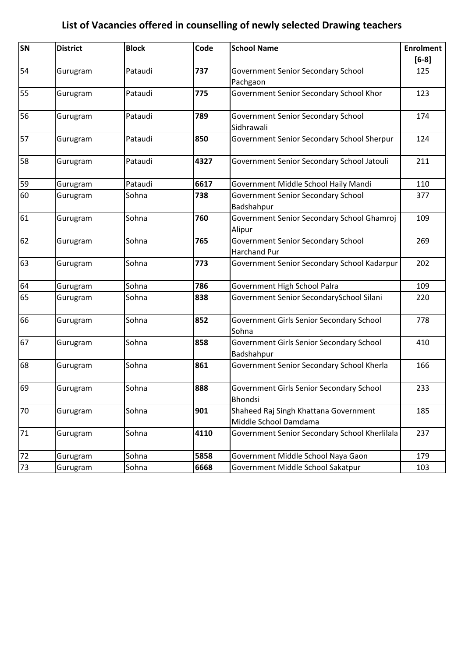| SN | <b>District</b> | <b>Block</b> | Code | <b>School Name</b>                                             | <b>Enrolment</b> |
|----|-----------------|--------------|------|----------------------------------------------------------------|------------------|
|    |                 |              |      |                                                                | $[6-8]$          |
| 54 | Gurugram        | Pataudi      | 737  | <b>Government Senior Secondary School</b><br>Pachgaon          | 125              |
| 55 | Gurugram        | Pataudi      | 775  | Government Senior Secondary School Khor                        | 123              |
| 56 | Gurugram        | Pataudi      | 789  | Government Senior Secondary School<br>Sidhrawali               | 174              |
| 57 | Gurugram        | Pataudi      | 850  | Government Senior Secondary School Sherpur                     | 124              |
| 58 | Gurugram        | Pataudi      | 4327 | Government Senior Secondary School Jatouli                     | 211              |
| 59 | Gurugram        | Pataudi      | 6617 | Government Middle School Haily Mandi                           | 110              |
| 60 | Gurugram        | Sohna        | 738  | <b>Government Senior Secondary School</b><br>Badshahpur        | 377              |
| 61 | Gurugram        | Sohna        | 760  | Government Senior Secondary School Ghamroj<br>Alipur           | 109              |
| 62 | Gurugram        | Sohna        | 765  | Government Senior Secondary School<br><b>Harchand Pur</b>      | 269              |
| 63 | Gurugram        | Sohna        | 773  | Government Senior Secondary School Kadarpur                    | 202              |
| 64 | Gurugram        | Sohna        | 786  | Government High School Palra                                   | 109              |
| 65 | Gurugram        | Sohna        | 838  | Government Senior SecondarySchool Silani                       | 220              |
| 66 | Gurugram        | Sohna        | 852  | Government Girls Senior Secondary School<br>Sohna              | 778              |
| 67 | Gurugram        | Sohna        | 858  | Government Girls Senior Secondary School<br>Badshahpur         | 410              |
| 68 | Gurugram        | Sohna        | 861  | Government Senior Secondary School Kherla                      | 166              |
| 69 | Gurugram        | Sohna        | 888  | Government Girls Senior Secondary School<br>Bhondsi            | 233              |
| 70 | Gurugram        | Sohna        | 901  | Shaheed Raj Singh Khattana Government<br>Middle School Damdama | 185              |
| 71 | Gurugram        | Sohna        | 4110 | Government Senior Secondary School Kherlilala                  | 237              |
| 72 | Gurugram        | Sohna        | 5858 | Government Middle School Naya Gaon                             | 179              |
| 73 | Gurugram        | Sohna        | 6668 | Government Middle School Sakatpur                              | 103              |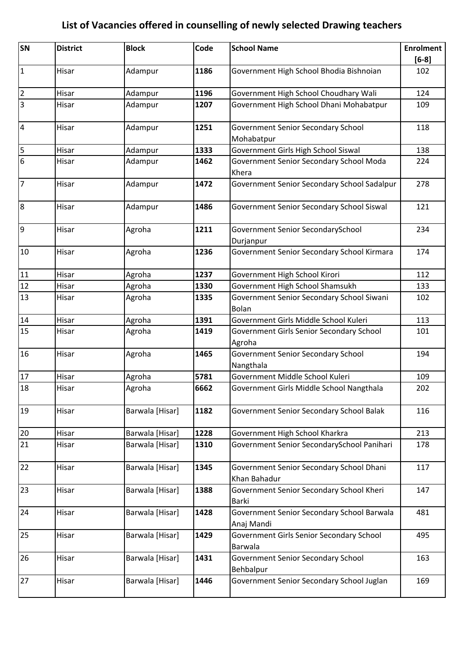| SN              | <b>District</b> | <b>Block</b>    | Code | <b>School Name</b>                                        | <b>Enrolment</b> |
|-----------------|-----------------|-----------------|------|-----------------------------------------------------------|------------------|
|                 |                 |                 |      |                                                           | $[6-8]$          |
| $\overline{1}$  | Hisar           | Adampur         | 1186 | Government High School Bhodia Bishnoian                   | 102              |
| $\overline{2}$  | Hisar           | Adampur         | 1196 | Government High School Choudhary Wali                     | 124              |
| $\overline{3}$  | Hisar           | Adampur         | 1207 | Government High School Dhani Mohabatpur                   | 109              |
| $\overline{4}$  | Hisar           | Adampur         | 1251 | <b>Government Senior Secondary School</b>                 | 118              |
|                 |                 |                 |      | Mohabatpur                                                |                  |
| 5               | Hisar           | Adampur         | 1333 | Government Girls High School Siswal                       | 138              |
| $\overline{6}$  | Hisar           | Adampur         | 1462 | Government Senior Secondary School Moda                   | 224              |
|                 |                 |                 |      | Khera                                                     |                  |
| $\overline{7}$  | Hisar           | Adampur         | 1472 | Government Senior Secondary School Sadalpur               | 278              |
| 8               | Hisar           | Adampur         | 1486 | Government Senior Secondary School Siswal                 | 121              |
| 9               | Hisar           | Agroha          | 1211 | Government Senior SecondarySchool<br>Durjanpur            | 234              |
| 10              | Hisar           | Agroha          | 1236 | Government Senior Secondary School Kirmara                | 174              |
| 11              | Hisar           | Agroha          | 1237 | Government High School Kirori                             | 112              |
| $\overline{12}$ | Hisar           | Agroha          | 1330 | Government High School Shamsukh                           | 133              |
| 13              | Hisar           | Agroha          | 1335 | Government Senior Secondary School Siwani<br><b>Bolan</b> | 102              |
| 14              | Hisar           | Agroha          | 1391 | Government Girls Middle School Kuleri                     | 113              |
| 15              | Hisar           | Agroha          | 1419 | Government Girls Senior Secondary School<br>Agroha        | 101              |
| 16              | Hisar           | Agroha          | 1465 | Government Senior Secondary School                        | 194              |
|                 |                 |                 |      | Nangthala                                                 |                  |
| 17              | Hisar           | Agroha          | 5781 | Government Middle School Kuleri                           | 109              |
| 18              | Hisar           | Agroha          | 6662 | Government Girls Middle School Nangthala                  | 202              |
| 19              | Hisar           | Barwala [Hisar] | 1182 | Government Senior Secondary School Balak                  | 116              |
| 20              | Hisar           | Barwala [Hisar] | 1228 | Government High School Kharkra                            | 213              |
| 21              | Hisar           | Barwala [Hisar] | 1310 | Government Senior SecondarySchool Panihari                | 178              |
| 22              | Hisar           | Barwala [Hisar] | 1345 | Government Senior Secondary School Dhani<br>Khan Bahadur  | 117              |
| 23              | Hisar           | Barwala [Hisar] | 1388 | Government Senior Secondary School Kheri<br>Barki         | 147              |
| 24              | Hisar           | Barwala [Hisar] | 1428 | Government Senior Secondary School Barwala<br>Anaj Mandi  | 481              |
| 25              | Hisar           | Barwala [Hisar] | 1429 | Government Girls Senior Secondary School<br>Barwala       | 495              |
| 26              | Hisar           | Barwala [Hisar] | 1431 | <b>Government Senior Secondary School</b><br>Behbalpur    | 163              |
| 27              | Hisar           | Barwala [Hisar] | 1446 | Government Senior Secondary School Juglan                 | 169              |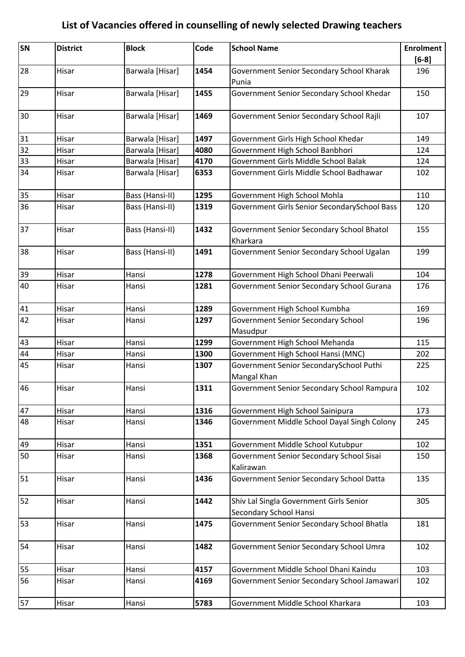| SN | <b>District</b> | <b>Block</b>    | Code | <b>School Name</b>                                                | <b>Enrolment</b> |
|----|-----------------|-----------------|------|-------------------------------------------------------------------|------------------|
|    |                 |                 |      |                                                                   | $[6-8]$          |
| 28 | Hisar           | Barwala [Hisar] | 1454 | Government Senior Secondary School Kharak<br>Punia                | 196              |
| 29 | Hisar           | Barwala [Hisar] | 1455 | Government Senior Secondary School Khedar                         | 150              |
| 30 | Hisar           | Barwala [Hisar] | 1469 | Government Senior Secondary School Rajli                          | 107              |
| 31 | Hisar           | Barwala [Hisar] | 1497 | Government Girls High School Khedar                               | 149              |
| 32 | Hisar           | Barwala [Hisar] | 4080 | Government High School Banbhori                                   | 124              |
| 33 | Hisar           | Barwala [Hisar] | 4170 | Government Girls Middle School Balak                              | 124              |
| 34 | Hisar           | Barwala [Hisar] | 6353 | Government Girls Middle School Badhawar                           | 102              |
| 35 | Hisar           | Bass (Hansi-II) | 1295 | Government High School Mohla                                      | 110              |
| 36 | Hisar           | Bass (Hansi-II) | 1319 | Government Girls Senior SecondarySchool Bass                      | 120              |
| 37 | Hisar           | Bass (Hansi-II) | 1432 | Government Senior Secondary School Bhatol<br>Kharkara             | 155              |
| 38 | Hisar           | Bass (Hansi-II) | 1491 | Government Senior Secondary School Ugalan                         | 199              |
| 39 | Hisar           | Hansi           | 1278 | Government High School Dhani Peerwali                             | 104              |
| 40 | Hisar           | Hansi           | 1281 | Government Senior Secondary School Gurana                         | 176              |
| 41 | Hisar           | Hansi           | 1289 | Government High School Kumbha                                     | 169              |
| 42 | Hisar           | Hansi           | 1297 | <b>Government Senior Secondary School</b><br>Masudpur             | 196              |
| 43 | Hisar           | Hansi           | 1299 | Government High School Mehanda                                    | 115              |
| 44 | Hisar           | Hansi           | 1300 | Government High School Hansi (MNC)                                | 202              |
| 45 | Hisar           | Hansi           | 1307 | Government Senior SecondarySchool Puthi<br>Mangal Khan            | 225              |
| 46 | Hisar           | Hansi           | 1311 | Government Senior Secondary School Rampura                        | 102              |
| 47 | Hisar           | Hansi           | 1316 | Government High School Sainipura                                  | 173              |
| 48 | Hisar           | Hansi           | 1346 | Government Middle School Dayal Singh Colony                       | 245              |
| 49 | Hisar           | Hansi           | 1351 | Government Middle School Kutubpur                                 | 102              |
| 50 | Hisar           | Hansi           | 1368 | Government Senior Secondary School Sisai<br>Kalirawan             | 150              |
| 51 | Hisar           | Hansi           | 1436 | Government Senior Secondary School Datta                          | 135              |
| 52 | Hisar           | Hansi           | 1442 | Shiv Lal Singla Government Girls Senior<br>Secondary School Hansi | 305              |
| 53 | Hisar           | Hansi           | 1475 | Government Senior Secondary School Bhatla                         | 181              |
| 54 | Hisar           | Hansi           | 1482 | Government Senior Secondary School Umra                           | 102              |
| 55 | Hisar           | Hansi           | 4157 | Government Middle School Dhani Kaindu                             | 103              |
| 56 | Hisar           | Hansi           | 4169 | Government Senior Secondary School Jamawari                       | 102              |
| 57 | Hisar           | Hansi           | 5783 | Government Middle School Kharkara                                 | 103              |
|    |                 |                 |      |                                                                   |                  |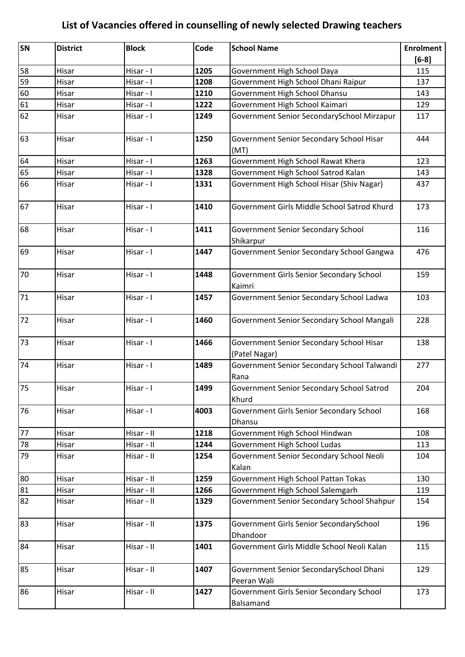| SN | <b>District</b> | <b>Block</b> | Code | <b>School Name</b>                                        | <b>Enrolment</b> |
|----|-----------------|--------------|------|-----------------------------------------------------------|------------------|
|    |                 |              |      |                                                           | $[6-8]$          |
| 58 | Hisar           | Hisar - I    | 1205 | Government High School Daya                               | 115              |
| 59 | Hisar           | Hisar - I    | 1208 | Government High School Dhani Raipur                       | 137              |
| 60 | Hisar           | Hisar - I    | 1210 | Government High School Dhansu                             | 143              |
| 61 | Hisar           | Hisar - I    | 1222 | Government High School Kaimari                            | 129              |
| 62 | Hisar           | Hisar - I    | 1249 | Government Senior SecondarySchool Mirzapur                | 117              |
| 63 | Hisar           | Hisar - I    | 1250 | Government Senior Secondary School Hisar<br>(MT)          | 444              |
| 64 | Hisar           | Hisar - I    | 1263 | Government High School Rawat Khera                        | 123              |
| 65 | Hisar           | Hisar - I    | 1328 | Government High School Satrod Kalan                       | 143              |
| 66 | Hisar           | Hisar - I    | 1331 | Government High School Hisar (Shiv Nagar)                 | 437              |
| 67 | Hisar           | Hisar - I    | 1410 | Government Girls Middle School Satrod Khurd               | 173              |
| 68 | Hisar           | Hisar - I    | 1411 | <b>Government Senior Secondary School</b><br>Shikarpur    | 116              |
| 69 | Hisar           | Hisar - I    | 1447 | Government Senior Secondary School Gangwa                 | 476              |
| 70 | Hisar           | Hisar - I    | 1448 | Government Girls Senior Secondary School<br>Kaimri        | 159              |
| 71 | Hisar           | Hisar - I    | 1457 | Government Senior Secondary School Ladwa                  | 103              |
| 72 | Hisar           | Hisar - I    | 1460 | Government Senior Secondary School Mangali                | 228              |
| 73 | Hisar           | Hisar - I    | 1466 | Government Senior Secondary School Hisar<br>(Patel Nagar) | 138              |
| 74 | Hisar           | Hisar - I    | 1489 | Government Senior Secondary School Talwandi<br>Rana       | 277              |
| 75 | Hisar           | Hisar - I    | 1499 | Government Senior Secondary School Satrod<br>Khurd        | 204              |
| 76 | Hisar           | Hisar - I    | 4003 | Government Girls Senior Secondary School<br>Dhansu        | 168              |
| 77 | Hisar           | Hisar - II   | 1218 | Government High School Hindwan                            | 108              |
| 78 | Hisar           | Hisar - II   | 1244 | Government High School Ludas                              | 113              |
| 79 | Hisar           | Hisar - II   | 1254 | Government Senior Secondary School Neoli<br>Kalan         | 104              |
| 80 | Hisar           | Hisar - II   | 1259 | Government High School Pattan Tokas                       | 130              |
| 81 | Hisar           | Hisar - II   | 1266 | Government High School Salemgarh                          | 119              |
| 82 | Hisar           | Hisar - II   | 1329 | Government Senior Secondary School Shahpur                | 154              |
| 83 | Hisar           | Hisar - II   | 1375 | Government Girls Senior SecondarySchool<br>Dhandoor       | 196              |
| 84 | Hisar           | Hisar - II   | 1401 | Government Girls Middle School Neoli Kalan                | 115              |
| 85 | Hisar           | Hisar - II   | 1407 | Government Senior SecondarySchool Dhani<br>Peeran Wali    | 129              |
| 86 | Hisar           | Hisar - II   | 1427 | Government Girls Senior Secondary School<br>Balsamand     | 173              |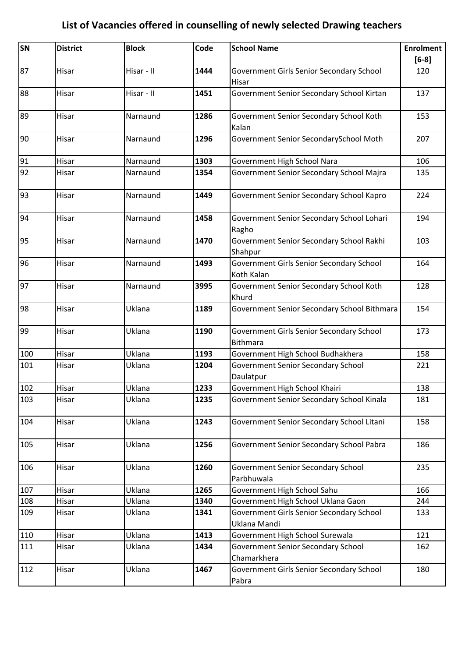| SN  | <b>District</b> | <b>Block</b> | Code | <b>School Name</b>                                          | <b>Enrolment</b> |
|-----|-----------------|--------------|------|-------------------------------------------------------------|------------------|
|     |                 |              |      |                                                             | $[6-8]$          |
| 87  | Hisar           | Hisar - II   | 1444 | Government Girls Senior Secondary School<br>Hisar           | 120              |
| 88  | Hisar           | Hisar - II   | 1451 | Government Senior Secondary School Kirtan                   | 137              |
| 89  | Hisar           | Narnaund     | 1286 | Government Senior Secondary School Koth<br>Kalan            | 153              |
| 90  | Hisar           | Narnaund     | 1296 | Government Senior SecondarySchool Moth                      | 207              |
| 91  | Hisar           | Narnaund     | 1303 | Government High School Nara                                 | 106              |
| 92  | Hisar           | Narnaund     | 1354 | Government Senior Secondary School Majra                    | 135              |
| 93  | Hisar           | Narnaund     | 1449 | Government Senior Secondary School Kapro                    | 224              |
| 94  | Hisar           | Narnaund     | 1458 | Government Senior Secondary School Lohari<br>Ragho          | 194              |
| 95  | Hisar           | Narnaund     | 1470 | Government Senior Secondary School Rakhi<br>Shahpur         | 103              |
| 96  | Hisar           | Narnaund     | 1493 | Government Girls Senior Secondary School<br>Koth Kalan      | 164              |
| 97  | Hisar           | Narnaund     | 3995 | Government Senior Secondary School Koth<br>Khurd            | 128              |
| 98  | Hisar           | Uklana       | 1189 | Government Senior Secondary School Bithmara                 | 154              |
| 99  | Hisar           | Uklana       | 1190 | Government Girls Senior Secondary School<br><b>Bithmara</b> | 173              |
| 100 | Hisar           | Uklana       | 1193 | Government High School Budhakhera                           | 158              |
| 101 | Hisar           | Uklana       | 1204 | <b>Government Senior Secondary School</b><br>Daulatpur      | 221              |
| 102 | Hisar           | Uklana       | 1233 | Government High School Khairi                               | 138              |
| 103 | Hisar           | Uklana       | 1235 | Government Senior Secondary School Kinala                   | 181              |
| 104 | Hisar           | Uklana       | 1243 | Government Senior Secondary School Litani                   | 158              |
| 105 | Hisar           | Uklana       | 1256 | Government Senior Secondary School Pabra                    | 186              |
| 106 | Hisar           | Uklana       | 1260 | <b>Government Senior Secondary School</b><br>Parbhuwala     | 235              |
| 107 | Hisar           | Uklana       | 1265 | Government High School Sahu                                 | 166              |
| 108 | Hisar           | Uklana       | 1340 | Government High School Uklana Gaon                          | 244              |
| 109 | Hisar           | Uklana       | 1341 | Government Girls Senior Secondary School<br>Uklana Mandi    | 133              |
| 110 | Hisar           | Uklana       | 1413 | Government High School Surewala                             | 121              |
| 111 | Hisar           | Uklana       | 1434 | <b>Government Senior Secondary School</b><br>Chamarkhera    | 162              |
| 112 | Hisar           | Uklana       | 1467 | Government Girls Senior Secondary School<br>Pabra           | 180              |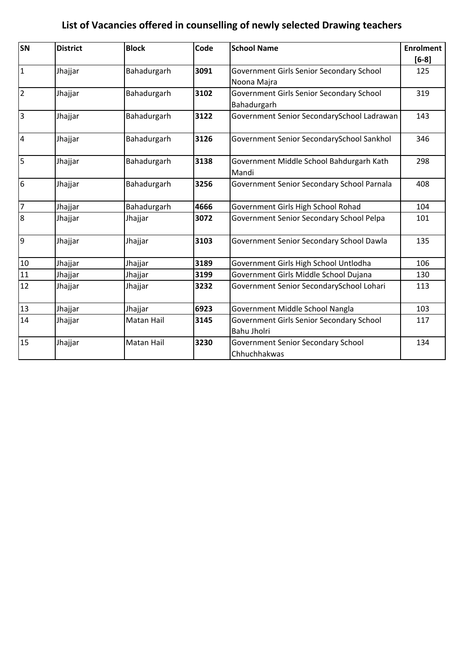| <b>SN</b>      | <b>District</b> | <b>Block</b>      | Code | <b>School Name</b>                         | <b>Enrolment</b> |
|----------------|-----------------|-------------------|------|--------------------------------------------|------------------|
|                |                 |                   |      |                                            | $[6-8]$          |
| $\mathbf{1}$   | Jhajjar         | Bahadurgarh       | 3091 | Government Girls Senior Secondary School   | 125              |
|                |                 |                   |      | Noona Majra                                |                  |
| $\overline{2}$ | Jhajjar         | Bahadurgarh       | 3102 | Government Girls Senior Secondary School   | 319              |
|                |                 |                   |      | Bahadurgarh                                |                  |
| $\overline{3}$ | Jhajjar         | Bahadurgarh       | 3122 | Government Senior SecondarySchool Ladrawan | 143              |
| $\overline{4}$ | Jhajjar         | Bahadurgarh       | 3126 | Government Senior SecondarySchool Sankhol  | 346              |
| 5              | Jhajjar         | Bahadurgarh       | 3138 | Government Middle School Bahdurgarh Kath   | 298              |
|                |                 |                   |      | Mandi                                      |                  |
| 6              | Jhajjar         | Bahadurgarh       | 3256 | Government Senior Secondary School Parnala | 408              |
| $\overline{7}$ | Jhajjar         | Bahadurgarh       | 4666 | Government Girls High School Rohad         | 104              |
| 8              | Jhajjar         | Jhajjar           | 3072 | Government Senior Secondary School Pelpa   | 101              |
| 9              | Jhajjar         | Jhajjar           | 3103 | Government Senior Secondary School Dawla   | 135              |
| $10\,$         | Jhajjar         | Jhajjar           | 3189 | Government Girls High School Untlodha      | 106              |
| 11             | Jhajjar         | Jhajjar           | 3199 | Government Girls Middle School Dujana      | 130              |
| 12             | Jhajjar         | Jhajjar           | 3232 | Government Senior SecondarySchool Lohari   | 113              |
| 13             | Jhajjar         | Jhajjar           | 6923 | Government Middle School Nangla            | 103              |
| 14             | Jhajjar         | Matan Hail        | 3145 | Government Girls Senior Secondary School   | 117              |
|                |                 |                   |      | Bahu Jholri                                |                  |
| 15             | Jhajjar         | <b>Matan Hail</b> | 3230 | Government Senior Secondary School         | 134              |
|                |                 |                   |      | Chhuchhakwas                               |                  |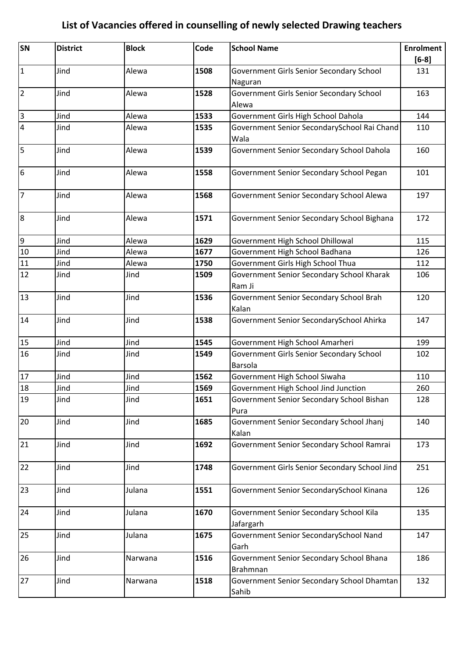| SN                      | <b>District</b> | <b>Block</b> | Code | <b>School Name</b>                                         | <b>Enrolment</b><br>$[6-8]$ |
|-------------------------|-----------------|--------------|------|------------------------------------------------------------|-----------------------------|
| $\overline{1}$          | Jind            | Alewa        | 1508 | Government Girls Senior Secondary School<br>Naguran        | 131                         |
| $\overline{2}$          | Jind            | Alewa        | 1528 | Government Girls Senior Secondary School<br>Alewa          | 163                         |
| $\overline{\mathbf{3}}$ | Jind            | Alewa        | 1533 | Government Girls High School Dahola                        | 144                         |
| $\overline{4}$          | Jind            | Alewa        | 1535 | Government Senior SecondarySchool Rai Chand                | 110                         |
|                         |                 |              |      | Wala                                                       |                             |
| 5                       | Jind            | Alewa        | 1539 | Government Senior Secondary School Dahola                  | 160                         |
| 6                       | Jind            | Alewa        | 1558 | Government Senior Secondary School Pegan                   | 101                         |
| $\overline{7}$          | Jind            | Alewa        | 1568 | Government Senior Secondary School Alewa                   | 197                         |
| 8                       | Jind            | Alewa        | 1571 | Government Senior Secondary School Bighana                 | 172                         |
| $\overline{9}$          | Jind            | Alewa        | 1629 | Government High School Dhillowal                           | 115                         |
| 10                      | Jind            | Alewa        | 1677 | Government High School Badhana                             | 126                         |
| 11                      | Jind            | Alewa        | 1750 | Government Girls High School Thua                          | 112                         |
| 12                      | Jind            | Jind         | 1509 | Government Senior Secondary School Kharak                  | 106                         |
|                         |                 |              |      | Ram Ji                                                     |                             |
| 13                      | Jind            | Jind         | 1536 | Government Senior Secondary School Brah<br>Kalan           | 120                         |
| 14                      | Jind            | Jind         | 1538 | Government Senior SecondarySchool Ahirka                   | 147                         |
| 15                      | Jind            | Jind         | 1545 | Government High School Amarheri                            | 199                         |
| 16                      | Jind            | Jind         | 1549 | Government Girls Senior Secondary School<br><b>Barsola</b> | 102                         |
| 17                      | Jind            | Jind         | 1562 | Government High School Siwaha                              | 110                         |
| 18                      | Jind            | Jind         | 1569 | Government High School Jind Junction                       | 260                         |
| 19                      | Jind            | Jind         | 1651 | Government Senior Secondary School Bishan<br>Pura          | 128                         |
| 20                      | Jind            | Jind         | 1685 | Government Senior Secondary School Jhanj<br>Kalan          | 140                         |
| 21                      | Jind            | Jind         | 1692 | Government Senior Secondary School Ramrai                  | 173                         |
| 22                      | Jind            | Jind         | 1748 | Government Girls Senior Secondary School Jind              | 251                         |
| 23                      | Jind            | Julana       | 1551 | Government Senior SecondarySchool Kinana                   | 126                         |
| 24                      | Jind            | Julana       | 1670 | Government Senior Secondary School Kila<br>Jafargarh       | 135                         |
| 25                      | Jind            | Julana       | 1675 | Government Senior SecondarySchool Nand<br>Garh             | 147                         |
| 26                      | Jind            | Narwana      | 1516 | Government Senior Secondary School Bhana<br>Brahmnan       | 186                         |
| 27                      | Jind            | Narwana      | 1518 | Government Senior Secondary School Dhamtan<br>Sahib        | 132                         |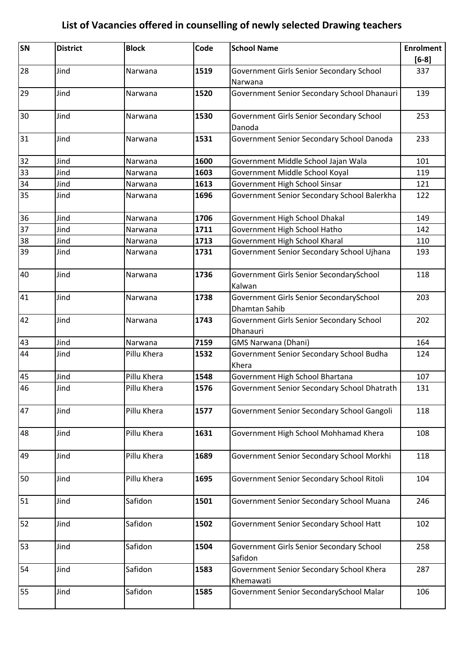| SN | <b>District</b> | <b>Block</b> | Code | <b>School Name</b>                                       | <b>Enrolment</b> |
|----|-----------------|--------------|------|----------------------------------------------------------|------------------|
|    |                 |              |      |                                                          | $[6-8]$          |
| 28 | Jind            | Narwana      | 1519 | Government Girls Senior Secondary School                 | 337              |
|    |                 |              |      | Narwana                                                  |                  |
| 29 | Jind            | Narwana      | 1520 | Government Senior Secondary School Dhanauri              | 139              |
| 30 | Jind            | Narwana      | 1530 | Government Girls Senior Secondary School<br>Danoda       | 253              |
| 31 | Jind            | Narwana      | 1531 | Government Senior Secondary School Danoda                | 233              |
| 32 | Jind            | Narwana      | 1600 | Government Middle School Jajan Wala                      | 101              |
| 33 | Jind            | Narwana      | 1603 | Government Middle School Koyal                           | 119              |
| 34 | Jind            | Narwana      | 1613 | Government High School Sinsar                            | 121              |
| 35 | Jind            | Narwana      | 1696 | Government Senior Secondary School Balerkha              | 122              |
| 36 | Jind            | Narwana      | 1706 | Government High School Dhakal                            | 149              |
| 37 | Jind            | Narwana      | 1711 | Government High School Hatho                             | 142              |
| 38 | Jind            | Narwana      | 1713 | Government High School Kharal                            | 110              |
| 39 | Jind            | Narwana      | 1731 | Government Senior Secondary School Ujhana                | 193              |
| 40 | Jind            | Narwana      | 1736 | Government Girls Senior SecondarySchool<br>Kalwan        | 118              |
| 41 | Jind            | Narwana      | 1738 | Government Girls Senior SecondarySchool<br>Dhamtan Sahib | 203              |
| 42 | Jind            | Narwana      | 1743 | Government Girls Senior Secondary School<br>Dhanauri     | 202              |
| 43 | Jind            | Narwana      | 7159 | GMS Narwana (Dhani)                                      | 164              |
| 44 | Jind            | Pillu Khera  | 1532 | Government Senior Secondary School Budha                 | 124              |
|    |                 |              |      | Khera                                                    |                  |
| 45 | Jind            | Pillu Khera  | 1548 | Government High School Bhartana                          | 107              |
| 46 | Jind            | Pillu Khera  | 1576 | Government Senior Secondary School Dhatrath              | 131              |
| 47 | Jind            | Pillu Khera  | 1577 | Government Senior Secondary School Gangoli               | 118              |
| 48 | Jind            | Pillu Khera  | 1631 | Government High School Mohhamad Khera                    | 108              |
| 49 | Jind            | Pillu Khera  | 1689 | Government Senior Secondary School Morkhi                | 118              |
| 50 | Jind            | Pillu Khera  | 1695 | Government Senior Secondary School Ritoli                | 104              |
| 51 | Jind            | Safidon      | 1501 | Government Senior Secondary School Muana                 | 246              |
| 52 | Jind            | Safidon      | 1502 | Government Senior Secondary School Hatt                  | 102              |
| 53 | Jind            | Safidon      | 1504 | Government Girls Senior Secondary School<br>Safidon      | 258              |
| 54 | Jind            | Safidon      | 1583 | Government Senior Secondary School Khera<br>Khemawati    | 287              |
| 55 | Jind            | Safidon      | 1585 | Government Senior SecondarySchool Malar                  | 106              |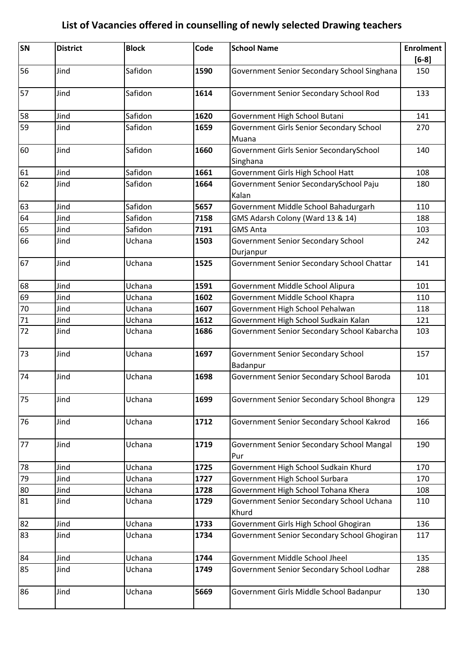| SN | <b>District</b> | <b>Block</b> | Code | <b>School Name</b>                               | <b>Enrolment</b> |
|----|-----------------|--------------|------|--------------------------------------------------|------------------|
|    |                 |              |      |                                                  | $[6-8]$          |
| 56 | Jind            | Safidon      | 1590 | Government Senior Secondary School Singhana      | 150              |
| 57 | Jind            | Safidon      | 1614 | Government Senior Secondary School Rod           | 133              |
| 58 | Jind            | Safidon      | 1620 | Government High School Butani                    | 141              |
| 59 | Jind            | Safidon      | 1659 | Government Girls Senior Secondary School         | 270              |
|    |                 |              |      | Muana                                            |                  |
| 60 | Jind            | Safidon      | 1660 | Government Girls Senior SecondarySchool          | 140              |
|    |                 |              |      | Singhana                                         |                  |
| 61 | Jind            | Safidon      | 1661 | Government Girls High School Hatt                | 108              |
| 62 | Jind            | Safidon      | 1664 | Government Senior SecondarySchool Paju           | 180              |
|    |                 |              |      | Kalan                                            |                  |
| 63 | Jind            | Safidon      | 5657 | Government Middle School Bahadurgarh             | 110              |
| 64 | Jind            | Safidon      | 7158 | GMS Adarsh Colony (Ward 13 & 14)                 | 188              |
| 65 | Jind            | Safidon      | 7191 | <b>GMS Anta</b>                                  | 103              |
| 66 | Jind            | Uchana       | 1503 | Government Senior Secondary School               | 242              |
|    |                 |              |      | Durjanpur                                        |                  |
| 67 | Jind            | Uchana       | 1525 | Government Senior Secondary School Chattar       | 141              |
| 68 | Jind            | Uchana       | 1591 | Government Middle School Alipura                 | 101              |
| 69 | Jind            | Uchana       | 1602 | Government Middle School Khapra                  | 110              |
| 70 | Jind            | Uchana       | 1607 | Government High School Pehalwan                  | 118              |
| 71 | Jind            | Uchana       | 1612 | Government High School Sudkain Kalan             | 121              |
| 72 | Jind            | Uchana       | 1686 | Government Senior Secondary School Kabarcha      | 103              |
| 73 | Jind            | Uchana       | 1697 | Government Senior Secondary School               | 157              |
|    |                 |              |      | Badanpur                                         |                  |
| 74 | Jind            | Uchana       | 1698 | Government Senior Secondary School Baroda        | 101              |
| 75 | Jind            | Uchana       | 1699 | Government Senior Secondary School Bhongra       | 129              |
| 76 | Jind            | Uchana       | 1712 | Government Senior Secondary School Kakrod        | 166              |
| 77 | Jind            | Uchana       | 1719 | Government Senior Secondary School Mangal<br>Pur | 190              |
| 78 | Jind            | Uchana       | 1725 | Government High School Sudkain Khurd             | 170              |
| 79 | Jind            | Uchana       | 1727 | Government High School Surbara                   | 170              |
| 80 | Jind            | Uchana       | 1728 | Government High School Tohana Khera              | 108              |
| 81 | Jind            | Uchana       | 1729 | Government Senior Secondary School Uchana        | 110              |
|    |                 |              |      | Khurd                                            |                  |
| 82 | Jind            | Uchana       | 1733 | Government Girls High School Ghogiran            | 136              |
| 83 | Jind            | Uchana       | 1734 | Government Senior Secondary School Ghogiran      | 117              |
| 84 | Jind            | Uchana       | 1744 | Government Middle School Jheel                   | 135              |
| 85 | Jind            | Uchana       | 1749 | Government Senior Secondary School Lodhar        | 288              |
| 86 | Jind            | Uchana       | 5669 | Government Girls Middle School Badanpur          | 130              |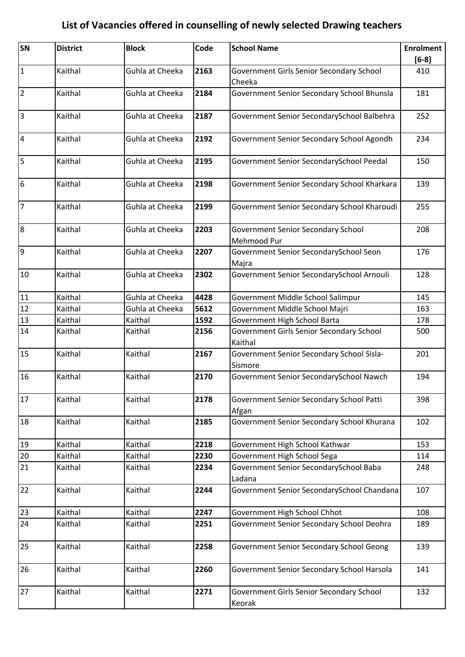| <b>SN</b>               | <b>District</b> | <b>Block</b>    | Code | <b>School Name</b>                                   | <b>Enrolment</b><br>$[6-8]$ |
|-------------------------|-----------------|-----------------|------|------------------------------------------------------|-----------------------------|
| $\mathbf 1$             | Kaithal         | Guhla at Cheeka | 2163 | Government Girls Senior Secondary School<br>Cheeka   | 410                         |
| $\overline{2}$          | Kaithal         | Guhla at Cheeka | 2184 | Government Senior Secondary School Bhunsla           | 181                         |
| $\overline{3}$          | Kaithal         | Guhla at Cheeka | 2187 | Government Senior SecondarySchool Balbehra           | 252                         |
| $\overline{\mathbf{4}}$ | Kaithal         | Guhla at Cheeka | 2192 | Government Senior Secondary School Agondh            | 234                         |
| 5                       | Kaithal         | Guhla at Cheeka | 2195 | Government Senior SecondarySchool Peedal             | 150                         |
| 6                       | Kaithal         | Guhla at Cheeka | 2198 | Government Senior Secondary School Kharkara          | 139                         |
| $\overline{7}$          | Kaithal         | Guhla at Cheeka | 2199 | Government Senior Secondary School Kharoudi          | 255                         |
| $\bf 8$                 | Kaithal         | Guhla at Cheeka | 2203 | Government Senior Secondary School<br>Mehmood Pur    | 208                         |
| 9                       | Kaithal         | Guhla at Cheeka | 2207 | Government Senior SecondarySchool Seon<br>Majra      | 176                         |
| 10                      | Kaithal         | Guhla at Cheeka | 2302 | Government Senior SecondarySchool Arnouli            | 128                         |
| 11                      | Kaithal         | Guhla at Cheeka | 4428 | Government Middle School Salimpur                    | 145                         |
| 12                      | Kaithal         | Guhla at Cheeka | 5612 | Government Middle School Majri                       | 163                         |
| 13                      | Kaithal         | Kaithal         | 1592 | Government High School Barta                         | 178                         |
| 14                      | Kaithal         | Kaithal         | 2156 | Government Girls Senior Secondary School<br>Kaithal  | 500                         |
| 15                      | Kaithal         | Kaithal         | 2167 | Government Senior Secondary School Sisla-<br>Sismore | 201                         |
| 16                      | Kaithal         | Kaithal         | 2170 | Government Senior SecondarySchool Nawch              | 194                         |
| 17                      | Kaithal         | Kaithal         | 2178 | Government Senior Secondary School Patti<br>Afgan    | 398                         |
| 18                      | Kaithal         | Kaithal         | 2185 | Government Senior Secondary School Khurana           | 102                         |
| 19                      | Kaithal         | Kaithal         | 2218 | Government High School Kathwar                       | 153                         |
| $20\,$                  | Kaithal         | Kaithal         | 2230 | Government High School Sega                          | 114                         |
| 21                      | Kaithal         | Kaithal         | 2234 | Government Senior SecondarySchool Baba<br>Ladana     | 248                         |
| 22                      | Kaithal         | Kaithal         | 2244 | Government Senior SecondarySchool Chandana           | 107                         |
| 23                      | Kaithal         | Kaithal         | 2247 | Government High School Chhot                         | 108                         |
| 24                      | Kaithal         | Kaithal         | 2251 | Government Senior Secondary School Deohra            | 189                         |
| 25                      | Kaithal         | Kaithal         | 2258 | Government Senior Secondary School Geong             | 139                         |
| 26                      | Kaithal         | Kaithal         | 2260 | Government Senior Secondary School Harsola           | 141                         |
| 27                      | Kaithal         | Kaithal         | 2271 | Government Girls Senior Secondary School<br>Keorak   | 132                         |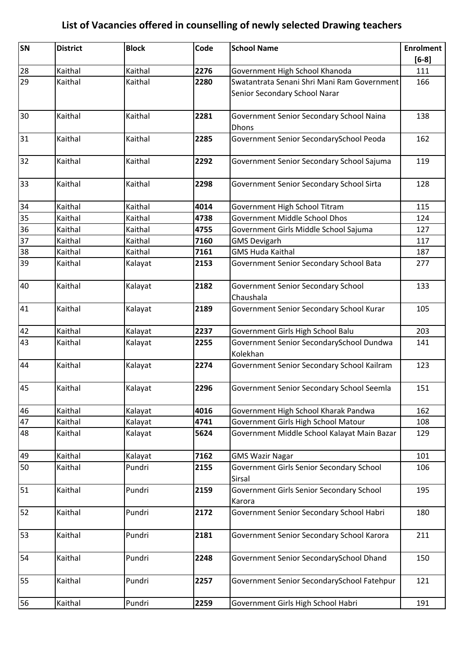| SN | <b>District</b> | <b>Block</b> | Code | <b>School Name</b>                                                           | <b>Enrolment</b> |
|----|-----------------|--------------|------|------------------------------------------------------------------------------|------------------|
|    |                 |              |      |                                                                              | $[6-8]$          |
| 28 | Kaithal         | Kaithal      | 2276 | Government High School Khanoda                                               | 111              |
| 29 | Kaithal         | Kaithal      | 2280 | Swatantrata Senani Shri Mani Ram Government<br>Senior Secondary School Narar | 166              |
| 30 | Kaithal         | Kaithal      | 2281 | Government Senior Secondary School Naina<br><b>Dhons</b>                     | 138              |
| 31 | Kaithal         | Kaithal      | 2285 | Government Senior SecondarySchool Peoda                                      | 162              |
| 32 | Kaithal         | Kaithal      | 2292 | Government Senior Secondary School Sajuma                                    | 119              |
| 33 | Kaithal         | Kaithal      | 2298 | Government Senior Secondary School Sirta                                     | 128              |
| 34 | Kaithal         | Kaithal      | 4014 | Government High School Titram                                                | 115              |
| 35 | Kaithal         | Kaithal      | 4738 | <b>Government Middle School Dhos</b>                                         | 124              |
| 36 | Kaithal         | Kaithal      | 4755 | Government Girls Middle School Sajuma                                        | 127              |
| 37 | Kaithal         | Kaithal      | 7160 | <b>GMS Devigarh</b>                                                          | 117              |
| 38 | Kaithal         | Kaithal      | 7161 | <b>GMS Huda Kaithal</b>                                                      | 187              |
| 39 | Kaithal         | Kalayat      | 2153 | Government Senior Secondary School Bata                                      | 277              |
| 40 | Kaithal         | Kalayat      | 2182 | Government Senior Secondary School<br>Chaushala                              | 133              |
| 41 | Kaithal         | Kalayat      | 2189 | Government Senior Secondary School Kurar                                     | 105              |
| 42 | Kaithal         | Kalayat      | 2237 | Government Girls High School Balu                                            | 203              |
| 43 | Kaithal         | Kalayat      | 2255 | Government Senior SecondarySchool Dundwa<br>Kolekhan                         | 141              |
| 44 | Kaithal         | Kalayat      | 2274 | Government Senior Secondary School Kailram                                   | 123              |
| 45 | Kaithal         | Kalayat      | 2296 | Government Senior Secondary School Seemla                                    | 151              |
| 46 | Kaithal         | Kalayat      | 4016 | Government High School Kharak Pandwa                                         | 162              |
| 47 | Kaithal         | Kalayat      | 4741 | Government Girls High School Matour                                          | 108              |
| 48 | Kaithal         | Kalayat      | 5624 | Government Middle School Kalayat Main Bazar                                  | 129              |
| 49 | Kaithal         | Kalayat      | 7162 | <b>GMS Wazir Nagar</b>                                                       | 101              |
| 50 | Kaithal         | Pundri       | 2155 | Government Girls Senior Secondary School<br>Sirsal                           | 106              |
| 51 | Kaithal         | Pundri       | 2159 | Government Girls Senior Secondary School<br>Karora                           | 195              |
| 52 | Kaithal         | Pundri       | 2172 | Government Senior Secondary School Habri                                     | 180              |
| 53 | Kaithal         | Pundri       | 2181 | Government Senior Secondary School Karora                                    | 211              |
| 54 | Kaithal         | Pundri       | 2248 | Government Senior SecondarySchool Dhand                                      | 150              |
| 55 | Kaithal         | Pundri       | 2257 | Government Senior SecondarySchool Fatehpur                                   | 121              |
| 56 | Kaithal         | Pundri       | 2259 | Government Girls High School Habri                                           | 191              |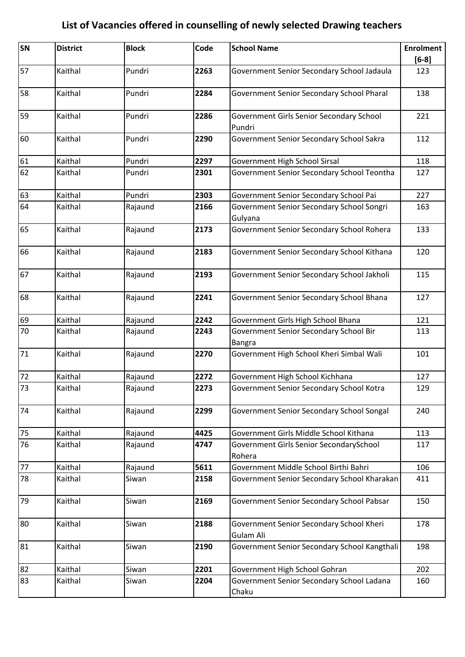| SN      | <b>District</b> | <b>Block</b> | Code | <b>School Name</b>                                      | <b>Enrolment</b> |
|---------|-----------------|--------------|------|---------------------------------------------------------|------------------|
| 57      |                 | Pundri       |      |                                                         | $[6-8]$          |
|         | Kaithal         |              | 2263 | Government Senior Secondary School Jadaula              | 123              |
| 58      | Kaithal         | Pundri       | 2284 | Government Senior Secondary School Pharal               | 138              |
| 59      | Kaithal         | Pundri       | 2286 | Government Girls Senior Secondary School<br>Pundri      | 221              |
| 60      | Kaithal         | Pundri       | 2290 | Government Senior Secondary School Sakra                | 112              |
| 61      | Kaithal         | Pundri       | 2297 | Government High School Sirsal                           | 118              |
| 62      | Kaithal         | Pundri       | 2301 | Government Senior Secondary School Teontha              | 127              |
| 63      | Kaithal         | Pundri       | 2303 | Government Senior Secondary School Pai                  | 227              |
| 64      | Kaithal         | Rajaund      | 2166 | Government Senior Secondary School Songri               | 163              |
|         |                 |              |      | Gulyana                                                 |                  |
| 65      | Kaithal         | Rajaund      | 2173 | Government Senior Secondary School Rohera               | 133              |
| 66      | Kaithal         | Rajaund      | 2183 | Government Senior Secondary School Kithana              | 120              |
| 67      | Kaithal         | Rajaund      | 2193 | Government Senior Secondary School Jakholi              | 115              |
| 68      | Kaithal         | Rajaund      | 2241 | Government Senior Secondary School Bhana                | 127              |
| 69      | Kaithal         | Rajaund      | 2242 | Government Girls High School Bhana                      | 121              |
| 70      | Kaithal         | Rajaund      | 2243 | Government Senior Secondary School Bir<br><b>Bangra</b> | 113              |
| 71      | Kaithal         | Rajaund      | 2270 | Government High School Kheri Simbal Wali                | 101              |
| 72      | Kaithal         | Rajaund      | 2272 | Government High School Kichhana                         | 127              |
| 73      | Kaithal         | Rajaund      | 2273 | Government Senior Secondary School Kotra                | 129              |
| 74      | Kaithal         | Rajaund      | 2299 | Government Senior Secondary School Songal               | 240              |
| 75      | Kaithal         | Rajaund      | 4425 | Government Girls Middle School Kithana                  | 113              |
| 76      | Kaithal         | Rajaund      | 4747 | Government Girls Senior SecondarySchool<br>Rohera       | 117              |
| $77 \,$ | Kaithal         | Rajaund      | 5611 | Government Middle School Birthi Bahri                   | 106              |
| 78      | Kaithal         | Siwan        | 2158 | Government Senior Secondary School Kharakan             | 411              |
| 79      | Kaithal         | Siwan        | 2169 | Government Senior Secondary School Pabsar               | 150              |
| 80      | Kaithal         | Siwan        | 2188 | Government Senior Secondary School Kheri<br>Gulam Ali   | 178              |
| 81      | Kaithal         | Siwan        | 2190 | Government Senior Secondary School Kangthali            | 198              |
| 82      | Kaithal         | Siwan        | 2201 | Government High School Gohran                           | 202              |
| 83      | Kaithal         | Siwan        | 2204 | Government Senior Secondary School Ladana<br>Chaku      | 160              |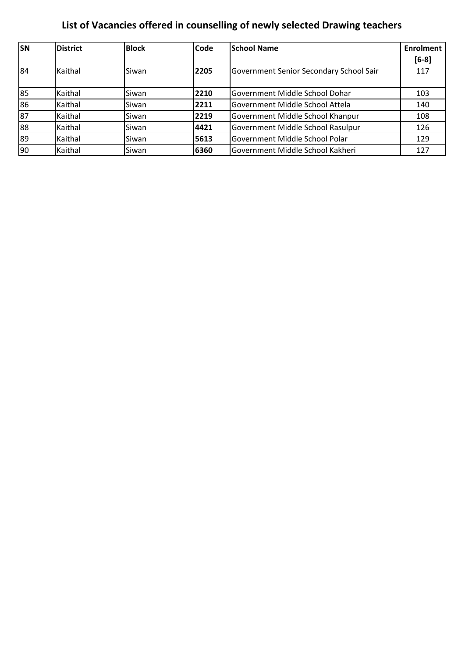| <b>SN</b> | <b>District</b> | <b>Block</b> | <b>Code</b> | <b>School Name</b>                      | <b>Enrolment</b> |
|-----------|-----------------|--------------|-------------|-----------------------------------------|------------------|
|           |                 |              |             |                                         | $[6-8]$          |
| 84        | Kaithal         | Siwan        | 2205        | Government Senior Secondary School Sair | 117              |
|           |                 |              |             |                                         |                  |
| 85        | Kaithal         | Siwan        | 2210        | Government Middle School Dohar          | 103              |
| 86        | Kaithal         | Siwan        | 2211        | Government Middle School Attela         | 140              |
| 87        | Kaithal         | Siwan        | 2219        | Government Middle School Khanpur        | 108              |
| 88        | Kaithal         | Siwan        | 4421        | Government Middle School Rasulpur       | 126              |
| 89        | Kaithal         | Siwan        | 5613        | Government Middle School Polar          | 129              |
| 90        | Kaithal         | Siwan        | 6360        | Government Middle School Kakheri        | 127              |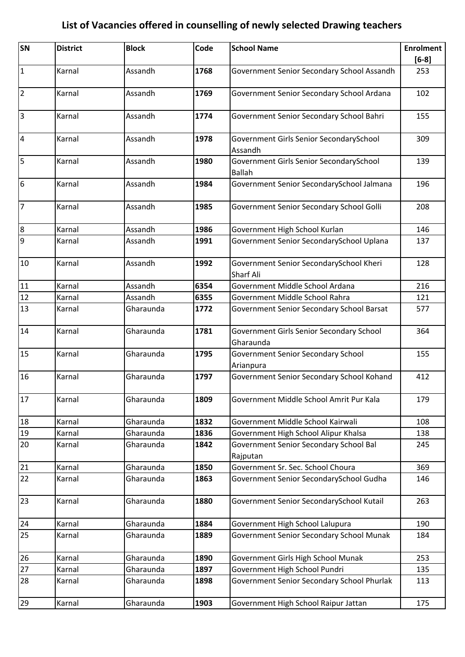| SN              | <b>District</b> | <b>Block</b> | Code | <b>School Name</b>                                       | <b>Enrolment</b><br>$[6-8]$ |
|-----------------|-----------------|--------------|------|----------------------------------------------------------|-----------------------------|
| $\vert$ 1       | Karnal          | Assandh      | 1768 | Government Senior Secondary School Assandh               | 253                         |
| $\overline{2}$  | Karnal          | Assandh      | 1769 | Government Senior Secondary School Ardana                | 102                         |
| 3               | Karnal          | Assandh      | 1774 | Government Senior Secondary School Bahri                 | 155                         |
| $\overline{4}$  | Karnal          | Assandh      | 1978 | Government Girls Senior SecondarySchool<br>Assandh       | 309                         |
| 5               | Karnal          | Assandh      | 1980 | Government Girls Senior SecondarySchool<br><b>Ballah</b> | 139                         |
| $6\overline{6}$ | Karnal          | Assandh      | 1984 | Government Senior SecondarySchool Jalmana                | 196                         |
| $\overline{7}$  | Karnal          | Assandh      | 1985 | Government Senior Secondary School Golli                 | 208                         |
| $\overline{8}$  | Karnal          | Assandh      | 1986 | Government High School Kurlan                            | 146                         |
| 9               | Karnal          | Assandh      | 1991 | Government Senior SecondarySchool Uplana                 | 137                         |
| 10              | Karnal          | Assandh      | 1992 | Government Senior SecondarySchool Kheri<br>Sharf Ali     | 128                         |
| 11              | Karnal          | Assandh      | 6354 | Government Middle School Ardana                          | 216                         |
| 12              | Karnal          | Assandh      | 6355 | Government Middle School Rahra                           | 121                         |
| 13              | Karnal          | Gharaunda    | 1772 | Government Senior Secondary School Barsat                | 577                         |
| 14              | Karnal          | Gharaunda    | 1781 | Government Girls Senior Secondary School<br>Gharaunda    | 364                         |
| 15              | Karnal          | Gharaunda    | 1795 | <b>Government Senior Secondary School</b><br>Arianpura   | 155                         |
| 16              | Karnal          | Gharaunda    | 1797 | Government Senior Secondary School Kohand                | 412                         |
| 17              | Karnal          | Gharaunda    | 1809 | Government Middle School Amrit Pur Kala                  | 179                         |
| 18              | Karnal          | Gharaunda    | 1832 | Government Middle School Kairwali                        | 108                         |
| 19              | Karnal          | Gharaunda    | 1836 | Government High School Alipur Khalsa                     | 138                         |
| 20              | Karnal          | Gharaunda    | 1842 | Government Senior Secondary School Bal<br>Rajputan       | 245                         |
| 21              | Karnal          | Gharaunda    | 1850 | Government Sr. Sec. School Choura                        | 369                         |
| 22              | Karnal          | Gharaunda    | 1863 | Government Senior SecondarySchool Gudha                  | 146                         |
| 23              | Karnal          | Gharaunda    | 1880 | Government Senior SecondarySchool Kutail                 | 263                         |
| 24              | Karnal          | Gharaunda    | 1884 | Government High School Lalupura                          | 190                         |
| 25              | Karnal          | Gharaunda    | 1889 | Government Senior Secondary School Munak                 | 184                         |
| 26              | Karnal          | Gharaunda    | 1890 | Government Girls High School Munak                       | 253                         |
| 27              | Karnal          | Gharaunda    | 1897 | Government High School Pundri                            | 135                         |
| 28              | Karnal          | Gharaunda    | 1898 | Government Senior Secondary School Phurlak               | 113                         |
| 29              | Karnal          | Gharaunda    | 1903 | Government High School Raipur Jattan                     | 175                         |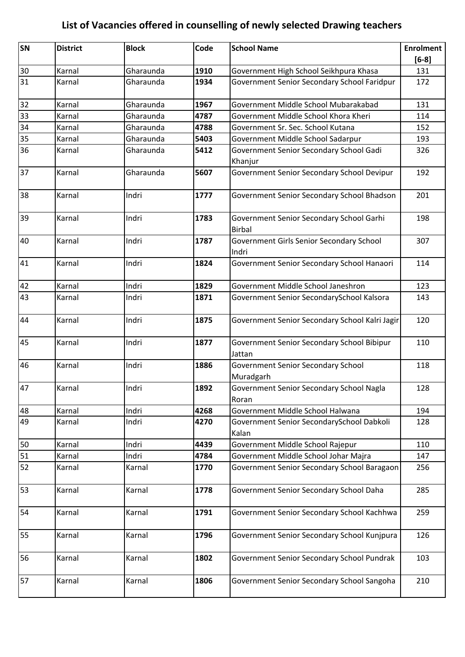| SN | <b>District</b> | <b>Block</b> | Code | <b>School Name</b>                                        | <b>Enrolment</b> |
|----|-----------------|--------------|------|-----------------------------------------------------------|------------------|
|    |                 |              |      |                                                           | $[6-8]$          |
| 30 | Karnal          | Gharaunda    | 1910 | Government High School Seikhpura Khasa                    | 131              |
| 31 | Karnal          | Gharaunda    | 1934 | Government Senior Secondary School Faridpur               | 172              |
| 32 | Karnal          | Gharaunda    | 1967 | Government Middle School Mubarakabad                      | 131              |
| 33 | Karnal          | Gharaunda    | 4787 | Government Middle School Khora Kheri                      | 114              |
| 34 | Karnal          | Gharaunda    | 4788 | Government Sr. Sec. School Kutana                         | 152              |
| 35 | Karnal          | Gharaunda    | 5403 | Government Middle School Sadarpur                         | 193              |
| 36 | Karnal          | Gharaunda    | 5412 | Government Senior Secondary School Gadi<br>Khanjur        | 326              |
| 37 | Karnal          | Gharaunda    | 5607 | Government Senior Secondary School Devipur                | 192              |
| 38 | Karnal          | Indri        | 1777 | Government Senior Secondary School Bhadson                | 201              |
| 39 | Karnal          | Indri        | 1783 | Government Senior Secondary School Garhi<br><b>Birbal</b> | 198              |
| 40 | Karnal          | Indri        | 1787 | Government Girls Senior Secondary School<br>Indri         | 307              |
| 41 | Karnal          | Indri        | 1824 | Government Senior Secondary School Hanaori                | 114              |
| 42 | Karnal          | Indri        | 1829 | Government Middle School Janeshron                        | 123              |
| 43 | Karnal          | Indri        | 1871 | Government Senior SecondarySchool Kalsora                 | 143              |
| 44 | Karnal          | Indri        | 1875 | Government Senior Secondary School Kalri Jagir            | 120              |
| 45 | Karnal          | Indri        | 1877 | Government Senior Secondary School Bibipur<br>Jattan      | 110              |
| 46 | Karnal          | Indri        | 1886 | Government Senior Secondary School<br>Muradgarh           | 118              |
| 47 | Karnal          | Indri        | 1892 | Government Senior Secondary School Nagla<br>Roran         | 128              |
| 48 | Karnal          | Indri        | 4268 | Government Middle School Halwana                          | 194              |
| 49 | Karnal          | Indri        | 4270 | Government Senior SecondarySchool Dabkoli<br>Kalan        | 128              |
| 50 | Karnal          | Indri        | 4439 | Government Middle School Rajepur                          | 110              |
| 51 | Karnal          | Indri        | 4784 | Government Middle School Johar Majra                      | 147              |
| 52 | Karnal          | Karnal       | 1770 | Government Senior Secondary School Baragaon               | 256              |
| 53 | Karnal          | Karnal       | 1778 | Government Senior Secondary School Daha                   | 285              |
| 54 | Karnal          | Karnal       | 1791 | Government Senior Secondary School Kachhwa                | 259              |
| 55 | Karnal          | Karnal       | 1796 | Government Senior Secondary School Kunjpura               | 126              |
| 56 | Karnal          | Karnal       | 1802 | Government Senior Secondary School Pundrak                | 103              |
| 57 | Karnal          | Karnal       | 1806 | Government Senior Secondary School Sangoha                | 210              |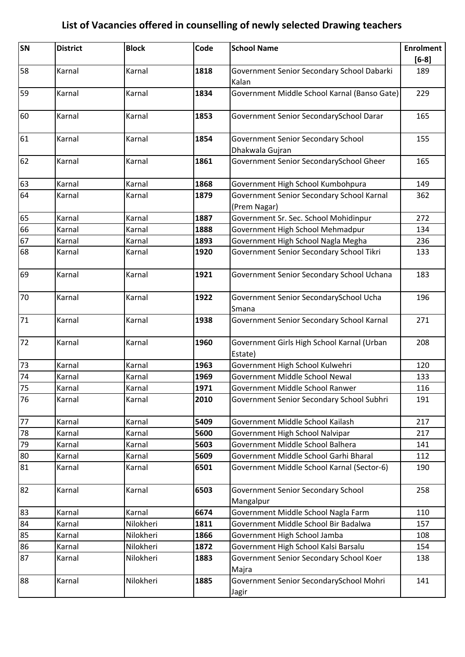| SN | <b>District</b> | <b>Block</b> | Code | <b>School Name</b>                                        | <b>Enrolment</b><br>$[6-8]$ |
|----|-----------------|--------------|------|-----------------------------------------------------------|-----------------------------|
| 58 | Karnal          | Karnal       | 1818 | Government Senior Secondary School Dabarki<br>Kalan       | 189                         |
| 59 | Karnal          | Karnal       | 1834 | Government Middle School Karnal (Banso Gate)              | 229                         |
| 60 | Karnal          | Karnal       | 1853 | Government Senior SecondarySchool Darar                   | 165                         |
| 61 | Karnal          | Karnal       | 1854 | Government Senior Secondary School<br>Dhakwala Gujran     | 155                         |
| 62 | Karnal          | Karnal       | 1861 | Government Senior SecondarySchool Gheer                   | 165                         |
| 63 | Karnal          | Karnal       | 1868 | Government High School Kumbohpura                         | 149                         |
| 64 | Karnal          | Karnal       | 1879 | Government Senior Secondary School Karnal<br>(Prem Nagar) | 362                         |
| 65 | Karnal          | Karnal       | 1887 | Government Sr. Sec. School Mohidinpur                     | 272                         |
| 66 | Karnal          | Karnal       | 1888 | Government High School Mehmadpur                          | 134                         |
| 67 | Karnal          | Karnal       | 1893 | Government High School Nagla Megha                        | 236                         |
| 68 | Karnal          | Karnal       | 1920 | Government Senior Secondary School Tikri                  | 133                         |
| 69 | Karnal          | Karnal       | 1921 | Government Senior Secondary School Uchana                 | 183                         |
| 70 | Karnal          | Karnal       | 1922 | Government Senior SecondarySchool Ucha<br>Smana           | 196                         |
| 71 | Karnal          | Karnal       | 1938 | Government Senior Secondary School Karnal                 | 271                         |
| 72 | Karnal          | Karnal       | 1960 | Government Girls High School Karnal (Urban<br>Estate)     | 208                         |
| 73 | Karnal          | Karnal       | 1963 | Government High School Kulwehri                           | 120                         |
| 74 | Karnal          | Karnal       | 1969 | Government Middle School Newal                            | 133                         |
| 75 | Karnal          | Karnal       | 1971 | Government Middle School Ranwer                           | 116                         |
| 76 | Karnal          | Karnal       | 2010 | Government Senior Secondary School Subhri                 | 191                         |
| 77 | Karnal          | Karnal       | 5409 | Government Middle School Kailash                          | 217                         |
| 78 | Karnal          | Karnal       | 5600 | Government High School Nalvipar                           | 217                         |
| 79 | Karnal          | Karnal       | 5603 | Government Middle School Balhera                          | 141                         |
| 80 | Karnal          | Karnal       | 5609 | Government Middle School Garhi Bharal                     | 112                         |
| 81 | Karnal          | Karnal       | 6501 | Government Middle School Karnal (Sector-6)                | 190                         |
| 82 | Karnal          | Karnal       | 6503 | <b>Government Senior Secondary School</b><br>Mangalpur    | 258                         |
| 83 | Karnal          | Karnal       | 6674 | Government Middle School Nagla Farm                       | 110                         |
| 84 | Karnal          | Nilokheri    | 1811 | Government Middle School Bir Badalwa                      | 157                         |
| 85 | Karnal          | Nilokheri    | 1866 | Government High School Jamba                              | 108                         |
| 86 | Karnal          | Nilokheri    | 1872 | Government High School Kalsi Barsalu                      | 154                         |
| 87 | Karnal          | Nilokheri    | 1883 | Government Senior Secondary School Koer<br>Majra          | 138                         |
| 88 | Karnal          | Nilokheri    | 1885 | Government Senior SecondarySchool Mohri<br>Jagir          | 141                         |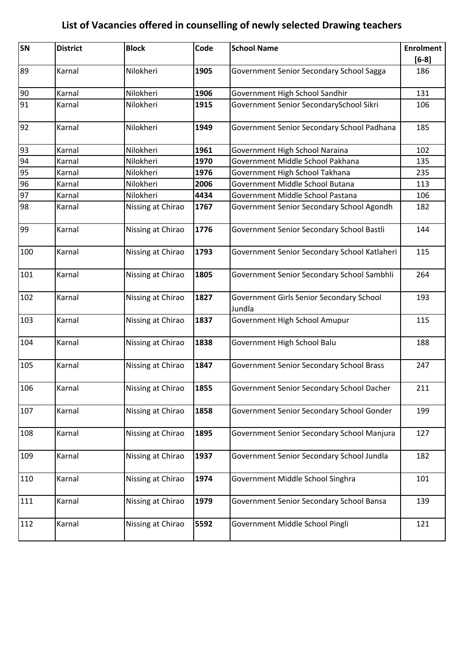| SN  | <b>District</b> | <b>Block</b>      | Code | <b>School Name</b>                                 | <b>Enrolment</b> |
|-----|-----------------|-------------------|------|----------------------------------------------------|------------------|
|     |                 |                   |      |                                                    | $[6-8]$          |
| 89  | Karnal          | Nilokheri         | 1905 | Government Senior Secondary School Sagga           | 186              |
| 90  | Karnal          | Nilokheri         | 1906 | Government High School Sandhir                     | 131              |
| 91  | Karnal          | Nilokheri         | 1915 | Government Senior SecondarySchool Sikri            | 106              |
| 92  | Karnal          | Nilokheri         | 1949 | Government Senior Secondary School Padhana         | 185              |
| 93  | Karnal          | Nilokheri         | 1961 | Government High School Naraina                     | 102              |
| 94  | Karnal          | Nilokheri         | 1970 | Government Middle School Pakhana                   | 135              |
| 95  | Karnal          | Nilokheri         | 1976 | Government High School Takhana                     | 235              |
| 96  | Karnal          | Nilokheri         | 2006 | Government Middle School Butana                    | 113              |
| 97  | Karnal          | Nilokheri         | 4434 | Government Middle School Pastana                   | 106              |
| 98  | Karnal          | Nissing at Chirao | 1767 | Government Senior Secondary School Agondh          | 182              |
| 99  | Karnal          | Nissing at Chirao | 1776 | Government Senior Secondary School Bastli          | 144              |
| 100 | Karnal          | Nissing at Chirao | 1793 | Government Senior Secondary School Katlaheri       | 115              |
| 101 | Karnal          | Nissing at Chirao | 1805 | Government Senior Secondary School Sambhli         | 264              |
| 102 | Karnal          | Nissing at Chirao | 1827 | Government Girls Senior Secondary School<br>Jundla | 193              |
| 103 | Karnal          | Nissing at Chirao | 1837 | Government High School Amupur                      | 115              |
| 104 | Karnal          | Nissing at Chirao | 1838 | Government High School Balu                        | 188              |
| 105 | Karnal          | Nissing at Chirao | 1847 | Government Senior Secondary School Brass           | 247              |
| 106 | Karnal          | Nissing at Chirao | 1855 | Government Senior Secondary School Dacher          | 211              |
| 107 | Karnal          | Nissing at Chirao | 1858 | Government Senior Secondary School Gonder          | 199              |
| 108 | Karnal          | Nissing at Chirao | 1895 | Government Senior Secondary School Manjura         | 127              |
| 109 | Karnal          | Nissing at Chirao | 1937 | Government Senior Secondary School Jundla          | 182              |
| 110 | Karnal          | Nissing at Chirao | 1974 | Government Middle School Singhra                   | 101              |
| 111 | Karnal          | Nissing at Chirao | 1979 | Government Senior Secondary School Bansa           | 139              |
| 112 | Karnal          | Nissing at Chirao | 5592 | Government Middle School Pingli                    | 121              |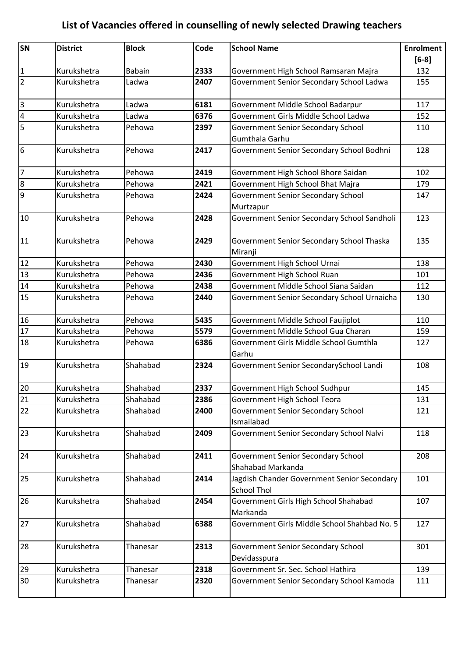| SN              | <b>District</b> | <b>Block</b>  | Code | <b>School Name</b>                                                | <b>Enrolment</b> |
|-----------------|-----------------|---------------|------|-------------------------------------------------------------------|------------------|
|                 |                 |               |      |                                                                   | $[6-8]$          |
| $\mathbf{1}$    | Kurukshetra     | <b>Babain</b> | 2333 | Government High School Ramsaran Majra                             | 132              |
| $\overline{2}$  | Kurukshetra     | Ladwa         | 2407 | Government Senior Secondary School Ladwa                          | 155              |
| $\overline{3}$  | Kurukshetra     | Ladwa         | 6181 | Government Middle School Badarpur                                 | 117              |
| $\overline{a}$  | Kurukshetra     | Ladwa         | 6376 | Government Girls Middle School Ladwa                              | 152              |
| $\overline{5}$  | Kurukshetra     | Pehowa        | 2397 | Government Senior Secondary School                                | 110              |
|                 |                 |               |      | Gumthala Garhu                                                    |                  |
| $6\phantom{.}6$ | Kurukshetra     | Pehowa        | 2417 | Government Senior Secondary School Bodhni                         | 128              |
| $\overline{7}$  | Kurukshetra     | Pehowa        | 2419 | Government High School Bhore Saidan                               | 102              |
| 8               | Kurukshetra     | Pehowa        | 2421 | Government High School Bhat Majra                                 | 179              |
| 9               | Kurukshetra     | Pehowa        | 2424 | Government Senior Secondary School<br>Murtzapur                   | 147              |
| 10              | Kurukshetra     | Pehowa        | 2428 | Government Senior Secondary School Sandholi                       | 123              |
| 11              | Kurukshetra     | Pehowa        | 2429 | Government Senior Secondary School Thaska<br>Miranji              | 135              |
| 12              | Kurukshetra     | Pehowa        | 2430 | Government High School Urnai                                      | 138              |
| 13              | Kurukshetra     | Pehowa        | 2436 | Government High School Ruan                                       | 101              |
| $\overline{14}$ | Kurukshetra     | Pehowa        | 2438 | Government Middle School Siana Saidan                             | 112              |
| 15              | Kurukshetra     | Pehowa        | 2440 | Government Senior Secondary School Urnaicha                       | 130              |
| 16              | Kurukshetra     | Pehowa        | 5435 | Government Middle School Faujiplot                                | 110              |
| 17              | Kurukshetra     | Pehowa        | 5579 | Government Middle School Gua Charan                               | 159              |
| 18              | Kurukshetra     | Pehowa        | 6386 | Government Girls Middle School Gumthla<br>Garhu                   | 127              |
| 19              | Kurukshetra     | Shahabad      | 2324 | Government Senior SecondarySchool Landi                           | 108              |
| 20              | Kurukshetra     | Shahabad      | 2337 | Government High School Sudhpur                                    | 145              |
| 21              | Kurukshetra     | Shahabad      | 2386 | Government High School Teora                                      | 131              |
| 22              | Kurukshetra     | Shahabad      | 2400 | Government Senior Secondary School<br>Ismailabad                  | 121              |
| 23              | Kurukshetra     | Shahabad      | 2409 | Government Senior Secondary School Nalvi                          | 118              |
| 24              | Kurukshetra     | Shahabad      | 2411 | Government Senior Secondary School<br>Shahabad Markanda           | 208              |
| 25              | Kurukshetra     | Shahabad      | 2414 | Jagdish Chander Government Senior Secondary<br><b>School Thol</b> | 101              |
| 26              | Kurukshetra     | Shahabad      | 2454 | Government Girls High School Shahabad<br>Markanda                 | 107              |
| 27              | Kurukshetra     | Shahabad      | 6388 | Government Girls Middle School Shahbad No. 5                      | 127              |
| 28              | Kurukshetra     | Thanesar      | 2313 | <b>Government Senior Secondary School</b><br>Devidasspura         | 301              |
| 29              | Kurukshetra     | Thanesar      | 2318 | Government Sr. Sec. School Hathira                                | 139              |
| 30              | Kurukshetra     | Thanesar      | 2320 | Government Senior Secondary School Kamoda                         | 111              |
|                 |                 |               |      |                                                                   |                  |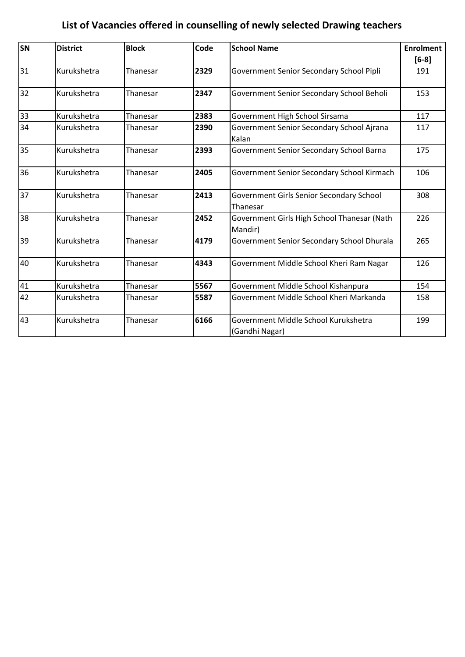| SN | <b>District</b> | <b>Block</b> | Code | <b>School Name</b>                                     | <b>Enrolment</b> |
|----|-----------------|--------------|------|--------------------------------------------------------|------------------|
|    |                 |              |      |                                                        | $[6-8]$          |
| 31 | Kurukshetra     | Thanesar     | 2329 | Government Senior Secondary School Pipli               | 191              |
| 32 | Kurukshetra     | Thanesar     | 2347 | Government Senior Secondary School Beholi              | 153              |
| 33 | Kurukshetra     | Thanesar     | 2383 | Government High School Sirsama                         | 117              |
| 34 | Kurukshetra     | Thanesar     | 2390 | Government Senior Secondary School Ajrana<br>Kalan     | 117              |
| 35 | Kurukshetra     | Thanesar     | 2393 | Government Senior Secondary School Barna               | 175              |
| 36 | Kurukshetra     | Thanesar     | 2405 | Government Senior Secondary School Kirmach             | 106              |
| 37 | Kurukshetra     | Thanesar     | 2413 | Government Girls Senior Secondary School<br>Thanesar   | 308              |
| 38 | Kurukshetra     | Thanesar     | 2452 | Government Girls High School Thanesar (Nath<br>Mandir) | 226              |
| 39 | Kurukshetra     | Thanesar     | 4179 | Government Senior Secondary School Dhurala             | 265              |
| 40 | Kurukshetra     | Thanesar     | 4343 | Government Middle School Kheri Ram Nagar               | 126              |
| 41 | Kurukshetra     | Thanesar     | 5567 | Government Middle School Kishanpura                    | 154              |
| 42 | Kurukshetra     | Thanesar     | 5587 | Government Middle School Kheri Markanda                | 158              |
| 43 | Kurukshetra     | Thanesar     | 6166 | Government Middle School Kurukshetra<br>(Gandhi Nagar) | 199              |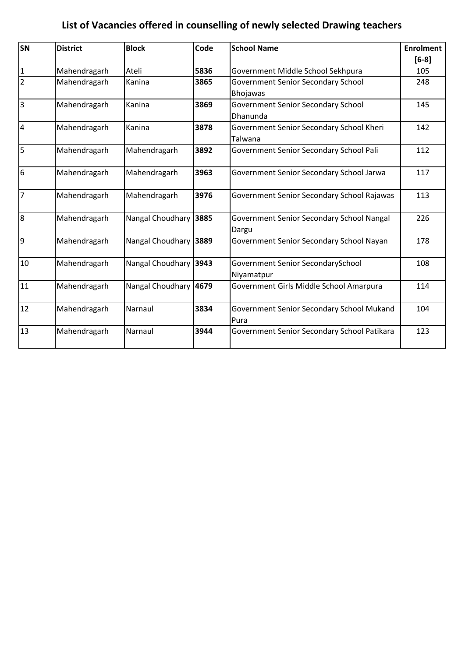| SN                      | <b>District</b> | <b>Block</b>     | Code | <b>School Name</b>                          | <b>Enrolment</b> |
|-------------------------|-----------------|------------------|------|---------------------------------------------|------------------|
|                         |                 |                  |      |                                             | $[6-8]$          |
| $\vert$ 1               | Mahendragarh    | Ateli            | 5836 | Government Middle School Sekhpura           | 105              |
| $\overline{2}$          | Mahendragarh    | Kanina           | 3865 | <b>Government Senior Secondary School</b>   | 248              |
|                         |                 |                  |      | <b>Bhojawas</b>                             |                  |
| $\overline{\mathbf{3}}$ | Mahendragarh    | Kanina           | 3869 | <b>Government Senior Secondary School</b>   | 145              |
|                         |                 |                  |      | Dhanunda                                    |                  |
| $\overline{4}$          | Mahendragarh    | Kanina           | 3878 | Government Senior Secondary School Kheri    | 142              |
|                         |                 |                  |      | Talwana                                     |                  |
| $\overline{5}$          | Mahendragarh    | Mahendragarh     | 3892 | Government Senior Secondary School Pali     | 112              |
|                         |                 |                  |      |                                             |                  |
| 6                       | Mahendragarh    | Mahendragarh     | 3963 | Government Senior Secondary School Jarwa    | 117              |
|                         |                 |                  |      |                                             |                  |
| $\overline{7}$          | Mahendragarh    | Mahendragarh     | 3976 | Government Senior Secondary School Rajawas  | 113              |
|                         |                 |                  |      |                                             |                  |
| 8                       | Mahendragarh    | Nangal Choudhary | 3885 | Government Senior Secondary School Nangal   | 226              |
|                         |                 |                  |      | Dargu                                       |                  |
| $\overline{9}$          | Mahendragarh    | Nangal Choudhary | 3889 | Government Senior Secondary School Nayan    | 178              |
|                         |                 |                  |      |                                             |                  |
| 10                      | Mahendragarh    | Nangal Choudhary | 3943 | Government Senior SecondarySchool           | 108              |
|                         |                 |                  |      | Niyamatpur                                  |                  |
| 11                      | Mahendragarh    | Nangal Choudhary | 4679 | Government Girls Middle School Amarpura     | 114              |
|                         |                 |                  |      |                                             |                  |
| 12                      | Mahendragarh    | Narnaul          | 3834 | Government Senior Secondary School Mukand   | 104              |
|                         |                 |                  |      | Pura                                        |                  |
| 13                      | Mahendragarh    | Narnaul          | 3944 | Government Senior Secondary School Patikara | 123              |
|                         |                 |                  |      |                                             |                  |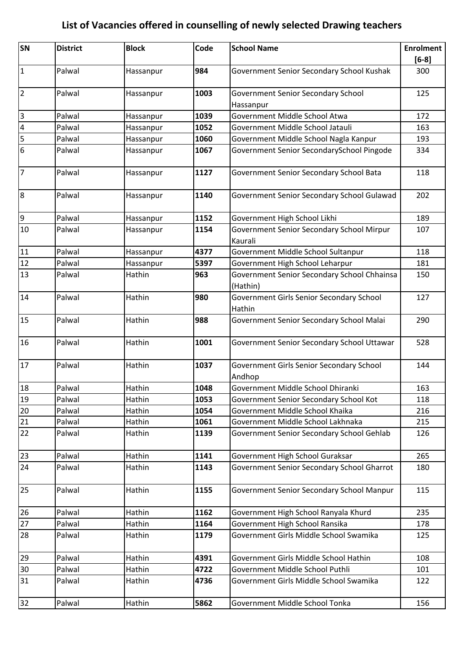| <b>SN</b>               | <b>District</b> | <b>Block</b> | Code | <b>School Name</b>                                      | <b>Enrolment</b><br>$[6-8]$ |
|-------------------------|-----------------|--------------|------|---------------------------------------------------------|-----------------------------|
| $\mathbf 1$             | Palwal          | Hassanpur    | 984  | Government Senior Secondary School Kushak               | 300                         |
| $\overline{2}$          | Palwal          | Hassanpur    | 1003 | Government Senior Secondary School<br>Hassanpur         | 125                         |
| $\overline{3}$          | Palwal          | Hassanpur    | 1039 | Government Middle School Atwa                           | 172                         |
| $\overline{\mathbf{4}}$ | Palwal          | Hassanpur    | 1052 | Government Middle School Jatauli                        | 163                         |
| 5                       | Palwal          | Hassanpur    | 1060 | Government Middle School Nagla Kanpur                   | 193                         |
| 6                       | Palwal          | Hassanpur    | 1067 | Government Senior SecondarySchool Pingode               | 334                         |
| $\overline{7}$          | Palwal          | Hassanpur    | 1127 | Government Senior Secondary School Bata                 | 118                         |
| $\boldsymbol{8}$        | Palwal          | Hassanpur    | 1140 | Government Senior Secondary School Gulawad              | 202                         |
| $\overline{9}$          | Palwal          | Hassanpur    | 1152 | Government High School Likhi                            | 189                         |
| 10                      | Palwal          | Hassanpur    | 1154 | Government Senior Secondary School Mirpur<br>Kaurali    | 107                         |
| ${\bf 11}$              | Palwal          | Hassanpur    | 4377 | Government Middle School Sultanpur                      | 118                         |
| 12                      | Palwal          | Hassanpur    | 5397 | Government High School Leharpur                         | 181                         |
| 13                      | Palwal          | Hathin       | 963  | Government Senior Secondary School Chhainsa<br>(Hathin) | 150                         |
| 14                      | Palwal          | Hathin       | 980  | Government Girls Senior Secondary School<br>Hathin      | 127                         |
| 15                      | Palwal          | Hathin       | 988  | Government Senior Secondary School Malai                | 290                         |
| 16                      | Palwal          | Hathin       | 1001 | Government Senior Secondary School Uttawar              | 528                         |
| 17                      | Palwal          | Hathin       | 1037 | Government Girls Senior Secondary School<br>Andhop      | 144                         |
| 18                      | Palwal          | Hathin       | 1048 | Government Middle School Dhiranki                       | 163                         |
| 19                      | Palwal          | Hathin       | 1053 | Government Senior Secondary School Kot                  | 118                         |
| 20                      | Palwal          | Hathin       | 1054 | Government Middle School Khaika                         | 216                         |
| 21                      | Palwal          | Hathin       | 1061 | Government Middle School Lakhnaka                       | 215                         |
| 22                      | Palwal          | Hathin       | 1139 | Government Senior Secondary School Gehlab               | 126                         |
| 23                      | Palwal          | Hathin       | 1141 | Government High School Guraksar                         | 265                         |
| 24                      | Palwal          | Hathin       | 1143 | Government Senior Secondary School Gharrot              | 180                         |
| 25                      | Palwal          | Hathin       | 1155 | Government Senior Secondary School Manpur               | 115                         |
| 26                      | Palwal          | Hathin       | 1162 | Government High School Ranyala Khurd                    | 235                         |
| 27                      | Palwal          | Hathin       | 1164 | Government High School Ransika                          | 178                         |
| 28                      | Palwal          | Hathin       | 1179 | Government Girls Middle School Swamika                  | 125                         |
| 29                      | Palwal          | Hathin       | 4391 | Government Girls Middle School Hathin                   | 108                         |
| 30                      | Palwal          | Hathin       | 4722 | Government Middle School Puthli                         | 101                         |
| 31                      | Palwal          | Hathin       | 4736 | Government Girls Middle School Swamika                  | 122                         |
| 32                      | Palwal          | Hathin       | 5862 | Government Middle School Tonka                          | 156                         |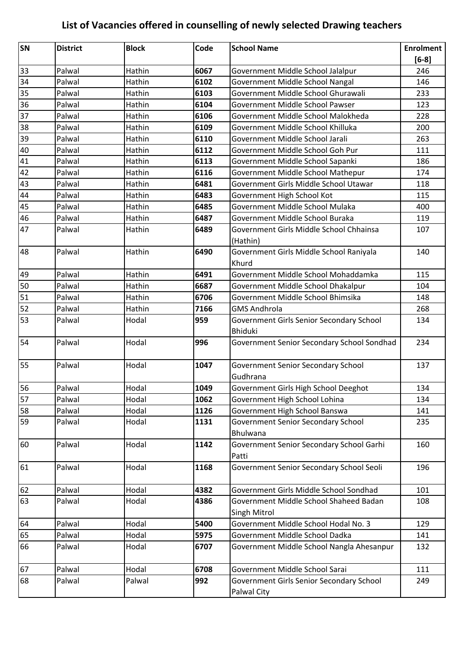| SN       | <b>District</b>  | <b>Block</b> | Code | <b>School Name</b>                                             | <b>Enrolment</b> |
|----------|------------------|--------------|------|----------------------------------------------------------------|------------------|
|          |                  |              |      |                                                                | $[6-8]$          |
| 33       | Palwal           | Hathin       | 6067 | Government Middle School Jalalpur                              | 246              |
| 34       | Palwal           | Hathin       | 6102 | Government Middle School Nangal                                | 146              |
| 35       | Palwal           | Hathin       | 6103 | Government Middle School Ghurawali                             | 233              |
| 36       | Palwal           | Hathin       | 6104 | Government Middle School Pawser                                | 123              |
| 37       | Palwal           | Hathin       | 6106 | Government Middle School Malokheda                             | 228              |
| 38       | Palwal           | Hathin       | 6109 | Government Middle School Khilluka                              | 200              |
| 39       | Palwal           | Hathin       | 6110 | Government Middle School Jarali                                | 263              |
| 40       | Palwal           | Hathin       | 6112 | Government Middle School Goh Pur                               | 111              |
| 41       | Palwal           | Hathin       | 6113 | Government Middle School Sapanki                               | 186              |
| 42       | Palwal           | Hathin       | 6116 | Government Middle School Mathepur                              | 174              |
| 43       | Palwal           | Hathin       | 6481 | Government Girls Middle School Utawar                          | 118              |
| 44       | Palwal           | Hathin       | 6483 | Government High School Kot                                     | 115              |
| 45       | Palwal           | Hathin       | 6485 | Government Middle School Mulaka                                | 400              |
| 46       | Palwal           | Hathin       | 6487 | Government Middle School Buraka                                | 119              |
| 47       | Palwal           | Hathin       | 6489 | Government Girls Middle School Chhainsa                        | 107              |
|          |                  |              |      | (Hathin)                                                       |                  |
| 48       | Palwal           | Hathin       | 6490 | Government Girls Middle School Raniyala                        | 140              |
|          |                  |              |      | Khurd                                                          |                  |
| 49       | Palwal           | Hathin       | 6491 | Government Middle School Mohaddamka                            | 115              |
| 50       | Palwal           | Hathin       | 6687 | Government Middle School Dhakalpur                             | 104              |
| 51       | Palwal           | Hathin       | 6706 | Government Middle School Bhimsika                              | 148              |
| 52       | Palwal           | Hathin       | 7166 | <b>GMS Andhrola</b>                                            | 268              |
| 53       | Palwal           | Hodal        | 959  | Government Girls Senior Secondary School                       | 134              |
|          |                  |              |      | <b>Bhiduki</b>                                                 |                  |
| 54       | Palwal           | Hodal        | 996  | Government Senior Secondary School Sondhad                     | 234              |
|          |                  |              |      |                                                                |                  |
| 55       | Palwal           | Hodal        | 1047 | Government Senior Secondary School                             | 137              |
|          |                  |              |      | Gudhrana                                                       |                  |
| 56       | Palwal           | Hodal        | 1049 | Government Girls High School Deeghot                           | 134              |
| 57<br>58 | Palwal           | Hodal        | 1062 | Government High School Lohina<br>Government High School Banswa | 134              |
| 59       | Palwal<br>Palwal | Hodal        | 1126 |                                                                | 141<br>235       |
|          |                  | Hodal        | 1131 | <b>Government Senior Secondary School</b><br>Bhulwana          |                  |
| 60       | Palwal           | Hodal        | 1142 | Government Senior Secondary School Garhi                       | 160              |
|          |                  |              |      | Patti                                                          |                  |
| 61       | Palwal           | Hodal        | 1168 | Government Senior Secondary School Seoli                       | 196              |
|          |                  |              |      |                                                                |                  |
| 62       | Palwal           | Hodal        | 4382 | Government Girls Middle School Sondhad                         | 101              |
| 63       | Palwal           | Hodal        | 4386 | Government Middle School Shaheed Badan                         | 108              |
|          |                  |              |      | Singh Mitrol                                                   |                  |
| 64       | Palwal           | Hodal        | 5400 | Government Middle School Hodal No. 3                           | 129              |
| 65       | Palwal           | Hodal        | 5975 | Government Middle School Dadka                                 | 141              |
| 66       | Palwal           | Hodal        | 6707 | Government Middle School Nangla Ahesanpur                      | 132              |
|          |                  |              |      |                                                                |                  |
| 67       | Palwal           | Hodal        | 6708 | Government Middle School Sarai                                 | 111              |
| 68       | Palwal           | Palwal       | 992  | Government Girls Senior Secondary School                       | 249              |
|          |                  |              |      | Palwal City                                                    |                  |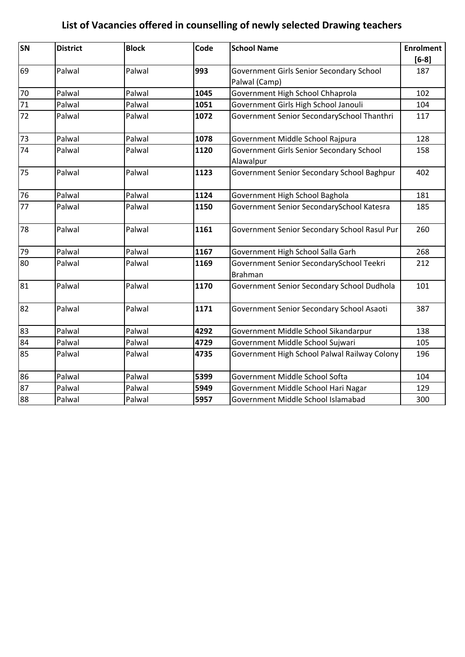| SN | <b>District</b> | <b>Block</b> | Code | <b>School Name</b>                                         | <b>Enrolment</b> |
|----|-----------------|--------------|------|------------------------------------------------------------|------------------|
|    |                 |              |      |                                                            | $[6-8]$          |
| 69 | Palwal          | Palwal       | 993  | Government Girls Senior Secondary School                   | 187              |
|    |                 |              |      | Palwal (Camp)                                              |                  |
| 70 | Palwal          | Palwal       | 1045 | Government High School Chhaprola                           | 102              |
| 71 | Palwal          | Palwal       | 1051 | Government Girls High School Janouli                       | 104              |
| 72 | Palwal          | Palwal       | 1072 | Government Senior SecondarySchool Thanthri                 | 117              |
| 73 | Palwal          | Palwal       | 1078 | Government Middle School Rajpura                           | 128              |
| 74 | Palwal          | Palwal       | 1120 | Government Girls Senior Secondary School                   | 158              |
|    |                 |              |      | Alawalpur                                                  |                  |
| 75 | Palwal          | Palwal       | 1123 | Government Senior Secondary School Baghpur                 | 402              |
| 76 | Palwal          | Palwal       | 1124 | Government High School Baghola                             | 181              |
| 77 | Palwal          | Palwal       | 1150 | Government Senior SecondarySchool Katesra                  | 185              |
| 78 | Palwal          | Palwal       | 1161 | Government Senior Secondary School Rasul Pur               | 260              |
| 79 | Palwal          | Palwal       | 1167 | Government High School Salla Garh                          | 268              |
| 80 | Palwal          | Palwal       | 1169 | Government Senior SecondarySchool Teekri<br><b>Brahman</b> | 212              |
| 81 | Palwal          | Palwal       | 1170 | Government Senior Secondary School Dudhola                 | 101              |
| 82 | Palwal          | Palwal       | 1171 | Government Senior Secondary School Asaoti                  | 387              |
| 83 | Palwal          | Palwal       | 4292 | Government Middle School Sikandarpur                       | 138              |
| 84 | Palwal          | Palwal       | 4729 | Government Middle School Sujwari                           | 105              |
| 85 | Palwal          | Palwal       | 4735 | Government High School Palwal Railway Colony               | 196              |
| 86 | Palwal          | Palwal       | 5399 | Government Middle School Softa                             | 104              |
| 87 | Palwal          | Palwal       | 5949 | Government Middle School Hari Nagar                        | 129              |
| 88 | Palwal          | Palwal       | 5957 | Government Middle School Islamabad                         | 300              |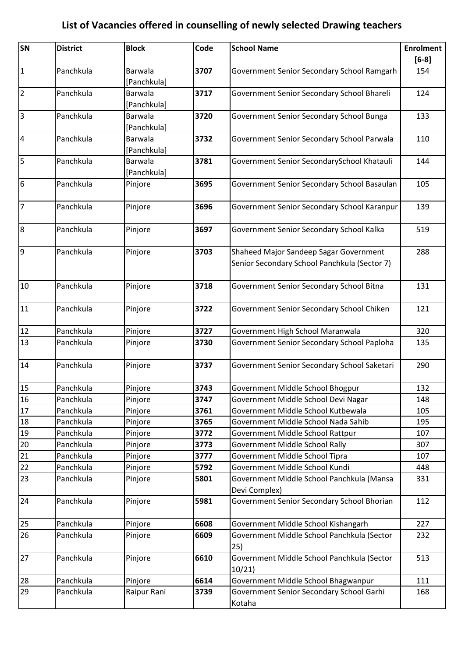| SN                      | <b>District</b> | <b>Block</b>           | Code | <b>School Name</b>                                                                     | <b>Enrolment</b><br>$[6-8]$ |
|-------------------------|-----------------|------------------------|------|----------------------------------------------------------------------------------------|-----------------------------|
| $\mathbf 1$             | Panchkula       | Barwala<br>[Panchkula] | 3707 | Government Senior Secondary School Ramgarh                                             | 154                         |
| $\overline{2}$          | Panchkula       | Barwala<br>[Panchkula] | 3717 | Government Senior Secondary School Bhareli                                             | 124                         |
| $\overline{\mathbf{3}}$ | Panchkula       | Barwala<br>[Panchkula] | 3720 | Government Senior Secondary School Bunga                                               | 133                         |
| $\overline{\mathbf{4}}$ | Panchkula       | Barwala<br>[Panchkula] | 3732 | Government Senior Secondary School Parwala                                             | 110                         |
| 5                       | Panchkula       | Barwala<br>[Panchkula] | 3781 | Government Senior SecondarySchool Khatauli                                             | 144                         |
| 6                       | Panchkula       | Pinjore                | 3695 | Government Senior Secondary School Basaulan                                            | 105                         |
| $\overline{7}$          | Panchkula       | Pinjore                | 3696 | Government Senior Secondary School Karanpur                                            | 139                         |
| $\boldsymbol{8}$        | Panchkula       | Pinjore                | 3697 | Government Senior Secondary School Kalka                                               | 519                         |
| $\overline{9}$          | Panchkula       | Pinjore                | 3703 | Shaheed Major Sandeep Sagar Government<br>Senior Secondary School Panchkula (Sector 7) | 288                         |
| 10                      | Panchkula       | Pinjore                | 3718 | Government Senior Secondary School Bitna                                               | 131                         |
| 11                      | Panchkula       | Pinjore                | 3722 | Government Senior Secondary School Chiken                                              | 121                         |
| 12                      | Panchkula       | Pinjore                | 3727 | Government High School Maranwala                                                       | 320                         |
| 13                      | Panchkula       | Pinjore                | 3730 | Government Senior Secondary School Paploha                                             | 135                         |
| 14                      | Panchkula       | Pinjore                | 3737 | Government Senior Secondary School Saketari                                            | 290                         |
| 15                      | Panchkula       | Pinjore                | 3743 | Government Middle School Bhogpur                                                       | 132                         |
| 16                      | Panchkula       | Pinjore                | 3747 | Government Middle School Devi Nagar                                                    | 148                         |
| $17\,$                  | Panchkula       | Pinjore                | 3761 | Government Middle School Kutbewala                                                     | 105                         |
| 18                      | Panchkula       | Pinjore                | 3765 | Government Middle School Nada Sahib                                                    | 195                         |
| 19                      | Panchkula       | Pinjore                | 3772 | Government Middle School Rattpur                                                       | 107                         |
| $20\,$                  | Panchkula       | Pinjore                | 3773 | Government Middle School Rally                                                         | 307                         |
| 21                      | Panchkula       | Pinjore                | 3777 | Government Middle School Tipra                                                         | 107                         |
| 22                      | Panchkula       | Pinjore                | 5792 | Government Middle School Kundi                                                         | 448                         |
| 23                      | Panchkula       | Pinjore                | 5801 | Government Middle School Panchkula (Mansa<br>Devi Complex)                             | 331                         |
| 24                      | Panchkula       | Pinjore                | 5981 | Government Senior Secondary School Bhorian                                             | 112                         |
| 25                      | Panchkula       | Pinjore                | 6608 | Government Middle School Kishangarh                                                    | 227                         |
| 26                      | Panchkula       | Pinjore                | 6609 | Government Middle School Panchkula (Sector<br>25)                                      | 232                         |
| 27                      | Panchkula       | Pinjore                | 6610 | Government Middle School Panchkula (Sector<br>10/21                                    | 513                         |
| 28                      | Panchkula       | Pinjore                | 6614 | Government Middle School Bhagwanpur                                                    | 111                         |
| 29                      | Panchkula       | Raipur Rani            | 3739 | Government Senior Secondary School Garhi<br>Kotaha                                     | 168                         |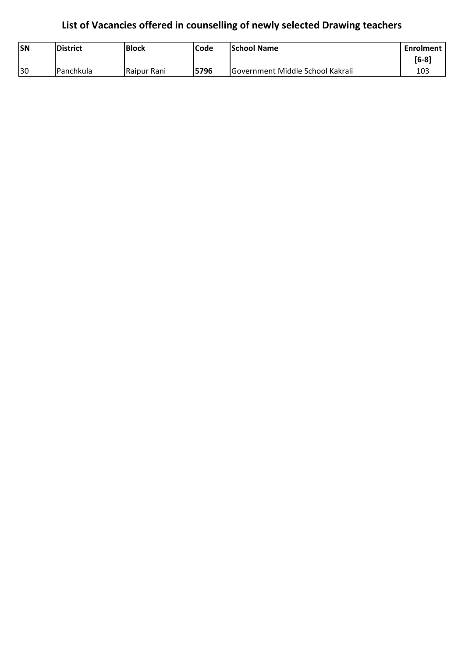| <b>SN</b> | <b>IDistrict</b>  | <b>Block</b>  | Code | <b>School Name</b>               | Enrolment |
|-----------|-------------------|---------------|------|----------------------------------|-----------|
|           |                   |               |      |                                  | $[6-8]$   |
| 30        | <b>IPanchkula</b> | l Raipur Rani | 5796 | Government Middle School Kakrali | 103       |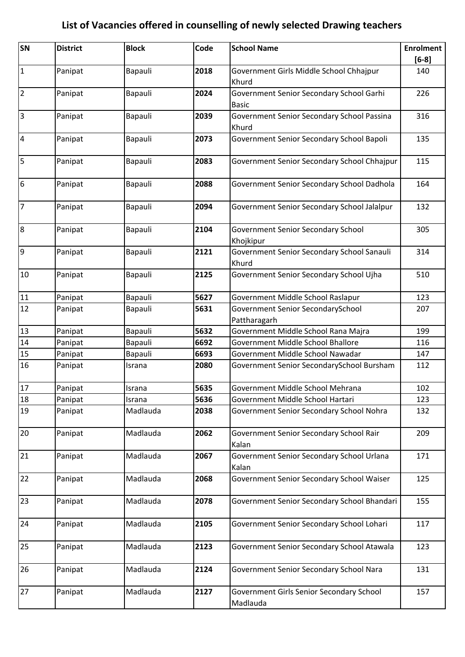| SN               | <b>District</b> | <b>Block</b> | Code | <b>School Name</b>                                       | <b>Enrolment</b> |
|------------------|-----------------|--------------|------|----------------------------------------------------------|------------------|
|                  |                 |              |      |                                                          | $[6-8]$          |
| $\mathbf{1}$     | Panipat         | Bapauli      | 2018 | Government Girls Middle School Chhajpur<br>Khurd         | 140              |
| $\overline{2}$   | Panipat         | Bapauli      | 2024 | Government Senior Secondary School Garhi<br><b>Basic</b> | 226              |
| $\overline{3}$   | Panipat         | Bapauli      | 2039 | Government Senior Secondary School Passina<br>Khurd      | 316              |
| $\overline{4}$   | Panipat         | Bapauli      | 2073 | Government Senior Secondary School Bapoli                | 135              |
| 5                | Panipat         | Bapauli      | 2083 | Government Senior Secondary School Chhajpur              | 115              |
| $6\phantom{.}6$  | Panipat         | Bapauli      | 2088 | Government Senior Secondary School Dadhola               | 164              |
| $\overline{7}$   | Panipat         | Bapauli      | 2094 | Government Senior Secondary School Jalalpur              | 132              |
| $\boldsymbol{8}$ | Panipat         | Bapauli      | 2104 | Government Senior Secondary School<br>Khojkipur          | 305              |
| 9                | Panipat         | Bapauli      | 2121 | Government Senior Secondary School Sanauli<br>Khurd      | 314              |
| 10               | Panipat         | Bapauli      | 2125 | Government Senior Secondary School Ujha                  | 510              |
| $11\,$           | Panipat         | Bapauli      | 5627 | Government Middle School Raslapur                        | 123              |
| 12               | Panipat         | Bapauli      | 5631 | Government Senior SecondarySchool                        | 207              |
|                  |                 |              |      | Pattharagarh                                             |                  |
| 13               | Panipat         | Bapauli      | 5632 | Government Middle School Rana Majra                      | 199              |
| 14               | Panipat         | Bapauli      | 6692 | Government Middle School Bhallore                        | 116              |
| 15               | Panipat         | Bapauli      | 6693 | Government Middle School Nawadar                         | 147              |
| 16               | Panipat         | Israna       | 2080 | Government Senior SecondarySchool Bursham                | 112              |
| 17               | Panipat         | Israna       | 5635 | Government Middle School Mehrana                         | 102              |
| 18               | Panipat         | Israna       | 5636 | Government Middle School Hartari                         | 123              |
| 19               | Panipat         | Madlauda     | 2038 | Government Senior Secondary School Nohra                 | 132              |
| 20               | Panipat         | Madlauda     | 2062 | Government Senior Secondary School Rair<br>Kalan         | 209              |
| 21               | Panipat         | Madlauda     | 2067 | Government Senior Secondary School Urlana<br>Kalan       | 171              |
| 22               | Panipat         | Madlauda     | 2068 | Government Senior Secondary School Waiser                | 125              |
| 23               | Panipat         | Madlauda     | 2078 | Government Senior Secondary School Bhandari              | 155              |
| 24               | Panipat         | Madlauda     | 2105 | Government Senior Secondary School Lohari                | 117              |
| 25               | Panipat         | Madlauda     | 2123 | Government Senior Secondary School Atawala               | 123              |
| 26               | Panipat         | Madlauda     | 2124 | Government Senior Secondary School Nara                  | 131              |
| 27               | Panipat         | Madlauda     | 2127 | Government Girls Senior Secondary School<br>Madlauda     | 157              |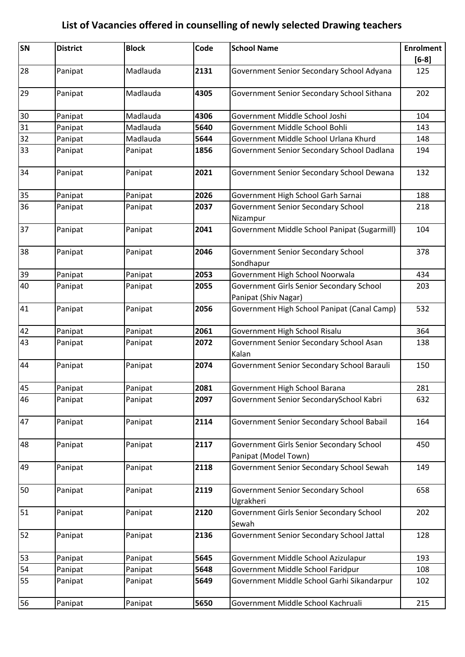| SN | <b>District</b> | <b>Block</b> | Code | <b>School Name</b>                                               | <b>Enrolment</b><br>$[6-8]$ |
|----|-----------------|--------------|------|------------------------------------------------------------------|-----------------------------|
| 28 | Panipat         | Madlauda     | 2131 | Government Senior Secondary School Adyana                        | 125                         |
| 29 | Panipat         | Madlauda     | 4305 | Government Senior Secondary School Sithana                       | 202                         |
| 30 | Panipat         | Madlauda     | 4306 | Government Middle School Joshi                                   | 104                         |
| 31 | Panipat         | Madlauda     | 5640 | Government Middle School Bohli                                   | 143                         |
| 32 | Panipat         | Madlauda     | 5644 | Government Middle School Urlana Khurd                            | 148                         |
| 33 | Panipat         | Panipat      | 1856 | Government Senior Secondary School Dadlana                       | 194                         |
| 34 | Panipat         | Panipat      | 2021 | Government Senior Secondary School Dewana                        | 132                         |
| 35 | Panipat         | Panipat      | 2026 | Government High School Garh Sarnai                               | 188                         |
| 36 | Panipat         | Panipat      | 2037 | Government Senior Secondary School                               | 218                         |
|    |                 |              |      | Nizampur                                                         |                             |
| 37 | Panipat         | Panipat      | 2041 | Government Middle School Panipat (Sugarmill)                     | 104                         |
| 38 | Panipat         | Panipat      | 2046 | <b>Government Senior Secondary School</b><br>Sondhapur           | 378                         |
| 39 | Panipat         | Panipat      | 2053 | Government High School Noorwala                                  | 434                         |
| 40 | Panipat         | Panipat      | 2055 | Government Girls Senior Secondary School                         | 203                         |
|    |                 |              |      | Panipat (Shiv Nagar)                                             |                             |
| 41 | Panipat         | Panipat      | 2056 | Government High School Panipat (Canal Camp)                      | 532                         |
| 42 | Panipat         | Panipat      | 2061 | Government High School Risalu                                    | 364                         |
| 43 | Panipat         | Panipat      | 2072 | Government Senior Secondary School Asan<br>Kalan                 | 138                         |
| 44 | Panipat         | Panipat      | 2074 | Government Senior Secondary School Barauli                       | 150                         |
| 45 | Panipat         | Panipat      | 2081 | Government High School Barana                                    | 281                         |
| 46 | Panipat         | Panipat      | 2097 | Government Senior SecondarySchool Kabri                          | 632                         |
| 47 | Panipat         | Panipat      | 2114 | Government Senior Secondary School Babail                        | 164                         |
| 48 | Panipat         | Panipat      | 2117 | Government Girls Senior Secondary School<br>Panipat (Model Town) | 450                         |
| 49 | Panipat         | Panipat      | 2118 | Government Senior Secondary School Sewah                         | 149                         |
| 50 | Panipat         | Panipat      | 2119 | <b>Government Senior Secondary School</b><br>Ugrakheri           | 658                         |
| 51 | Panipat         | Panipat      | 2120 | Government Girls Senior Secondary School<br>Sewah                | 202                         |
| 52 | Panipat         | Panipat      | 2136 | Government Senior Secondary School Jattal                        | 128                         |
| 53 | Panipat         | Panipat      | 5645 | Government Middle School Azizulapur                              | 193                         |
| 54 | Panipat         | Panipat      | 5648 | Government Middle School Faridpur                                | 108                         |
| 55 | Panipat         | Panipat      | 5649 | Government Middle School Garhi Sikandarpur                       | 102                         |
| 56 | Panipat         | Panipat      | 5650 | Government Middle School Kachruali                               | 215                         |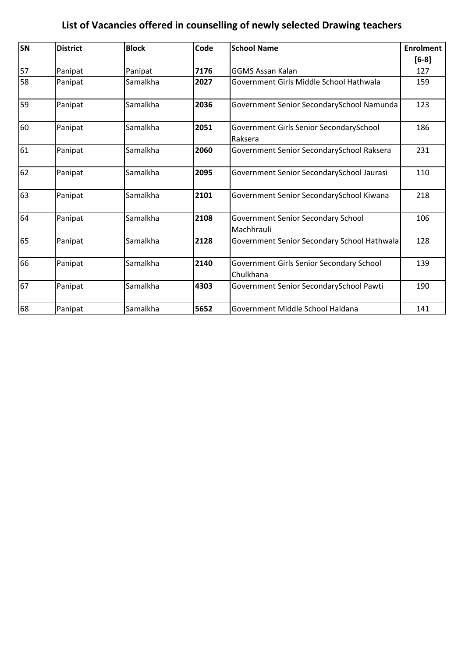| SN | <b>District</b> | <b>Block</b> | Code | <b>School Name</b>                                    | <b>Enrolment</b> |
|----|-----------------|--------------|------|-------------------------------------------------------|------------------|
|    |                 |              |      |                                                       | $[6-8]$          |
| 57 | Panipat         | Panipat      | 7176 | <b>GGMS Assan Kalan</b>                               | 127              |
| 58 | Panipat         | Samalkha     | 2027 | Government Girls Middle School Hathwala               | 159              |
| 59 | Panipat         | Samalkha     | 2036 | Government Senior SecondarySchool Namunda             | 123              |
| 60 | Panipat         | Samalkha     | 2051 | Government Girls Senior SecondarySchool<br>Raksera    | 186              |
| 61 | Panipat         | Samalkha     | 2060 | Government Senior SecondarySchool Raksera             | 231              |
| 62 | Panipat         | Samalkha     | 2095 | Government Senior SecondarySchool Jaurasi             | 110              |
| 63 | Panipat         | Samalkha     | 2101 | Government Senior SecondarySchool Kiwana              | 218              |
| 64 | Panipat         | Samalkha     | 2108 | Government Senior Secondary School<br>Machhrauli      | 106              |
| 65 | Panipat         | Samalkha     | 2128 | Government Senior Secondary School Hathwala           | 128              |
| 66 | Panipat         | Samalkha     | 2140 | Government Girls Senior Secondary School<br>Chulkhana | 139              |
| 67 | Panipat         | Samalkha     | 4303 | Government Senior SecondarySchool Pawti               | 190              |
| 68 | Panipat         | Samalkha     | 5652 | Government Middle School Haldana                      | 141              |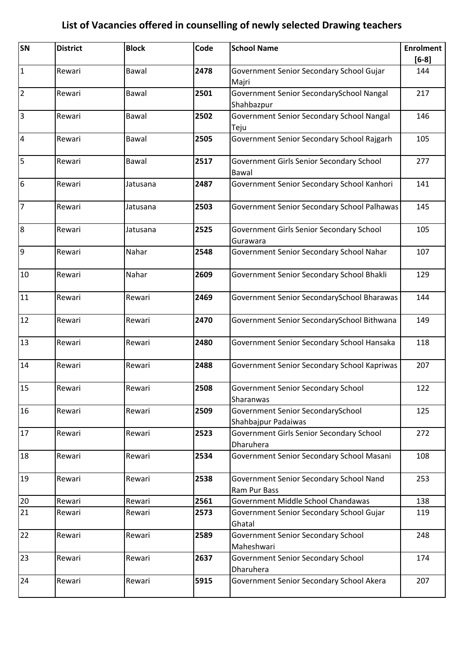| SN              | <b>District</b> | <b>Block</b> | Code | <b>School Name</b>                                       | <b>Enrolment</b><br>$[6-8]$ |
|-----------------|-----------------|--------------|------|----------------------------------------------------------|-----------------------------|
| $\mathbf{1}$    | Rewari          | Bawal        | 2478 | Government Senior Secondary School Gujar<br>Majri        | 144                         |
| $\overline{2}$  | Rewari          | Bawal        | 2501 | Government Senior SecondarySchool Nangal<br>Shahbazpur   | 217                         |
| $\overline{3}$  | Rewari          | Bawal        | 2502 | Government Senior Secondary School Nangal<br>Teju        | 146                         |
| $\overline{4}$  | Rewari          | Bawal        | 2505 | Government Senior Secondary School Rajgarh               | 105                         |
| $\overline{5}$  | Rewari          | Bawal        | 2517 | Government Girls Senior Secondary School<br>Bawal        | 277                         |
| $6\overline{6}$ | Rewari          | Jatusana     | 2487 | Government Senior Secondary School Kanhori               | 141                         |
| $\overline{7}$  | Rewari          | Jatusana     | 2503 | Government Senior Secondary School Palhawas              | 145                         |
| $\overline{8}$  | Rewari          | Jatusana     | 2525 | Government Girls Senior Secondary School<br>Gurawara     | 105                         |
| $\overline{9}$  | Rewari          | Nahar        | 2548 | Government Senior Secondary School Nahar                 | 107                         |
| 10              | Rewari          | Nahar        | 2609 | Government Senior Secondary School Bhakli                | 129                         |
| 11              | Rewari          | Rewari       | 2469 | Government Senior SecondarySchool Bharawas               | 144                         |
| 12              | Rewari          | Rewari       | 2470 | Government Senior SecondarySchool Bithwana               | 149                         |
| 13              | Rewari          | Rewari       | 2480 | Government Senior Secondary School Hansaka               | 118                         |
| 14              | Rewari          | Rewari       | 2488 | Government Senior Secondary School Kapriwas              | 207                         |
| 15              | Rewari          | Rewari       | 2508 | Government Senior Secondary School<br>Sharanwas          | 122                         |
| 16              | Rewari          | Rewari       | 2509 | Government Senior SecondarySchool<br>Shahbajpur Padaiwas | 125                         |
| 17              | Rewari          | Rewari       | 2523 | Government Girls Senior Secondary School<br>Dharuhera    | 272                         |
| 18              | Rewari          | Rewari       | 2534 | Government Senior Secondary School Masani                | 108                         |
| 19              | Rewari          | Rewari       | 2538 | Government Senior Secondary School Nand<br>Ram Pur Bass  | 253                         |
| 20              | Rewari          | Rewari       | 2561 | Government Middle School Chandawas                       | 138                         |
| 21              | Rewari          | Rewari       | 2573 | Government Senior Secondary School Gujar<br>Ghatal       | 119                         |
| 22              | Rewari          | Rewari       | 2589 | <b>Government Senior Secondary School</b><br>Maheshwari  | 248                         |
| 23              | Rewari          | Rewari       | 2637 | <b>Government Senior Secondary School</b><br>Dharuhera   | 174                         |
| 24              | Rewari          | Rewari       | 5915 | Government Senior Secondary School Akera                 | 207                         |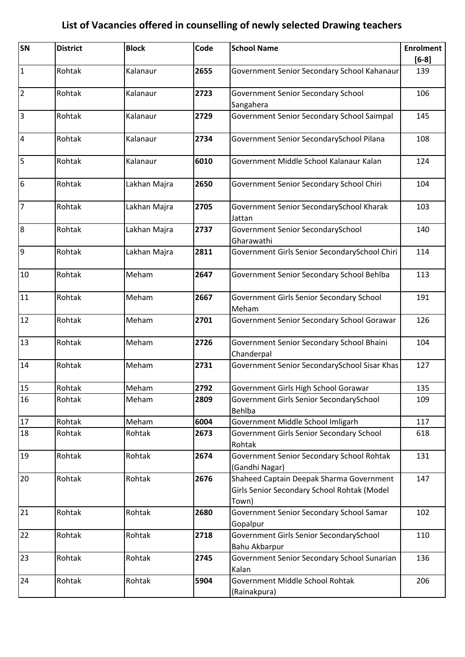| SN              | <b>District</b> | <b>Block</b> | Code | <b>School Name</b>                                                                               | <b>Enrolment</b> |
|-----------------|-----------------|--------------|------|--------------------------------------------------------------------------------------------------|------------------|
|                 |                 |              |      |                                                                                                  | $[6-8]$          |
| $\vert$ 1       | Rohtak          | Kalanaur     | 2655 | Government Senior Secondary School Kahanaur                                                      | 139              |
| $\overline{2}$  | Rohtak          | Kalanaur     | 2723 | Government Senior Secondary School<br>Sangahera                                                  | 106              |
| 3               | Rohtak          | Kalanaur     | 2729 | Government Senior Secondary School Saimpal                                                       | 145              |
| $\overline{4}$  | Rohtak          | Kalanaur     | 2734 | Government Senior SecondarySchool Pilana                                                         | 108              |
| 5               | Rohtak          | Kalanaur     | 6010 | Government Middle School Kalanaur Kalan                                                          | 124              |
| $6\overline{6}$ | Rohtak          | Lakhan Majra | 2650 | Government Senior Secondary School Chiri                                                         | 104              |
| 7               | Rohtak          | Lakhan Majra | 2705 | Government Senior SecondarySchool Kharak<br>Jattan                                               | 103              |
| 8               | Rohtak          | Lakhan Majra | 2737 | Government Senior SecondarySchool<br>Gharawathi                                                  | 140              |
| 9               | Rohtak          | Lakhan Majra | 2811 | Government Girls Senior SecondarySchool Chiri                                                    | 114              |
| 10              | Rohtak          | Meham        | 2647 | Government Senior Secondary School Behlba                                                        | 113              |
| 11              | Rohtak          | Meham        | 2667 | Government Girls Senior Secondary School<br>Meham                                                | 191              |
| 12              | Rohtak          | Meham        | 2701 | Government Senior Secondary School Gorawar                                                       | 126              |
| 13              | Rohtak          | Meham        | 2726 | Government Senior Secondary School Bhaini<br>Chanderpal                                          | 104              |
| 14              | Rohtak          | Meham        | 2731 | Government Senior SecondarySchool Sisar Khas                                                     | 127              |
| 15              | Rohtak          | Meham        | 2792 | Government Girls High School Gorawar                                                             | 135              |
| 16              | Rohtak          | Meham        | 2809 | Government Girls Senior SecondarySchool<br>Behlba                                                | 109              |
| 17              | Rohtak          | Meham        | 6004 | Government Middle School Imligarh                                                                | 117              |
| 18              | Rohtak          | Rohtak       | 2673 | Government Girls Senior Secondary School<br>Rohtak                                               | 618              |
| 19              | Rohtak          | Rohtak       | 2674 | Government Senior Secondary School Rohtak<br>(Gandhi Nagar)                                      | 131              |
| 20              | Rohtak          | Rohtak       | 2676 | Shaheed Captain Deepak Sharma Government<br>Girls Senior Secondary School Rohtak (Model<br>Town) | 147              |
| 21              | Rohtak          | Rohtak       | 2680 | Government Senior Secondary School Samar<br>Gopalpur                                             | 102              |
| 22              | Rohtak          | Rohtak       | 2718 | Government Girls Senior SecondarySchool<br>Bahu Akbarpur                                         | 110              |
| 23              | Rohtak          | Rohtak       | 2745 | Government Senior Secondary School Sunarian<br>Kalan                                             | 136              |
| 24              | Rohtak          | Rohtak       | 5904 | Government Middle School Rohtak<br>(Rainakpura)                                                  | 206              |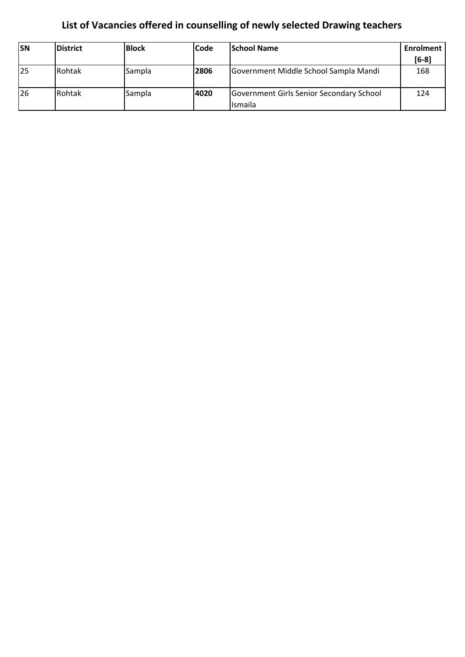| <b>SN</b> | <b>District</b> | <b>Block</b> | <b>Code</b> | <b>School Name</b>                                  | Enrolment<br>$[6-8]$ |
|-----------|-----------------|--------------|-------------|-----------------------------------------------------|----------------------|
| 25        | Rohtak          | Sampla       | 2806        | Government Middle School Sampla Mandi               | 168                  |
| 26        | Rohtak          | Sampla       | 4020        | Government Girls Senior Secondary School<br>Ismaila | 124                  |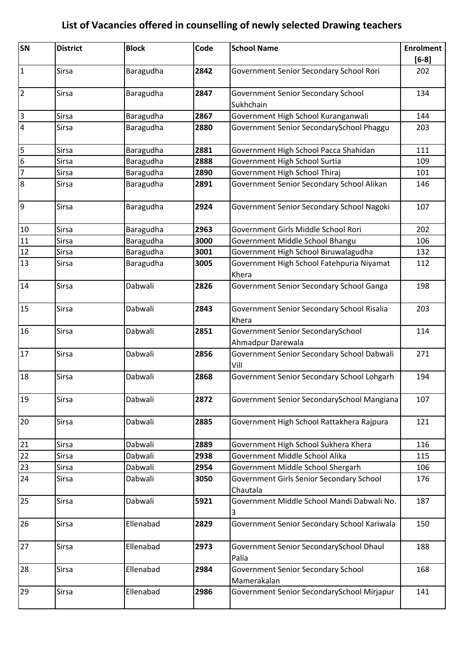| SN                      | <b>District</b> | <b>Block</b> | Code | <b>School Name</b>                                       | <b>Enrolment</b><br>$[6-8]$ |
|-------------------------|-----------------|--------------|------|----------------------------------------------------------|-----------------------------|
| $\vert$ 1               | <b>Sirsa</b>    | Baragudha    | 2842 | Government Senior Secondary School Rori                  | 202                         |
| $\overline{2}$          | <b>Sirsa</b>    | Baragudha    | 2847 | <b>Government Senior Secondary School</b><br>Sukhchain   | 134                         |
| $\overline{3}$          | Sirsa           | Baragudha    | 2867 | Government High School Kuranganwali                      | 144                         |
| 4                       | <b>Sirsa</b>    | Baragudha    | 2880 | Government Senior SecondarySchool Phaggu                 | 203                         |
| $\overline{\mathbf{5}}$ | Sirsa           | Baragudha    | 2881 | Government High School Pacca Shahidan                    | 111                         |
| $6\overline{6}$         | <b>Sirsa</b>    | Baragudha    | 2888 | Government High School Surtia                            | 109                         |
| $\overline{7}$          | Sirsa           | Baragudha    | 2890 | Government High School Thiraj                            | 101                         |
| $\overline{8}$          | <b>Sirsa</b>    | Baragudha    | 2891 | Government Senior Secondary School Alikan                | 146                         |
| 9                       | <b>Sirsa</b>    | Baragudha    | 2924 | Government Senior Secondary School Nagoki                | 107                         |
| 10                      | <b>Sirsa</b>    | Baragudha    | 2963 | Government Girls Middle School Rori                      | 202                         |
| 11                      | Sirsa           | Baragudha    | 3000 | Government Middle School Bhangu                          | 106                         |
| 12                      | Sirsa           | Baragudha    | 3001 | Government High School Biruwalagudha                     | 132                         |
| 13                      | <b>Sirsa</b>    | Baragudha    | 3005 | Government High School Fatehpuria Niyamat<br>Khera       | 112                         |
| 14                      | <b>Sirsa</b>    | Dabwali      | 2826 | Government Senior Secondary School Ganga                 | 198                         |
| 15                      | Sirsa           | Dabwali      | 2843 | Government Senior Secondary School Risalia<br>Khera      | 203                         |
| 16                      | <b>Sirsa</b>    | Dabwali      | 2851 | Government Senior SecondarySchool<br>Ahmadpur Darewala   | 114                         |
| 17                      | <b>Sirsa</b>    | Dabwali      | 2856 | Government Senior Secondary School Dabwali<br>Vill       | 271                         |
| 18                      | Sirsa           | Dabwali      | 2868 | Government Senior Secondary School Lohgarh               | 194                         |
| 19                      | Sirsa           | Dabwali      | 2872 | Government Senior SecondarySchool Mangiana               | 107                         |
| 20                      | <b>Sirsa</b>    | Dabwali      | 2885 | Government High School Rattakhera Rajpura                | 121                         |
| 21                      | <b>Sirsa</b>    | Dabwali      | 2889 | Government High School Sukhera Khera                     | 116                         |
| 22                      | Sirsa           | Dabwali      | 2938 | Government Middle School Alika                           | 115                         |
| 23                      | Sirsa           | Dabwali      | 2954 | Government Middle School Shergarh                        | 106                         |
| 24                      | Sirsa           | Dabwali      | 3050 | Government Girls Senior Secondary School<br>Chautala     | 176                         |
| 25                      | Sirsa           | Dabwali      | 5921 | Government Middle School Mandi Dabwali No.<br>3          | 187                         |
| 26                      | <b>Sirsa</b>    | Ellenabad    | 2829 | Government Senior Secondary School Kariwala              | 150                         |
| 27                      | Sirsa           | Ellenabad    | 2973 | Government Senior SecondarySchool Dhaul<br>Palia         | 188                         |
| 28                      | <b>Sirsa</b>    | Ellenabad    | 2984 | <b>Government Senior Secondary School</b><br>Mamerakalan | 168                         |
| 29                      | <b>Sirsa</b>    | Ellenabad    | 2986 | Government Senior SecondarySchool Mirjapur               | 141                         |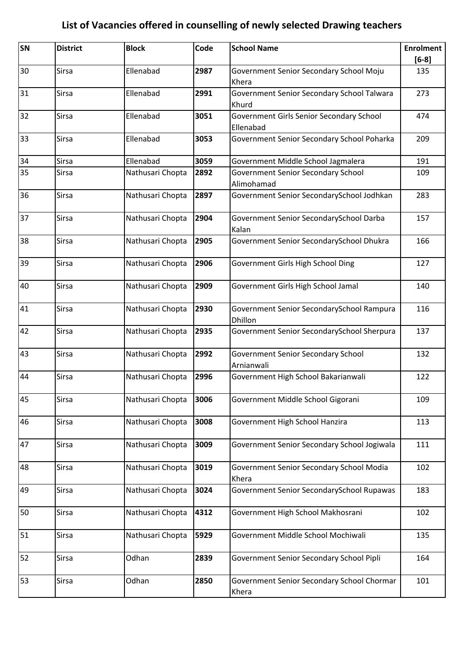| SN | <b>District</b> | <b>Block</b>     | Code | <b>School Name</b>                                      | <b>Enrolment</b> |
|----|-----------------|------------------|------|---------------------------------------------------------|------------------|
|    |                 |                  |      |                                                         | $[6-8]$          |
| 30 | <b>Sirsa</b>    | Ellenabad        | 2987 | Government Senior Secondary School Moju<br>Khera        | 135              |
| 31 | <b>Sirsa</b>    | Ellenabad        | 2991 | Government Senior Secondary School Talwara<br>Khurd     | 273              |
| 32 | <b>Sirsa</b>    | Ellenabad        | 3051 | Government Girls Senior Secondary School<br>Ellenabad   | 474              |
| 33 | <b>Sirsa</b>    | Ellenabad        | 3053 | Government Senior Secondary School Poharka              | 209              |
| 34 | <b>Sirsa</b>    | Ellenabad        | 3059 | Government Middle School Jagmalera                      | 191              |
| 35 | <b>Sirsa</b>    | Nathusari Chopta | 2892 | <b>Government Senior Secondary School</b><br>Alimohamad | 109              |
| 36 | <b>Sirsa</b>    | Nathusari Chopta | 2897 | Government Senior SecondarySchool Jodhkan               | 283              |
| 37 | <b>Sirsa</b>    | Nathusari Chopta | 2904 | Government Senior SecondarySchool Darba<br>Kalan        | 157              |
| 38 | <b>Sirsa</b>    | Nathusari Chopta | 2905 | Government Senior SecondarySchool Dhukra                | 166              |
| 39 | <b>Sirsa</b>    | Nathusari Chopta | 2906 | Government Girls High School Ding                       | 127              |
| 40 | <b>Sirsa</b>    | Nathusari Chopta | 2909 | Government Girls High School Jamal                      | 140              |
| 41 | <b>Sirsa</b>    | Nathusari Chopta | 2930 | Government Senior SecondarySchool Rampura<br>Dhillon    | 116              |
| 42 | <b>Sirsa</b>    | Nathusari Chopta | 2935 | Government Senior SecondarySchool Sherpura              | 137              |
| 43 | <b>Sirsa</b>    | Nathusari Chopta | 2992 | <b>Government Senior Secondary School</b><br>Arnianwali | 132              |
| 44 | <b>Sirsa</b>    | Nathusari Chopta | 2996 | Government High School Bakarianwali                     | 122              |
| 45 | Sirsa           | Nathusari Chopta | 3006 | Government Middle School Gigorani                       | 109              |
| 46 | <b>Sirsa</b>    | Nathusari Chopta | 3008 | Government High School Hanzira                          | 113              |
| 47 | <b>Sirsa</b>    | Nathusari Chopta | 3009 | Government Senior Secondary School Jogiwala             | 111              |
| 48 | <b>Sirsa</b>    | Nathusari Chopta | 3019 | Government Senior Secondary School Modia<br>Khera       | 102              |
| 49 | <b>Sirsa</b>    | Nathusari Chopta | 3024 | Government Senior SecondarySchool Rupawas               | 183              |
| 50 | <b>Sirsa</b>    | Nathusari Chopta | 4312 | Government High School Makhosrani                       | 102              |
| 51 | <b>Sirsa</b>    | Nathusari Chopta | 5929 | Government Middle School Mochiwali                      | 135              |
| 52 | <b>Sirsa</b>    | Odhan            | 2839 | Government Senior Secondary School Pipli                | 164              |
| 53 | <b>Sirsa</b>    | Odhan            | 2850 | Government Senior Secondary School Chormar<br>Khera     | 101              |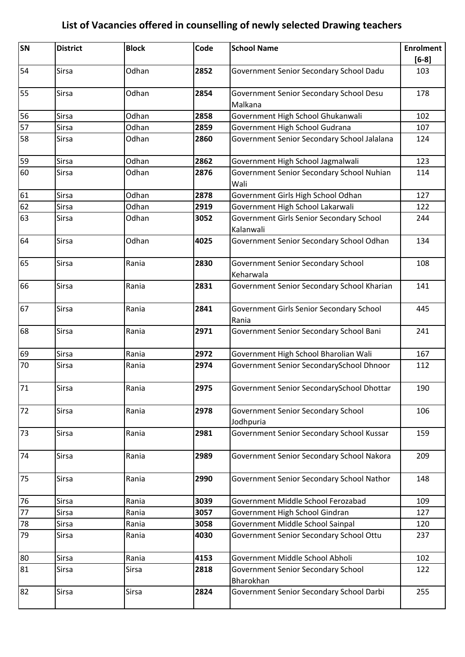| SN | <b>District</b> | <b>Block</b> | Code | <b>School Name</b>                                    | <b>Enrolment</b><br>$[6-8]$ |
|----|-----------------|--------------|------|-------------------------------------------------------|-----------------------------|
| 54 | <b>Sirsa</b>    | Odhan        | 2852 | Government Senior Secondary School Dadu               | 103                         |
| 55 | Sirsa           | Odhan        | 2854 | Government Senior Secondary School Desu<br>Malkana    | 178                         |
| 56 | Sirsa           | Odhan        | 2858 | Government High School Ghukanwali                     | 102                         |
| 57 | <b>Sirsa</b>    | Odhan        | 2859 | Government High School Gudrana                        | 107                         |
| 58 | <b>Sirsa</b>    | Odhan        | 2860 | Government Senior Secondary School Jalalana           | 124                         |
| 59 | <b>Sirsa</b>    | Odhan        | 2862 | Government High School Jagmalwali                     | 123                         |
| 60 | <b>Sirsa</b>    | Odhan        | 2876 | Government Senior Secondary School Nuhian<br>Wali     | 114                         |
| 61 | Sirsa           | Odhan        | 2878 | Government Girls High School Odhan                    | 127                         |
| 62 | Sirsa           | Odhan        | 2919 | Government High School Lakarwali                      | 122                         |
| 63 | Sirsa           | Odhan        | 3052 | Government Girls Senior Secondary School<br>Kalanwali | 244                         |
| 64 | Sirsa           | Odhan        | 4025 | Government Senior Secondary School Odhan              | 134                         |
| 65 | Sirsa           | Rania        | 2830 | Government Senior Secondary School<br>Keharwala       | 108                         |
| 66 | <b>Sirsa</b>    | Rania        | 2831 | Government Senior Secondary School Kharian            | 141                         |
| 67 | Sirsa           | Rania        | 2841 | Government Girls Senior Secondary School<br>Rania     | 445                         |
| 68 | <b>Sirsa</b>    | Rania        | 2971 | Government Senior Secondary School Bani               | 241                         |
| 69 | Sirsa           | Rania        | 2972 | Government High School Bharolian Wali                 | 167                         |
| 70 | Sirsa           | Rania        | 2974 | Government Senior SecondarySchool Dhnoor              | 112                         |
| 71 | <b>Sirsa</b>    | Rania        | 2975 | Government Senior SecondarySchool Dhottar             | 190                         |
| 72 | <b>Sirsa</b>    | Rania        | 2978 | Government Senior Secondary School<br>Jodhpuria       | 106                         |
| 73 | <b>Sirsa</b>    | Rania        | 2981 | Government Senior Secondary School Kussar             | 159                         |
| 74 | Sirsa           | Rania        | 2989 | Government Senior Secondary School Nakora             | 209                         |
| 75 | <b>Sirsa</b>    | Rania        | 2990 | Government Senior Secondary School Nathor             | 148                         |
| 76 | <b>Sirsa</b>    | Rania        | 3039 | Government Middle School Ferozabad                    | 109                         |
| 77 | Sirsa           | Rania        | 3057 | Government High School Gindran                        | 127                         |
| 78 | Sirsa           | Rania        | 3058 | Government Middle School Sainpal                      | 120                         |
| 79 | <b>Sirsa</b>    | Rania        | 4030 | Government Senior Secondary School Ottu               | 237                         |
| 80 | <b>Sirsa</b>    | Rania        | 4153 | Government Middle School Abholi                       | 102                         |
| 81 | Sirsa           | <b>Sirsa</b> | 2818 | Government Senior Secondary School                    | 122                         |
|    |                 |              |      | Bharokhan                                             |                             |
| 82 | Sirsa           | <b>Sirsa</b> | 2824 | Government Senior Secondary School Darbi              | 255                         |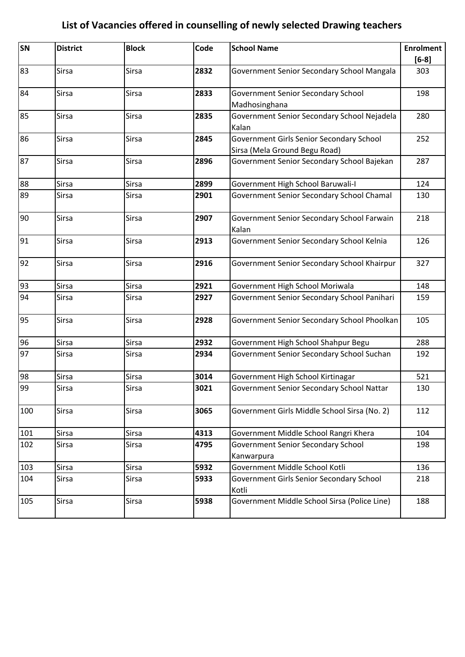| SN  | <b>District</b> | <b>Block</b> | Code | <b>School Name</b>                           | <b>Enrolment</b> |
|-----|-----------------|--------------|------|----------------------------------------------|------------------|
|     |                 |              |      |                                              | $[6-8]$          |
| 83  | <b>Sirsa</b>    | <b>Sirsa</b> | 2832 | Government Senior Secondary School Mangala   | 303              |
| 84  | <b>Sirsa</b>    | <b>Sirsa</b> | 2833 | Government Senior Secondary School           | 198              |
|     |                 |              |      | Madhosinghana                                |                  |
| 85  | <b>Sirsa</b>    | <b>Sirsa</b> | 2835 | Government Senior Secondary School Nejadela  | 280              |
|     |                 |              |      | Kalan                                        |                  |
| 86  | <b>Sirsa</b>    | <b>Sirsa</b> | 2845 | Government Girls Senior Secondary School     | 252              |
|     |                 |              |      | Sirsa (Mela Ground Begu Road)                |                  |
| 87  | <b>Sirsa</b>    | <b>Sirsa</b> | 2896 | Government Senior Secondary School Bajekan   | 287              |
| 88  | Sirsa           | <b>Sirsa</b> | 2899 | Government High School Baruwali-I            | 124              |
| 89  | <b>Sirsa</b>    | <b>Sirsa</b> | 2901 | Government Senior Secondary School Chamal    | 130              |
| 90  | Sirsa           | <b>Sirsa</b> | 2907 | Government Senior Secondary School Farwain   | 218              |
|     |                 |              |      | Kalan                                        |                  |
| 91  | <b>Sirsa</b>    | <b>Sirsa</b> | 2913 | Government Senior Secondary School Kelnia    | 126              |
| 92  | Sirsa           | <b>Sirsa</b> | 2916 | Government Senior Secondary School Khairpur  | 327              |
| 93  | <b>Sirsa</b>    | <b>Sirsa</b> | 2921 | Government High School Moriwala              | 148              |
| 94  | <b>Sirsa</b>    | <b>Sirsa</b> | 2927 | Government Senior Secondary School Panihari  | 159              |
| 95  | Sirsa           | <b>Sirsa</b> | 2928 | Government Senior Secondary School Phoolkan  | 105              |
| 96  | Sirsa           | <b>Sirsa</b> | 2932 | Government High School Shahpur Begu          | 288              |
| 97  | Sirsa           | Sirsa        | 2934 | Government Senior Secondary School Suchan    | 192              |
| 98  | Sirsa           | Sirsa        | 3014 | Government High School Kirtinagar            | 521              |
| 99  | Sirsa           | Sirsa        | 3021 | Government Senior Secondary School Nattar    | 130              |
| 100 | Sirsa           | Sirsa        | 3065 | Government Girls Middle School Sirsa (No. 2) | 112              |
| 101 | Sirsa           | Sirsa        | 4313 | Government Middle School Rangri Khera        | 104              |
| 102 | Sirsa           | <b>Sirsa</b> | 4795 | <b>Government Senior Secondary School</b>    | 198              |
|     |                 |              |      | Kanwarpura                                   |                  |
| 103 | Sirsa           | Sirsa        | 5932 | Government Middle School Kotli               | 136              |
| 104 | <b>Sirsa</b>    | <b>Sirsa</b> | 5933 | Government Girls Senior Secondary School     | 218              |
|     |                 |              |      | Kotli                                        |                  |
| 105 | Sirsa           | Sirsa        | 5938 | Government Middle School Sirsa (Police Line) | 188              |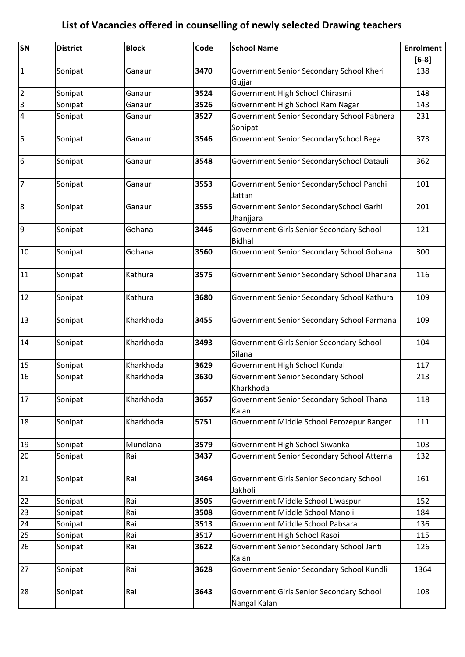| SN                      | <b>District</b> | <b>Block</b> | Code | <b>School Name</b>                                        | <b>Enrolment</b> |
|-------------------------|-----------------|--------------|------|-----------------------------------------------------------|------------------|
|                         |                 |              |      |                                                           | $[6-8]$          |
| $\mathbf 1$             | Sonipat         | Ganaur       | 3470 | Government Senior Secondary School Kheri                  | 138              |
|                         |                 |              |      | Gujjar                                                    |                  |
| $\overline{2}$          | Sonipat         | Ganaur       | 3524 | Government High School Chirasmi                           | 148              |
| $\overline{\mathbf{3}}$ | Sonipat         | Ganaur       | 3526 | Government High School Ram Nagar                          | 143              |
| 4                       | Sonipat         | Ganaur       | 3527 | Government Senior Secondary School Pabnera                | 231              |
|                         |                 |              |      | Sonipat                                                   |                  |
| 5                       | Sonipat         | Ganaur       | 3546 | Government Senior SecondarySchool Bega                    | 373              |
| 6                       | Sonipat         | Ganaur       | 3548 | Government Senior SecondarySchool Datauli                 | 362              |
| $\overline{7}$          | Sonipat         | Ganaur       | 3553 | Government Senior SecondarySchool Panchi<br>Jattan        | 101              |
| $\bf 8$                 | Sonipat         | Ganaur       | 3555 | Government Senior SecondarySchool Garhi<br>Jhanjjara      | 201              |
| 9                       | Sonipat         | Gohana       | 3446 | Government Girls Senior Secondary School<br><b>Bidhal</b> | 121              |
| $10\,$                  | Sonipat         | Gohana       | 3560 | Government Senior Secondary School Gohana                 | 300              |
| 11                      | Sonipat         | Kathura      | 3575 | Government Senior Secondary School Dhanana                | 116              |
| 12                      | Sonipat         | Kathura      | 3680 | Government Senior Secondary School Kathura                | 109              |
| 13                      | Sonipat         | Kharkhoda    | 3455 | Government Senior Secondary School Farmana                | 109              |
| 14                      | Sonipat         | Kharkhoda    | 3493 | Government Girls Senior Secondary School<br>Silana        | 104              |
| 15                      | Sonipat         | Kharkhoda    | 3629 | Government High School Kundal                             | 117              |
| 16                      | Sonipat         | Kharkhoda    | 3630 | Government Senior Secondary School<br>Kharkhoda           | 213              |
| 17                      | Sonipat         | Kharkhoda    | 3657 | Government Senior Secondary School Thana<br>Kalan         | 118              |
| 18                      | Sonipat         | Kharkhoda    | 5751 | Government Middle School Ferozepur Banger                 | 111              |
| 19                      | Sonipat         | Mundlana     | 3579 | Government High School Siwanka                            | 103              |
| 20                      | Sonipat         | Rai          | 3437 | Government Senior Secondary School Atterna                | 132              |
| 21                      | Sonipat         | Rai          | 3464 | Government Girls Senior Secondary School<br>Jakholi       | 161              |
| 22                      | Sonipat         | Rai          | 3505 | Government Middle School Liwaspur                         | 152              |
| 23                      | Sonipat         | Rai          | 3508 | Government Middle School Manoli                           | 184              |
| 24                      | Sonipat         | Rai          | 3513 | Government Middle School Pabsara                          | 136              |
| 25                      | Sonipat         | Rai          | 3517 | Government High School Rasoi                              | 115              |
| 26                      | Sonipat         | Rai          | 3622 | Government Senior Secondary School Janti<br>Kalan         | 126              |
| 27                      | Sonipat         | Rai          | 3628 | Government Senior Secondary School Kundli                 | 1364             |
| 28                      | Sonipat         | Rai          | 3643 | Government Girls Senior Secondary School<br>Nangal Kalan  | 108              |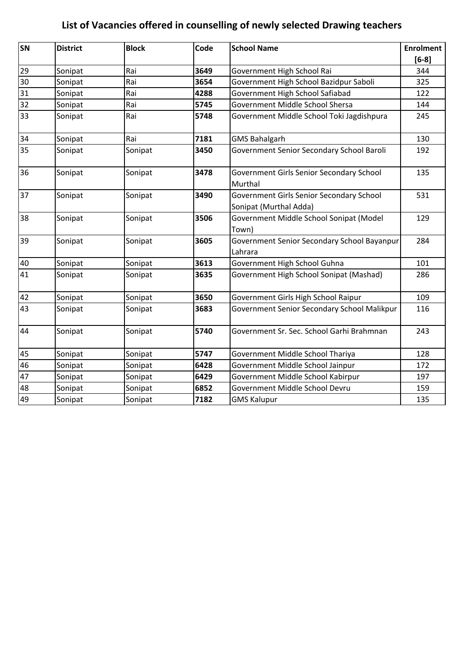| SN | <b>District</b> | <b>Block</b> | Code | <b>School Name</b>                                                 | <b>Enrolment</b> |
|----|-----------------|--------------|------|--------------------------------------------------------------------|------------------|
|    |                 |              |      |                                                                    | $[6-8]$          |
| 29 | Sonipat         | Rai          | 3649 | Government High School Rai                                         | 344              |
| 30 | Sonipat         | Rai          | 3654 | Government High School Bazidpur Saboli                             | 325              |
| 31 | Sonipat         | Rai          | 4288 | Government High School Safiabad                                    | 122              |
| 32 | Sonipat         | Rai          | 5745 | Government Middle School Shersa                                    | 144              |
| 33 | Sonipat         | Rai          | 5748 | Government Middle School Toki Jagdishpura                          | 245              |
| 34 | Sonipat         | Rai          | 7181 | <b>GMS Bahalgarh</b>                                               | 130              |
| 35 | Sonipat         | Sonipat      | 3450 | Government Senior Secondary School Baroli                          | 192              |
| 36 | Sonipat         | Sonipat      | 3478 | Government Girls Senior Secondary School<br>Murthal                | 135              |
| 37 | Sonipat         | Sonipat      | 3490 | Government Girls Senior Secondary School<br>Sonipat (Murthal Adda) | 531              |
| 38 | Sonipat         | Sonipat      | 3506 | Government Middle School Sonipat (Model<br>Town)                   | 129              |
| 39 | Sonipat         | Sonipat      | 3605 | Government Senior Secondary School Bayanpur<br>Lahrara             | 284              |
| 40 | Sonipat         | Sonipat      | 3613 | Government High School Guhna                                       | 101              |
| 41 | Sonipat         | Sonipat      | 3635 | Government High School Sonipat (Mashad)                            | 286              |
| 42 | Sonipat         | Sonipat      | 3650 | Government Girls High School Raipur                                | 109              |
| 43 | Sonipat         | Sonipat      | 3683 | Government Senior Secondary School Malikpur                        | 116              |
| 44 | Sonipat         | Sonipat      | 5740 | Government Sr. Sec. School Garhi Brahmnan                          | 243              |
| 45 | Sonipat         | Sonipat      | 5747 | Government Middle School Thariya                                   | 128              |
| 46 | Sonipat         | Sonipat      | 6428 | Government Middle School Jainpur                                   | 172              |
| 47 | Sonipat         | Sonipat      | 6429 | Government Middle School Kabirpur                                  | 197              |
| 48 | Sonipat         | Sonipat      | 6852 | Government Middle School Devru                                     | 159              |
| 49 | Sonipat         | Sonipat      | 7182 | <b>GMS Kalupur</b>                                                 | 135              |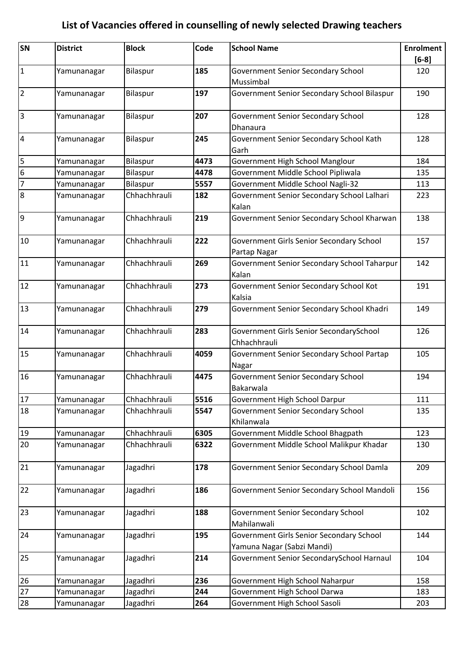| $[6-8]$<br>$\mathbf{1}$<br>185<br><b>Government Senior Secondary School</b><br>Bilaspur<br>120<br>Yamunanagar<br>Mussimbal<br>$\overline{2}$<br>197<br>Government Senior Secondary School Bilaspur<br>190<br>Bilaspur<br>Yamunanagar<br>$\overline{3}$<br>207<br><b>Government Senior Secondary School</b><br>Bilaspur<br>128<br>Yamunanagar<br>Dhanaura<br>$\overline{a}$<br>Bilaspur<br>245<br>Government Senior Secondary School Kath<br>128<br>Yamunanagar<br>Garh<br>5<br>4473<br>Government High School Manglour<br>Bilaspur<br>184<br>Yamunanagar<br>$6\overline{6}$<br>Government Middle School Pipliwala<br>Bilaspur<br>4478<br>135<br>Yamunanagar<br>$\overline{7}$<br>5557<br>Government Middle School Nagli-32<br>Bilaspur<br>113<br>Yamunanagar<br>$\boldsymbol{8}$<br>Chhachhrauli<br>Government Senior Secondary School Lalhari<br>182<br>Yamunanagar<br>223<br>Kalan<br>9<br>Chhachhrauli<br>219<br>Government Senior Secondary School Kharwan<br>138<br>Yamunanagar<br>222<br>10<br>Chhachhrauli<br>157<br>Government Girls Senior Secondary School<br>Yamunanagar<br>Partap Nagar<br>11<br>Chhachhrauli<br>269<br>Government Senior Secondary School Taharpur<br>142<br>Yamunanagar<br>Kalan<br>12<br>Chhachhrauli<br>273<br>Government Senior Secondary School Kot<br>191<br>Yamunanagar<br>Kalsia<br>13<br>Chhachhrauli<br>279<br>Government Senior Secondary School Khadri<br>149<br>Yamunanagar<br>14<br>Chhachhrauli<br>283<br>Government Girls Senior SecondarySchool<br>126<br>Yamunanagar<br>Chhachhrauli<br>Chhachhrauli<br>15<br>4059<br>Government Senior Secondary School Partap<br>105<br>Yamunanagar<br>Nagar<br>Chhachhrauli<br>4475<br>16<br><b>Government Senior Secondary School</b><br>194<br>Yamunanagar<br>Bakarwala<br>17<br>Chhachhrauli<br>5516<br>Government High School Darpur<br>111<br>Yamunanagar<br>18<br>Chhachhrauli<br>5547<br>Government Senior Secondary School<br>Yamunanagar<br>135<br>Khilanwala<br>Chhachhrauli<br>6305<br>Government Middle School Bhagpath<br>19<br>123<br>Yamunanagar<br>20<br>Government Middle School Malikpur Khadar<br>Chhachhrauli<br>6322<br>Yamunanagar<br>130<br>21<br>Government Senior Secondary School Damla<br>Jagadhri<br>178<br>209<br>Yamunanagar<br>22<br>Jagadhri<br>186<br>Government Senior Secondary School Mandoli<br>156<br>Yamunanagar<br>23<br>Jagadhri<br>188<br><b>Government Senior Secondary School</b><br>102<br>Yamunanagar<br>Mahilanwali<br>195<br>24<br>Jagadhri<br>Government Girls Senior Secondary School<br>144<br>Yamunanagar<br>Yamuna Nagar (Sabzi Mandi)<br>Government Senior SecondarySchool Harnaul<br>25<br>Jagadhri<br>214<br>104<br>Yamunanagar<br>26<br>236<br>Government High School Naharpur<br>Jagadhri<br>158<br>Yamunanagar<br>27<br>244<br>183 | SN | <b>District</b> | <b>Block</b> | Code | <b>School Name</b>           | <b>Enrolment</b> |
|---------------------------------------------------------------------------------------------------------------------------------------------------------------------------------------------------------------------------------------------------------------------------------------------------------------------------------------------------------------------------------------------------------------------------------------------------------------------------------------------------------------------------------------------------------------------------------------------------------------------------------------------------------------------------------------------------------------------------------------------------------------------------------------------------------------------------------------------------------------------------------------------------------------------------------------------------------------------------------------------------------------------------------------------------------------------------------------------------------------------------------------------------------------------------------------------------------------------------------------------------------------------------------------------------------------------------------------------------------------------------------------------------------------------------------------------------------------------------------------------------------------------------------------------------------------------------------------------------------------------------------------------------------------------------------------------------------------------------------------------------------------------------------------------------------------------------------------------------------------------------------------------------------------------------------------------------------------------------------------------------------------------------------------------------------------------------------------------------------------------------------------------------------------------------------------------------------------------------------------------------------------------------------------------------------------------------------------------------------------------------------------------------------------------------------------------------------------------------------------------------------------------------------------------------------------------------------------------------------------------------------------------------------------------------------------------------------------------------------------------------------------------------------|----|-----------------|--------------|------|------------------------------|------------------|
|                                                                                                                                                                                                                                                                                                                                                                                                                                                                                                                                                                                                                                                                                                                                                                                                                                                                                                                                                                                                                                                                                                                                                                                                                                                                                                                                                                                                                                                                                                                                                                                                                                                                                                                                                                                                                                                                                                                                                                                                                                                                                                                                                                                                                                                                                                                                                                                                                                                                                                                                                                                                                                                                                                                                                                                 |    |                 |              |      |                              |                  |
|                                                                                                                                                                                                                                                                                                                                                                                                                                                                                                                                                                                                                                                                                                                                                                                                                                                                                                                                                                                                                                                                                                                                                                                                                                                                                                                                                                                                                                                                                                                                                                                                                                                                                                                                                                                                                                                                                                                                                                                                                                                                                                                                                                                                                                                                                                                                                                                                                                                                                                                                                                                                                                                                                                                                                                                 |    |                 |              |      |                              |                  |
|                                                                                                                                                                                                                                                                                                                                                                                                                                                                                                                                                                                                                                                                                                                                                                                                                                                                                                                                                                                                                                                                                                                                                                                                                                                                                                                                                                                                                                                                                                                                                                                                                                                                                                                                                                                                                                                                                                                                                                                                                                                                                                                                                                                                                                                                                                                                                                                                                                                                                                                                                                                                                                                                                                                                                                                 |    |                 |              |      |                              |                  |
|                                                                                                                                                                                                                                                                                                                                                                                                                                                                                                                                                                                                                                                                                                                                                                                                                                                                                                                                                                                                                                                                                                                                                                                                                                                                                                                                                                                                                                                                                                                                                                                                                                                                                                                                                                                                                                                                                                                                                                                                                                                                                                                                                                                                                                                                                                                                                                                                                                                                                                                                                                                                                                                                                                                                                                                 |    |                 |              |      |                              |                  |
|                                                                                                                                                                                                                                                                                                                                                                                                                                                                                                                                                                                                                                                                                                                                                                                                                                                                                                                                                                                                                                                                                                                                                                                                                                                                                                                                                                                                                                                                                                                                                                                                                                                                                                                                                                                                                                                                                                                                                                                                                                                                                                                                                                                                                                                                                                                                                                                                                                                                                                                                                                                                                                                                                                                                                                                 |    |                 |              |      |                              |                  |
|                                                                                                                                                                                                                                                                                                                                                                                                                                                                                                                                                                                                                                                                                                                                                                                                                                                                                                                                                                                                                                                                                                                                                                                                                                                                                                                                                                                                                                                                                                                                                                                                                                                                                                                                                                                                                                                                                                                                                                                                                                                                                                                                                                                                                                                                                                                                                                                                                                                                                                                                                                                                                                                                                                                                                                                 |    |                 |              |      |                              |                  |
|                                                                                                                                                                                                                                                                                                                                                                                                                                                                                                                                                                                                                                                                                                                                                                                                                                                                                                                                                                                                                                                                                                                                                                                                                                                                                                                                                                                                                                                                                                                                                                                                                                                                                                                                                                                                                                                                                                                                                                                                                                                                                                                                                                                                                                                                                                                                                                                                                                                                                                                                                                                                                                                                                                                                                                                 |    |                 |              |      |                              |                  |
|                                                                                                                                                                                                                                                                                                                                                                                                                                                                                                                                                                                                                                                                                                                                                                                                                                                                                                                                                                                                                                                                                                                                                                                                                                                                                                                                                                                                                                                                                                                                                                                                                                                                                                                                                                                                                                                                                                                                                                                                                                                                                                                                                                                                                                                                                                                                                                                                                                                                                                                                                                                                                                                                                                                                                                                 |    |                 |              |      |                              |                  |
|                                                                                                                                                                                                                                                                                                                                                                                                                                                                                                                                                                                                                                                                                                                                                                                                                                                                                                                                                                                                                                                                                                                                                                                                                                                                                                                                                                                                                                                                                                                                                                                                                                                                                                                                                                                                                                                                                                                                                                                                                                                                                                                                                                                                                                                                                                                                                                                                                                                                                                                                                                                                                                                                                                                                                                                 |    |                 |              |      |                              |                  |
|                                                                                                                                                                                                                                                                                                                                                                                                                                                                                                                                                                                                                                                                                                                                                                                                                                                                                                                                                                                                                                                                                                                                                                                                                                                                                                                                                                                                                                                                                                                                                                                                                                                                                                                                                                                                                                                                                                                                                                                                                                                                                                                                                                                                                                                                                                                                                                                                                                                                                                                                                                                                                                                                                                                                                                                 |    |                 |              |      |                              |                  |
|                                                                                                                                                                                                                                                                                                                                                                                                                                                                                                                                                                                                                                                                                                                                                                                                                                                                                                                                                                                                                                                                                                                                                                                                                                                                                                                                                                                                                                                                                                                                                                                                                                                                                                                                                                                                                                                                                                                                                                                                                                                                                                                                                                                                                                                                                                                                                                                                                                                                                                                                                                                                                                                                                                                                                                                 |    |                 |              |      |                              |                  |
|                                                                                                                                                                                                                                                                                                                                                                                                                                                                                                                                                                                                                                                                                                                                                                                                                                                                                                                                                                                                                                                                                                                                                                                                                                                                                                                                                                                                                                                                                                                                                                                                                                                                                                                                                                                                                                                                                                                                                                                                                                                                                                                                                                                                                                                                                                                                                                                                                                                                                                                                                                                                                                                                                                                                                                                 |    |                 |              |      |                              |                  |
|                                                                                                                                                                                                                                                                                                                                                                                                                                                                                                                                                                                                                                                                                                                                                                                                                                                                                                                                                                                                                                                                                                                                                                                                                                                                                                                                                                                                                                                                                                                                                                                                                                                                                                                                                                                                                                                                                                                                                                                                                                                                                                                                                                                                                                                                                                                                                                                                                                                                                                                                                                                                                                                                                                                                                                                 |    |                 |              |      |                              |                  |
|                                                                                                                                                                                                                                                                                                                                                                                                                                                                                                                                                                                                                                                                                                                                                                                                                                                                                                                                                                                                                                                                                                                                                                                                                                                                                                                                                                                                                                                                                                                                                                                                                                                                                                                                                                                                                                                                                                                                                                                                                                                                                                                                                                                                                                                                                                                                                                                                                                                                                                                                                                                                                                                                                                                                                                                 |    |                 |              |      |                              |                  |
|                                                                                                                                                                                                                                                                                                                                                                                                                                                                                                                                                                                                                                                                                                                                                                                                                                                                                                                                                                                                                                                                                                                                                                                                                                                                                                                                                                                                                                                                                                                                                                                                                                                                                                                                                                                                                                                                                                                                                                                                                                                                                                                                                                                                                                                                                                                                                                                                                                                                                                                                                                                                                                                                                                                                                                                 |    |                 |              |      |                              |                  |
|                                                                                                                                                                                                                                                                                                                                                                                                                                                                                                                                                                                                                                                                                                                                                                                                                                                                                                                                                                                                                                                                                                                                                                                                                                                                                                                                                                                                                                                                                                                                                                                                                                                                                                                                                                                                                                                                                                                                                                                                                                                                                                                                                                                                                                                                                                                                                                                                                                                                                                                                                                                                                                                                                                                                                                                 |    |                 |              |      |                              |                  |
|                                                                                                                                                                                                                                                                                                                                                                                                                                                                                                                                                                                                                                                                                                                                                                                                                                                                                                                                                                                                                                                                                                                                                                                                                                                                                                                                                                                                                                                                                                                                                                                                                                                                                                                                                                                                                                                                                                                                                                                                                                                                                                                                                                                                                                                                                                                                                                                                                                                                                                                                                                                                                                                                                                                                                                                 |    |                 |              |      |                              |                  |
|                                                                                                                                                                                                                                                                                                                                                                                                                                                                                                                                                                                                                                                                                                                                                                                                                                                                                                                                                                                                                                                                                                                                                                                                                                                                                                                                                                                                                                                                                                                                                                                                                                                                                                                                                                                                                                                                                                                                                                                                                                                                                                                                                                                                                                                                                                                                                                                                                                                                                                                                                                                                                                                                                                                                                                                 |    |                 |              |      |                              |                  |
|                                                                                                                                                                                                                                                                                                                                                                                                                                                                                                                                                                                                                                                                                                                                                                                                                                                                                                                                                                                                                                                                                                                                                                                                                                                                                                                                                                                                                                                                                                                                                                                                                                                                                                                                                                                                                                                                                                                                                                                                                                                                                                                                                                                                                                                                                                                                                                                                                                                                                                                                                                                                                                                                                                                                                                                 |    |                 |              |      |                              |                  |
|                                                                                                                                                                                                                                                                                                                                                                                                                                                                                                                                                                                                                                                                                                                                                                                                                                                                                                                                                                                                                                                                                                                                                                                                                                                                                                                                                                                                                                                                                                                                                                                                                                                                                                                                                                                                                                                                                                                                                                                                                                                                                                                                                                                                                                                                                                                                                                                                                                                                                                                                                                                                                                                                                                                                                                                 |    |                 |              |      |                              |                  |
|                                                                                                                                                                                                                                                                                                                                                                                                                                                                                                                                                                                                                                                                                                                                                                                                                                                                                                                                                                                                                                                                                                                                                                                                                                                                                                                                                                                                                                                                                                                                                                                                                                                                                                                                                                                                                                                                                                                                                                                                                                                                                                                                                                                                                                                                                                                                                                                                                                                                                                                                                                                                                                                                                                                                                                                 |    |                 |              |      |                              |                  |
|                                                                                                                                                                                                                                                                                                                                                                                                                                                                                                                                                                                                                                                                                                                                                                                                                                                                                                                                                                                                                                                                                                                                                                                                                                                                                                                                                                                                                                                                                                                                                                                                                                                                                                                                                                                                                                                                                                                                                                                                                                                                                                                                                                                                                                                                                                                                                                                                                                                                                                                                                                                                                                                                                                                                                                                 |    |                 |              |      |                              |                  |
|                                                                                                                                                                                                                                                                                                                                                                                                                                                                                                                                                                                                                                                                                                                                                                                                                                                                                                                                                                                                                                                                                                                                                                                                                                                                                                                                                                                                                                                                                                                                                                                                                                                                                                                                                                                                                                                                                                                                                                                                                                                                                                                                                                                                                                                                                                                                                                                                                                                                                                                                                                                                                                                                                                                                                                                 |    |                 |              |      |                              |                  |
|                                                                                                                                                                                                                                                                                                                                                                                                                                                                                                                                                                                                                                                                                                                                                                                                                                                                                                                                                                                                                                                                                                                                                                                                                                                                                                                                                                                                                                                                                                                                                                                                                                                                                                                                                                                                                                                                                                                                                                                                                                                                                                                                                                                                                                                                                                                                                                                                                                                                                                                                                                                                                                                                                                                                                                                 |    |                 |              |      |                              |                  |
|                                                                                                                                                                                                                                                                                                                                                                                                                                                                                                                                                                                                                                                                                                                                                                                                                                                                                                                                                                                                                                                                                                                                                                                                                                                                                                                                                                                                                                                                                                                                                                                                                                                                                                                                                                                                                                                                                                                                                                                                                                                                                                                                                                                                                                                                                                                                                                                                                                                                                                                                                                                                                                                                                                                                                                                 |    |                 |              |      |                              |                  |
|                                                                                                                                                                                                                                                                                                                                                                                                                                                                                                                                                                                                                                                                                                                                                                                                                                                                                                                                                                                                                                                                                                                                                                                                                                                                                                                                                                                                                                                                                                                                                                                                                                                                                                                                                                                                                                                                                                                                                                                                                                                                                                                                                                                                                                                                                                                                                                                                                                                                                                                                                                                                                                                                                                                                                                                 |    |                 |              |      |                              |                  |
|                                                                                                                                                                                                                                                                                                                                                                                                                                                                                                                                                                                                                                                                                                                                                                                                                                                                                                                                                                                                                                                                                                                                                                                                                                                                                                                                                                                                                                                                                                                                                                                                                                                                                                                                                                                                                                                                                                                                                                                                                                                                                                                                                                                                                                                                                                                                                                                                                                                                                                                                                                                                                                                                                                                                                                                 |    |                 |              |      |                              |                  |
|                                                                                                                                                                                                                                                                                                                                                                                                                                                                                                                                                                                                                                                                                                                                                                                                                                                                                                                                                                                                                                                                                                                                                                                                                                                                                                                                                                                                                                                                                                                                                                                                                                                                                                                                                                                                                                                                                                                                                                                                                                                                                                                                                                                                                                                                                                                                                                                                                                                                                                                                                                                                                                                                                                                                                                                 |    | Yamunanagar     | Jagadhri     |      | Government High School Darwa |                  |
| 28<br>Government High School Sasoli<br>Jagadhri<br>Yamunanagar<br>264<br>203                                                                                                                                                                                                                                                                                                                                                                                                                                                                                                                                                                                                                                                                                                                                                                                                                                                                                                                                                                                                                                                                                                                                                                                                                                                                                                                                                                                                                                                                                                                                                                                                                                                                                                                                                                                                                                                                                                                                                                                                                                                                                                                                                                                                                                                                                                                                                                                                                                                                                                                                                                                                                                                                                                    |    |                 |              |      |                              |                  |